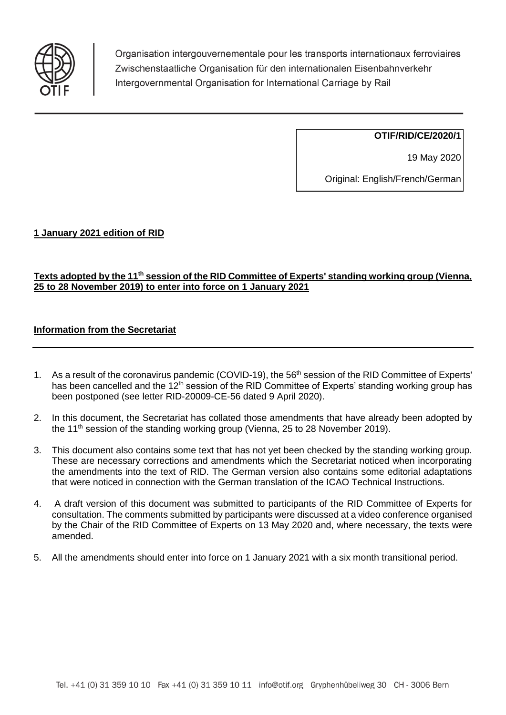

Organisation intergouvernementale pour les transports internationaux ferroviaires Zwischenstaatliche Organisation für den internationalen Eisenbahnverkehr Intergovernmental Organisation for International Carriage by Rail

**OTIF/RID/CE/2020/1**

19 May 2020

Original: English/French/German

# **1 January 2021 edition of RID**

# **Texts adopted by the 11th session of the RID Committee of Experts' standing working group (Vienna, 25 to 28 November 2019) to enter into force on 1 January 2021**

# **Information from the Secretariat**

- 1. As a result of the coronavirus pandemic (COVID-19), the 56<sup>th</sup> session of the RID Committee of Experts' has been cancelled and the 12<sup>th</sup> session of the RID Committee of Experts' standing working group has been postponed (see letter RID-20009-CE-56 dated 9 April 2020).
- 2. In this document, the Secretariat has collated those amendments that have already been adopted by the 11<sup>th</sup> session of the standing working group (Vienna, 25 to 28 November 2019).
- 3. This document also contains some text that has not yet been checked by the standing working group. These are necessary corrections and amendments which the Secretariat noticed when incorporating the amendments into the text of RID. The German version also contains some editorial adaptations that were noticed in connection with the German translation of the ICAO Technical Instructions.
- 4. A draft version of this document was submitted to participants of the RID Committee of Experts for consultation. The comments submitted by participants were discussed at a video conference organised by the Chair of the RID Committee of Experts on 13 May 2020 and, where necessary, the texts were amended.
- 5. All the amendments should enter into force on 1 January 2021 with a six month transitional period.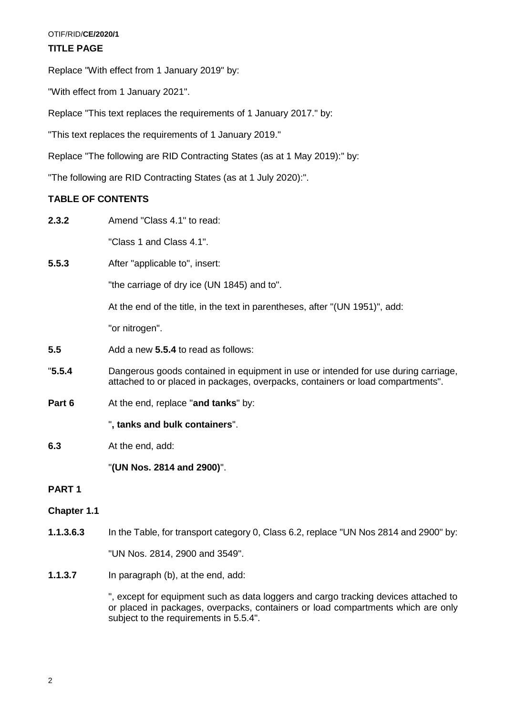### OTIF/RID/**CE/2020/1**

# **TITLE PAGE**

Replace "With effect from 1 January 2019" by:

"With effect from 1 January 2021".

Replace "This text replaces the requirements of 1 January 2017." by:

"This text replaces the requirements of 1 January 2019."

Replace "The following are RID Contracting States (as at 1 May 2019):" by:

"The following are RID Contracting States (as at 1 July 2020):".

# **TABLE OF CONTENTS**

**2.3.2** Amend "Class 4.1" to read:

"Class 1 and Class 4.1".

**5.5.3** After "applicable to", insert:

"the carriage of dry ice (UN 1845) and to".

At the end of the title, in the text in parentheses, after "(UN 1951)", add:

"or nitrogen".

- **5.5** Add a new **5.5.4** to read as follows:
- "**5.5.4** Dangerous goods contained in equipment in use or intended for use during carriage, attached to or placed in packages, overpacks, containers or load compartments".
- **Part 6** At the end, replace "**and tanks**" by:

"**, tanks and bulk containers**".

**6.3** At the end, add:

"**(UN Nos. 2814 and 2900)**".

# **PART 1**

# **Chapter 1.1**

**1.1.3.6.3** In the Table, for transport category 0, Class 6.2, replace "UN Nos 2814 and 2900" by:

"UN Nos. 2814, 2900 and 3549".

**1.1.3.7** In paragraph (b), at the end, add:

", except for equipment such as data loggers and cargo tracking devices attached to or placed in packages, overpacks, containers or load compartments which are only subject to the requirements in 5.5.4".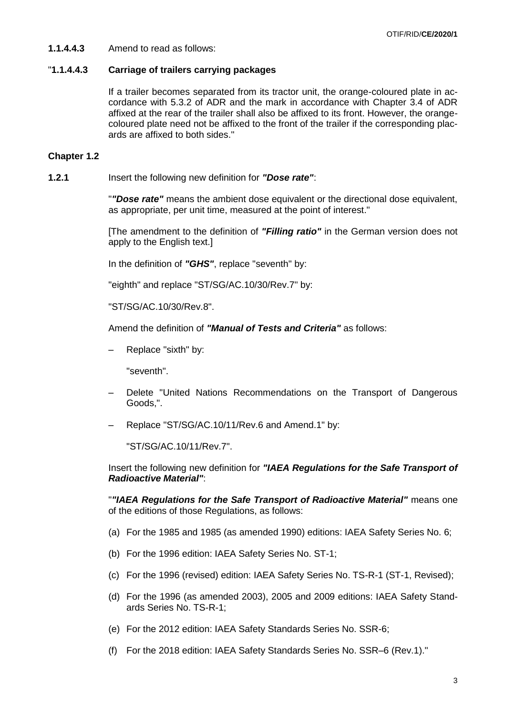**1.1.4.4.3** Amend to read as follows:

### "**1.1.4.4.3 Carriage of trailers carrying packages**

If a trailer becomes separated from its tractor unit, the orange-coloured plate in accordance with 5.3.2 of ADR and the mark in accordance with Chapter 3.4 of ADR affixed at the rear of the trailer shall also be affixed to its front. However, the orangecoloured plate need not be affixed to the front of the trailer if the corresponding placards are affixed to both sides."

### **Chapter 1.2**

**1.2.1** Insert the following new definition for *"Dose rate"*:

"*"Dose rate"* means the ambient dose equivalent or the directional dose equivalent, as appropriate, per unit time, measured at the point of interest."

[The amendment to the definition of *"Filling ratio"* in the German version does not apply to the English text.]

In the definition of *"GHS"*, replace "seventh" by:

"eighth" and replace "ST/SG/AC.10/30/Rev.7" by:

"ST/SG/AC.10/30/Rev.8".

Amend the definition of *"Manual of Tests and Criteria"* as follows:

– Replace "sixth" by:

"seventh".

- Delete "United Nations Recommendations on the Transport of Dangerous Goods,".
- Replace "ST/SG/AC.10/11/Rev.6 and Amend.1" by:

"ST/SG/AC.10/11/Rev.7".

Insert the following new definition for *"IAEA Regulations for the Safe Transport of Radioactive Material"*:

"*"IAEA Regulations for the Safe Transport of Radioactive Material"* means one of the editions of those Regulations, as follows:

- (a) For the 1985 and 1985 (as amended 1990) editions: IAEA Safety Series No. 6;
- (b) For the 1996 edition: IAEA Safety Series No. ST-1;
- (c) For the 1996 (revised) edition: IAEA Safety Series No. TS-R-1 (ST-1, Revised);
- (d) For the 1996 (as amended 2003), 2005 and 2009 editions: IAEA Safety Standards Series No. TS-R-1;
- (e) For the 2012 edition: IAEA Safety Standards Series No. SSR-6;
- (f) For the 2018 edition: IAEA Safety Standards Series No. SSR–6 (Rev.1)."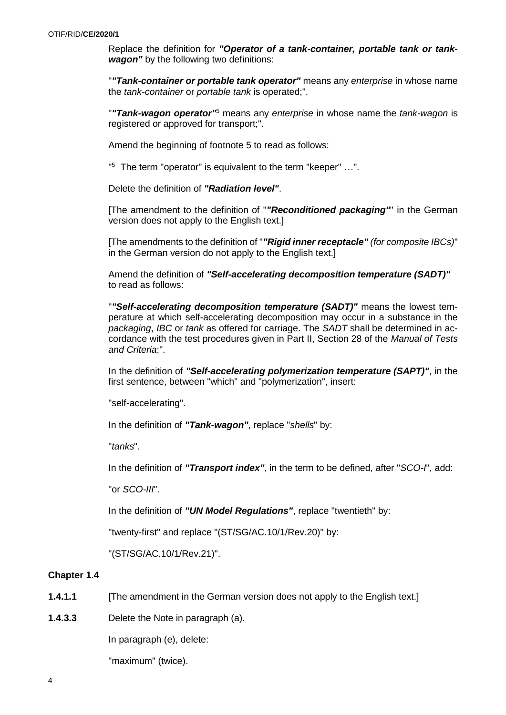Replace the definition for *"Operator of a tank-container, portable tank or tankwagon"* by the following two definitions:

"*"Tank-container or portable tank operator"* means any *enterprise* in whose name the *tank-container* or *portable tank* is operated;".

"*"Tank-wagon operator"*<sup>5</sup> means any *enterprise* in whose name the *tank-wagon* is registered or approved for transport;".

Amend the beginning of footnote 5 to read as follows:

" <sup>5</sup> The term "operator" is equivalent to the term "keeper" …".

Delete the definition of *"Radiation level"*.

[The amendment to the definition of "*"Reconditioned packaging"*" in the German version does not apply to the English text.]

[The amendments to the definition of "*"Rigid inner receptacle" (for composite IBCs)*" in the German version do not apply to the English text.]

Amend the definition of *"Self-accelerating decomposition temperature (SADT)"* to read as follows:

"*"Self-accelerating decomposition temperature (SADT)"* means the lowest temperature at which self-accelerating decomposition may occur in a substance in the *packaging*, *IBC* or *tank* as offered for carriage. The *SADT* shall be determined in accordance with the test procedures given in Part II, Section 28 of the *Manual of Tests and Criteria*;".

In the definition of *"Self-accelerating polymerization temperature (SAPT)"*, in the first sentence, between "which" and "polymerization", insert:

"self-accelerating".

In the definition of *"Tank-wagon"*, replace "*shells*" by:

"*tanks*".

In the definition of *"Transport index"*, in the term to be defined, after "*SCO-I*", add:

"or *SCO-III*".

In the definition of *"UN Model Regulations"*, replace "twentieth" by:

"twenty-first" and replace "(ST/SG/AC.10/1/Rev.20)" by:

"(ST/SG/AC.10/1/Rev.21)".

#### **Chapter 1.4**

- **1.4.1.1** [The amendment in the German version does not apply to the English text.]
- **1.4.3.3** Delete the Note in paragraph (a).

In paragraph (e), delete:

"maximum" (twice).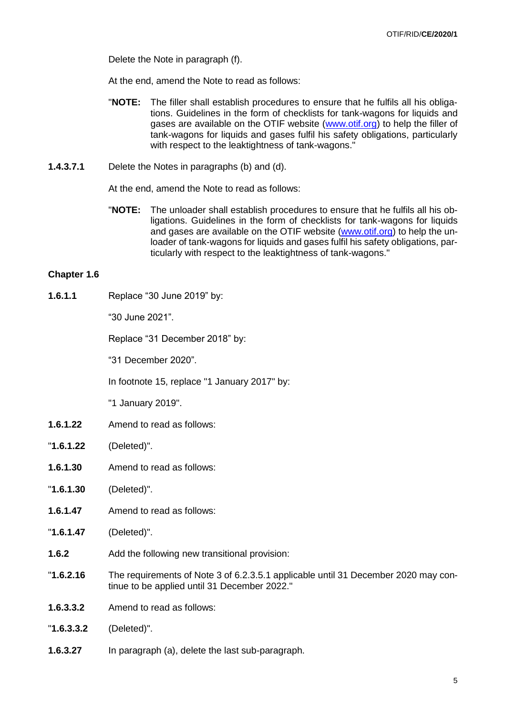Delete the Note in paragraph (f).

At the end, amend the Note to read as follows:

- "**NOTE:** The filler shall establish procedures to ensure that he fulfils all his obligations. Guidelines in the form of checklists for tank-wagons for liquids and gases are available on the OTIF website [\(www.otif.org\)](http://www.otif.org/) to help the filler of tank-wagons for liquids and gases fulfil his safety obligations, particularly with respect to the leaktightness of tank-wagons."
- **1.4.3.7.1** Delete the Notes in paragraphs (b) and (d).

At the end, amend the Note to read as follows:

"**NOTE:** The unloader shall establish procedures to ensure that he fulfils all his obligations. Guidelines in the form of checklists for tank-wagons for liquids and gases are available on the OTIF website [\(www.otif.org\)](http://www.otif.org/) to help the unloader of tank-wagons for liquids and gases fulfil his safety obligations, particularly with respect to the leaktightness of tank-wagons."

#### **Chapter 1.6**

**1.6.1.1** Replace "30 June 2019" by:

"30 June 2021".

Replace "31 December 2018" by:

"31 December 2020".

In footnote 15, replace "1 January 2017" by:

"1 January 2019".

- **1.6.1.22** Amend to read as follows:
- "**1.6.1.22** (Deleted)".
- **1.6.1.30** Amend to read as follows:
- "**1.6.1.30** (Deleted)".
- **1.6.1.47** Amend to read as follows:
- "**1.6.1.47** (Deleted)".
- **1.6.2** Add the following new transitional provision:
- "**1.6.2.16** The requirements of Note 3 of 6.2.3.5.1 applicable until 31 December 2020 may continue to be applied until 31 December 2022."
- **1.6.3.3.2** Amend to read as follows:
- "**1.6.3.3.2** (Deleted)".
- **1.6.3.27** In paragraph (a), delete the last sub-paragraph.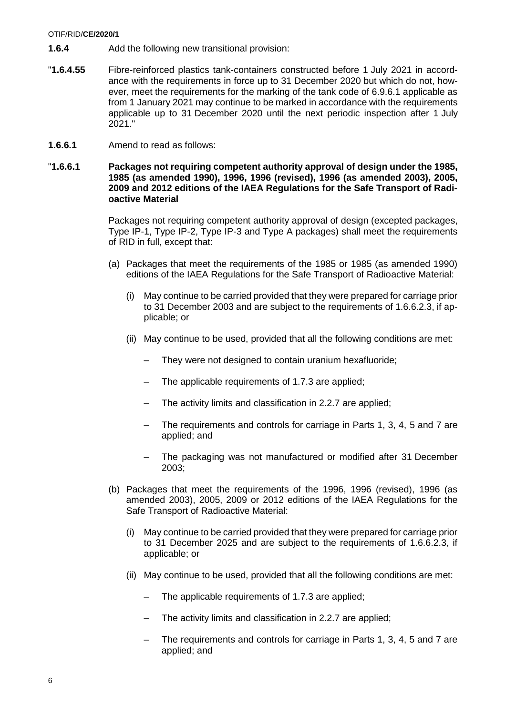#### OTIF/RID/**CE/2020/1**

- **1.6.4** Add the following new transitional provision:
- "**1.6.4.55** Fibre-reinforced plastics tank-containers constructed before 1 July 2021 in accordance with the requirements in force up to 31 December 2020 but which do not, however, meet the requirements for the marking of the tank code of 6.9.6.1 applicable as from 1 January 2021 may continue to be marked in accordance with the requirements applicable up to 31 December 2020 until the next periodic inspection after 1 July 2021."
- **1.6.6.1** Amend to read as follows:

### "**1.6.6.1 Packages not requiring competent authority approval of design under the 1985, 1985 (as amended 1990), 1996, 1996 (revised), 1996 (as amended 2003), 2005, 2009 and 2012 editions of the IAEA Regulations for the Safe Transport of Radioactive Material**

Packages not requiring competent authority approval of design (excepted packages, Type IP-1, Type IP-2, Type IP-3 and Type A packages) shall meet the requirements of RID in full, except that:

- (a) Packages that meet the requirements of the 1985 or 1985 (as amended 1990) editions of the IAEA Regulations for the Safe Transport of Radioactive Material:
	- (i) May continue to be carried provided that they were prepared for carriage prior to 31 December 2003 and are subject to the requirements of 1.6.6.2.3, if applicable; or
	- (ii) May continue to be used, provided that all the following conditions are met:
		- They were not designed to contain uranium hexafluoride;
		- The applicable requirements of 1.7.3 are applied;
		- The activity limits and classification in 2.2.7 are applied;
		- The requirements and controls for carriage in Parts 1, 3, 4, 5 and 7 are applied; and
		- The packaging was not manufactured or modified after 31 December 2003;
- (b) Packages that meet the requirements of the 1996, 1996 (revised), 1996 (as amended 2003), 2005, 2009 or 2012 editions of the IAEA Regulations for the Safe Transport of Radioactive Material:
	- (i) May continue to be carried provided that they were prepared for carriage prior to 31 December 2025 and are subject to the requirements of 1.6.6.2.3, if applicable; or
	- (ii) May continue to be used, provided that all the following conditions are met:
		- The applicable requirements of 1.7.3 are applied;
		- The activity limits and classification in 2.2.7 are applied;
		- The requirements and controls for carriage in Parts 1, 3, 4, 5 and 7 are applied; and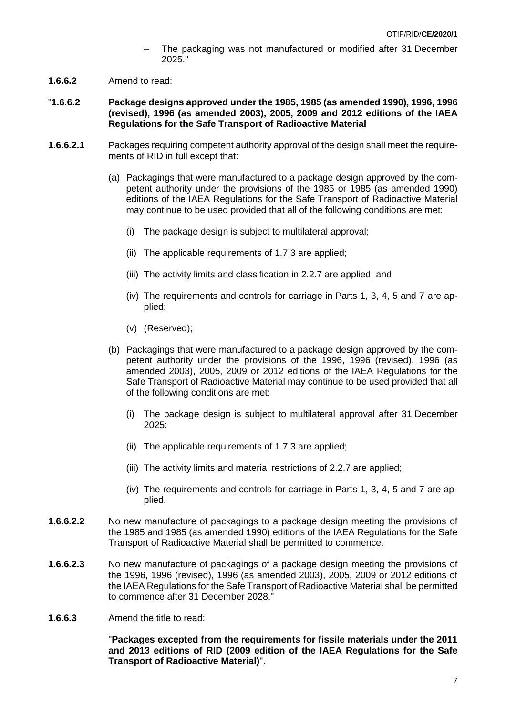- The packaging was not manufactured or modified after 31 December 2025."
- **1.6.6.2** Amend to read:
- "**1.6.6.2 Package designs approved under the 1985, 1985 (as amended 1990), 1996, 1996 (revised), 1996 (as amended 2003), 2005, 2009 and 2012 editions of the IAEA Regulations for the Safe Transport of Radioactive Material**
- **1.6.6.2.1** Packages requiring competent authority approval of the design shall meet the requirements of RID in full except that:
	- (a) Packagings that were manufactured to a package design approved by the competent authority under the provisions of the 1985 or 1985 (as amended 1990) editions of the IAEA Regulations for the Safe Transport of Radioactive Material may continue to be used provided that all of the following conditions are met:
		- (i) The package design is subject to multilateral approval;
		- (ii) The applicable requirements of 1.7.3 are applied;
		- (iii) The activity limits and classification in 2.2.7 are applied; and
		- (iv) The requirements and controls for carriage in Parts 1, 3, 4, 5 and 7 are applied;
		- (v) (Reserved);
	- (b) Packagings that were manufactured to a package design approved by the competent authority under the provisions of the 1996, 1996 (revised), 1996 (as amended 2003), 2005, 2009 or 2012 editions of the IAEA Regulations for the Safe Transport of Radioactive Material may continue to be used provided that all of the following conditions are met:
		- (i) The package design is subject to multilateral approval after 31 December 2025;
		- (ii) The applicable requirements of 1.7.3 are applied;
		- (iii) The activity limits and material restrictions of 2.2.7 are applied;
		- (iv) The requirements and controls for carriage in Parts 1, 3, 4, 5 and 7 are applied.
- **1.6.6.2.2** No new manufacture of packagings to a package design meeting the provisions of the 1985 and 1985 (as amended 1990) editions of the IAEA Regulations for the Safe Transport of Radioactive Material shall be permitted to commence.
- **1.6.6.2.3** No new manufacture of packagings of a package design meeting the provisions of the 1996, 1996 (revised), 1996 (as amended 2003), 2005, 2009 or 2012 editions of the IAEA Regulations for the Safe Transport of Radioactive Material shall be permitted to commence after 31 December 2028."
- **1.6.6.3** Amend the title to read:

"**Packages excepted from the requirements for fissile materials under the 2011 and 2013 editions of RID (2009 edition of the IAEA Regulations for the Safe Transport of Radioactive Material)**".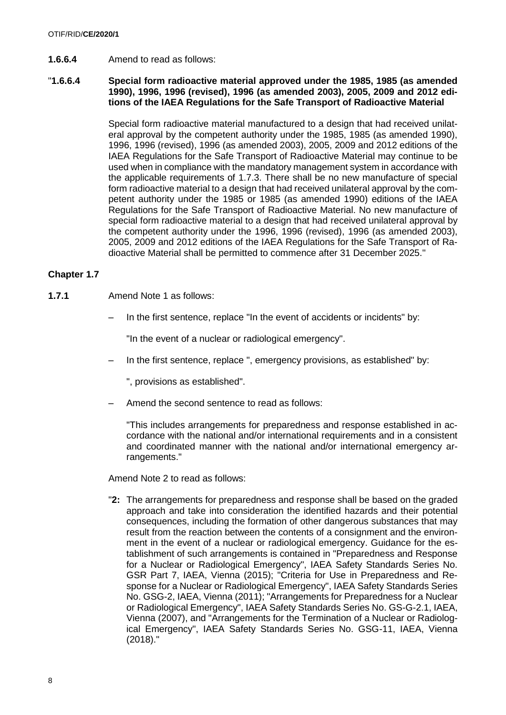**1.6.6.4** Amend to read as follows:

### "**1.6.6.4 Special form radioactive material approved under the 1985, 1985 (as amended 1990), 1996, 1996 (revised), 1996 (as amended 2003), 2005, 2009 and 2012 editions of the IAEA Regulations for the Safe Transport of Radioactive Material**

Special form radioactive material manufactured to a design that had received unilateral approval by the competent authority under the 1985, 1985 (as amended 1990), 1996, 1996 (revised), 1996 (as amended 2003), 2005, 2009 and 2012 editions of the IAEA Regulations for the Safe Transport of Radioactive Material may continue to be used when in compliance with the mandatory management system in accordance with the applicable requirements of 1.7.3. There shall be no new manufacture of special form radioactive material to a design that had received unilateral approval by the competent authority under the 1985 or 1985 (as amended 1990) editions of the IAEA Regulations for the Safe Transport of Radioactive Material. No new manufacture of special form radioactive material to a design that had received unilateral approval by the competent authority under the 1996, 1996 (revised), 1996 (as amended 2003), 2005, 2009 and 2012 editions of the IAEA Regulations for the Safe Transport of Radioactive Material shall be permitted to commence after 31 December 2025."

# **Chapter 1.7**

- **1.7.1** Amend Note 1 as follows:
	- In the first sentence, replace "In the event of accidents or incidents" by:

"In the event of a nuclear or radiological emergency".

– In the first sentence, replace ", emergency provisions, as established" by:

", provisions as established".

Amend the second sentence to read as follows:

"This includes arrangements for preparedness and response established in accordance with the national and/or international requirements and in a consistent and coordinated manner with the national and/or international emergency arrangements."

Amend Note 2 to read as follows:

"**2:** The arrangements for preparedness and response shall be based on the graded approach and take into consideration the identified hazards and their potential consequences, including the formation of other dangerous substances that may result from the reaction between the contents of a consignment and the environment in the event of a nuclear or radiological emergency. Guidance for the establishment of such arrangements is contained in "Preparedness and Response for a Nuclear or Radiological Emergency", IAEA Safety Standards Series No. GSR Part 7, IAEA, Vienna (2015); "Criteria for Use in Preparedness and Response for a Nuclear or Radiological Emergency", IAEA Safety Standards Series No. GSG-2, IAEA, Vienna (2011); "Arrangements for Preparedness for a Nuclear or Radiological Emergency", IAEA Safety Standards Series No. GS-G-2.1, IAEA, Vienna (2007), and "Arrangements for the Termination of a Nuclear or Radiological Emergency", IAEA Safety Standards Series No. GSG-11, IAEA, Vienna (2018)."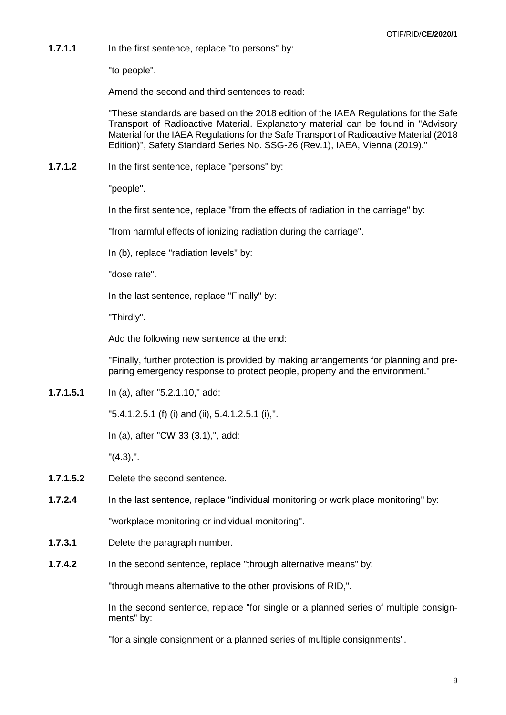**1.7.1.1** In the first sentence, replace "to persons" by:

"to people".

Amend the second and third sentences to read:

"These standards are based on the 2018 edition of the IAEA Regulations for the Safe Transport of Radioactive Material. Explanatory material can be found in "Advisory Material for the IAEA Regulations for the Safe Transport of Radioactive Material (2018 Edition)", Safety Standard Series No. SSG-26 (Rev.1), IAEA, Vienna (2019)."

**1.7.1.2** In the first sentence, replace "persons" by:

"people".

In the first sentence, replace "from the effects of radiation in the carriage" by:

"from harmful effects of ionizing radiation during the carriage".

In (b), replace "radiation levels" by:

"dose rate".

In the last sentence, replace "Finally" by:

"Thirdly".

Add the following new sentence at the end:

"Finally, further protection is provided by making arrangements for planning and preparing emergency response to protect people, property and the environment."

**1.7.1.5.1** In (a), after "5.2.1.10," add:

"5.4.1.2.5.1 (f) (i) and (ii), 5.4.1.2.5.1 (i),".

In (a), after "CW 33 (3.1),", add:

"(4.3),".

- **1.7.1.5.2** Delete the second sentence.
- **1.7.2.4** In the last sentence, replace "individual monitoring or work place monitoring" by:

"workplace monitoring or individual monitoring".

- **1.7.3.1** Delete the paragraph number.
- **1.7.4.2** In the second sentence, replace "through alternative means" by:

"through means alternative to the other provisions of RID,".

In the second sentence, replace "for single or a planned series of multiple consignments" by:

"for a single consignment or a planned series of multiple consignments".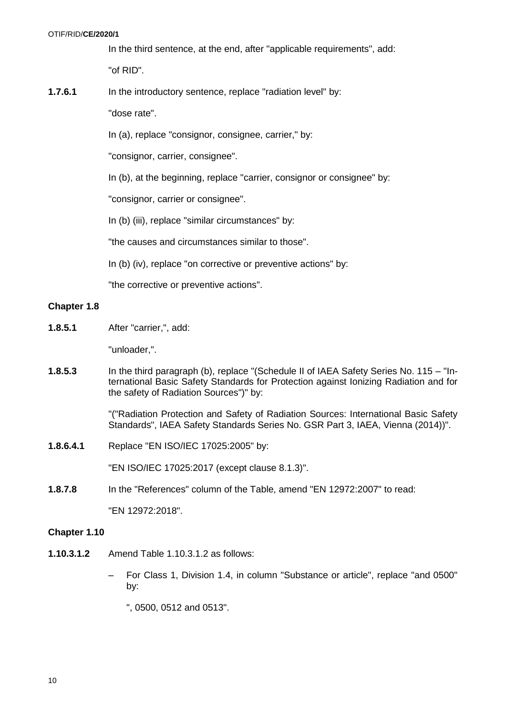In the third sentence, at the end, after "applicable requirements", add: "of RID".

**1.7.6.1** In the introductory sentence, replace "radiation level" by:

"dose rate".

In (a), replace "consignor, consignee, carrier," by:

"consignor, carrier, consignee".

In (b), at the beginning, replace "carrier, consignor or consignee" by:

"consignor, carrier or consignee".

In (b) (iii), replace "similar circumstances" by:

"the causes and circumstances similar to those".

In (b) (iv), replace "on corrective or preventive actions" by:

"the corrective or preventive actions".

### **Chapter 1.8**

**1.8.5.1** After "carrier,", add:

"unloader,".

**1.8.5.3** In the third paragraph (b), replace "(Schedule II of IAEA Safety Series No. 115 – "International Basic Safety Standards for Protection against Ionizing Radiation and for the safety of Radiation Sources")" by:

> "("Radiation Protection and Safety of Radiation Sources: International Basic Safety Standards", IAEA Safety Standards Series No. GSR Part 3, IAEA, Vienna (2014))".

**1.8.6.4.1** Replace "EN ISO/IEC 17025:2005" by:

"EN ISO/IEC 17025:2017 (except clause 8.1.3)".

**1.8.7.8** In the "References" column of the Table, amend "EN 12972:2007" to read:

"EN 12972:2018".

#### **Chapter 1.10**

- **1.10.3.1.2** Amend Table 1.10.3.1.2 as follows:
	- For Class 1, Division 1.4, in column "Substance or article", replace "and 0500" by:

", 0500, 0512 and 0513".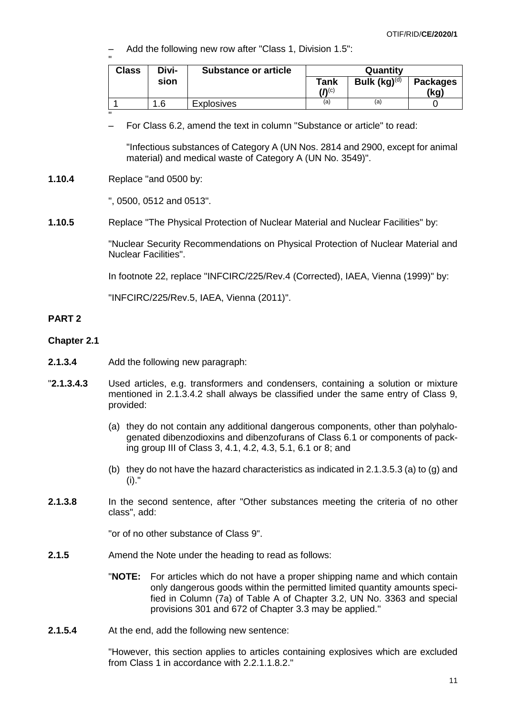– Add the following new row after "Class 1, Division 1.5":

| $\mathbf{u}$<br><b>Class</b> | Divi- | <b>Substance or article</b> |                                       | Quantity          |                         |
|------------------------------|-------|-----------------------------|---------------------------------------|-------------------|-------------------------|
|                              | sion  |                             | Tank<br>( $\mathbf{V}^{(\mathsf{c})}$ | Bulk $(kg)^{(d)}$ | <b>Packages</b><br>(kg) |
|                              | 1.6   | <b>Explosives</b>           | (a)                                   | (a)               |                         |

– For Class 6.2, amend the text in column "Substance or article" to read:

"Infectious substances of Category A (UN Nos. 2814 and 2900, except for animal material) and medical waste of Category A (UN No. 3549)".

**1.10.4** Replace "and 0500 by:

"

", 0500, 0512 and 0513".

**1.10.5** Replace "The Physical Protection of Nuclear Material and Nuclear Facilities" by:

"Nuclear Security Recommendations on Physical Protection of Nuclear Material and Nuclear Facilities".

In footnote 22, replace "INFCIRC/225/Rev.4 (Corrected), IAEA, Vienna (1999)" by:

"INFCIRC/225/Rev.5, IAEA, Vienna (2011)".

# **PART 2**

#### **Chapter 2.1**

- **2.1.3.4** Add the following new paragraph:
- "**2.1.3.4.3** Used articles, e.g. transformers and condensers, containing a solution or mixture mentioned in 2.1.3.4.2 shall always be classified under the same entry of Class 9, provided:
	- (a) they do not contain any additional dangerous components, other than polyhalogenated dibenzodioxins and dibenzofurans of Class 6.1 or components of packing group III of Class 3, 4.1, 4.2, 4.3, 5.1, 6.1 or 8; and
	- (b) they do not have the hazard characteristics as indicated in 2.1.3.5.3 (a) to (g) and (i)."
- **2.1.3.8** In the second sentence, after "Other substances meeting the criteria of no other class", add:

"or of no other substance of Class 9".

- **2.1.5** Amend the Note under the heading to read as follows:
	- "**NOTE:** For articles which do not have a proper shipping name and which contain only dangerous goods within the permitted limited quantity amounts specified in Column (7a) of Table A of Chapter 3.2, UN No. 3363 and special provisions 301 and 672 of Chapter 3.3 may be applied."
- **2.1.5.4** At the end, add the following new sentence:

"However, this section applies to articles containing explosives which are excluded from Class 1 in accordance with 2.2.1.1.8.2."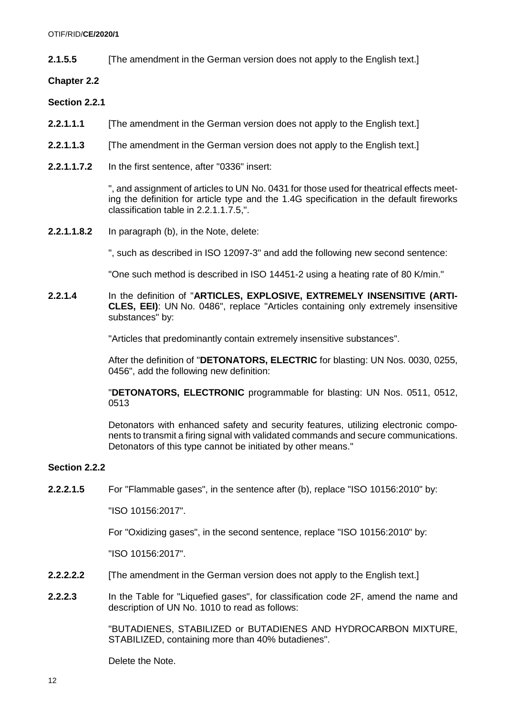**2.1.5.5** [The amendment in the German version does not apply to the English text.]

**Chapter 2.2**

**Section 2.2.1**

- **2.2.1.1.1** [The amendment in the German version does not apply to the English text.]
- **2.2.1.1.3** [The amendment in the German version does not apply to the English text.]
- **2.2.1.1.7.2** In the first sentence, after "0336" insert:

", and assignment of articles to UN No. 0431 for those used for theatrical effects meeting the definition for article type and the 1.4G specification in the default fireworks classification table in 2.2.1.1.7.5,".

**2.2.1.1.8.2** In paragraph (b), in the Note, delete:

", such as described in ISO 12097-3" and add the following new second sentence:

"One such method is described in ISO 14451-2 using a heating rate of 80 K/min."

**2.2.1.4** In the definition of "**ARTICLES, EXPLOSIVE, EXTREMELY INSENSITIVE (ARTI-CLES, EEI)**: UN No. 0486", replace "Articles containing only extremely insensitive substances" by:

"Articles that predominantly contain extremely insensitive substances".

After the definition of "**DETONATORS, ELECTRIC** for blasting: UN Nos. 0030, 0255, 0456", add the following new definition:

"**DETONATORS, ELECTRONIC** programmable for blasting: UN Nos. 0511, 0512, 0513

Detonators with enhanced safety and security features, utilizing electronic components to transmit a firing signal with validated commands and secure communications. Detonators of this type cannot be initiated by other means."

# **Section 2.2.2**

**2.2.2.1.5** For "Flammable gases", in the sentence after (b), replace "ISO 10156:2010" by:

"ISO 10156:2017".

For "Oxidizing gases", in the second sentence, replace "ISO 10156:2010" by:

"ISO 10156:2017".

- **2.2.2.2.2.** [The amendment in the German version does not apply to the English text.]
- **2.2.2.3** In the Table for "Liquefied gases", for classification code 2F, amend the name and description of UN No. 1010 to read as follows:

"BUTADIENES, STABILIZED or BUTADIENES AND HYDROCARBON MIXTURE, STABILIZED, containing more than 40% butadienes".

Delete the Note.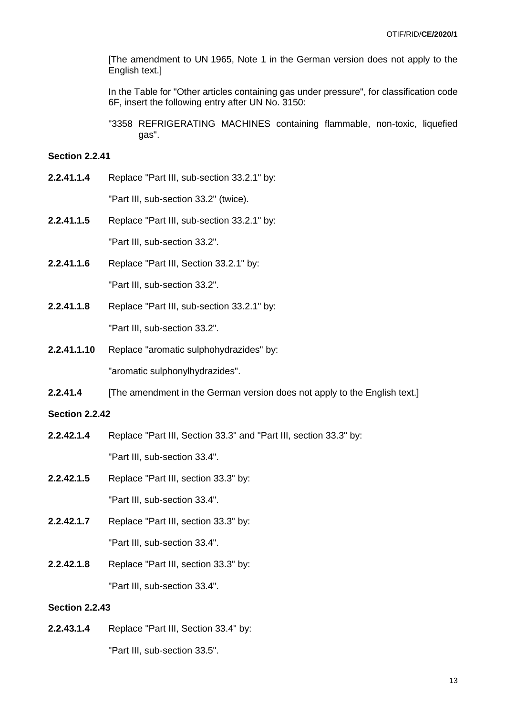[The amendment to UN 1965, Note 1 in the German version does not apply to the English text.]

In the Table for "Other articles containing gas under pressure", for classification code 6F, insert the following entry after UN No. 3150:

"3358 REFRIGERATING MACHINES containing flammable, non-toxic, liquefied gas".

### **Section 2.2.41**

**2.2.41.1.4** Replace "Part III, sub-section 33.2.1" by:

"Part III, sub-section 33.2" (twice).

- **2.2.41.1.5** Replace "Part III, sub-section 33.2.1" by: "Part III, sub-section 33.2".
- **2.2.41.1.6** Replace "Part III, Section 33.2.1" by:

"Part III, sub-section 33.2".

- **2.2.41.1.8** Replace "Part III, sub-section 33.2.1" by: "Part III, sub-section 33.2".
- **2.2.41.1.10** Replace "aromatic sulphohydrazides" by: "aromatic sulphonylhydrazides".
- **2.2.41.4** [The amendment in the German version does not apply to the English text.]

# **Section 2.2.42**

- **2.2.42.1.4** Replace "Part III, Section 33.3" and "Part III, section 33.3" by: "Part III, sub-section 33.4".
- **2.2.42.1.5** Replace "Part III, section 33.3" by: "Part III, sub-section 33.4".
- **2.2.42.1.7** Replace "Part III, section 33.3" by: "Part III, sub-section 33.4".
- **2.2.42.1.8** Replace "Part III, section 33.3" by: "Part III, sub-section 33.4".

### **Section 2.2.43**

**2.2.43.1.4** Replace "Part III, Section 33.4" by: "Part III, sub-section 33.5".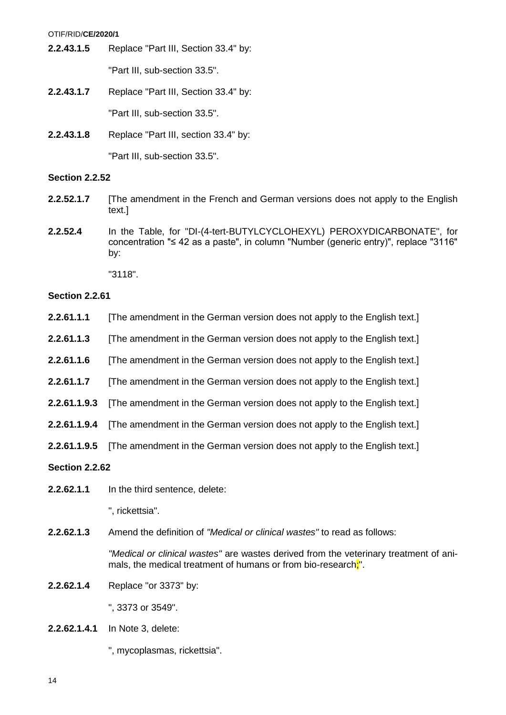OTIF/RID/**CE/2020/1**

**2.2.43.1.5** Replace "Part III, Section 33.4" by:

"Part III, sub-section 33.5".

- **2.2.43.1.7** Replace "Part III, Section 33.4" by: "Part III, sub-section 33.5".
- **2.2.43.1.8** Replace "Part III, section 33.4" by: "Part III, sub-section 33.5".

# **Section 2.2.52**

- **2.2.52.1.7** [The amendment in the French and German versions does not apply to the English text.]
- **2.2.52.4** In the Table, for "DI-(4-tert-BUTYLCYCLOHEXYL) PEROXYDICARBONATE", for concentration "≤ 42 as a paste", in column "Number (generic entry)", replace "3116" by:

"3118".

# **Section 2.2.61**

- **2.2.61.1.1** [The amendment in the German version does not apply to the English text.]
- **2.2.61.1.3** [The amendment in the German version does not apply to the English text.]
- **2.2.61.1.6** [The amendment in the German version does not apply to the English text.]
- **2.2.61.1.7** [The amendment in the German version does not apply to the English text.]
- **2.2.61.1.9.3** [The amendment in the German version does not apply to the English text.]
- **2.2.61.1.9.4** [The amendment in the German version does not apply to the English text.]
- **2.2.61.1.9.5** [The amendment in the German version does not apply to the English text.]

# **Section 2.2.62**

**2.2.62.1.1** In the third sentence, delete:

", rickettsia".

**2.2.62.1.3** Amend the definition of *"Medical or clinical wastes"* to read as follows:

*"Medical or clinical wastes"* are wastes derived from the veterinary treatment of animals, the medical treatment of humans or from bio-research.".

**2.2.62.1.4** Replace "or 3373" by:

", 3373 or 3549".

**2.2.62.1.4.1** In Note 3, delete:

", mycoplasmas, rickettsia".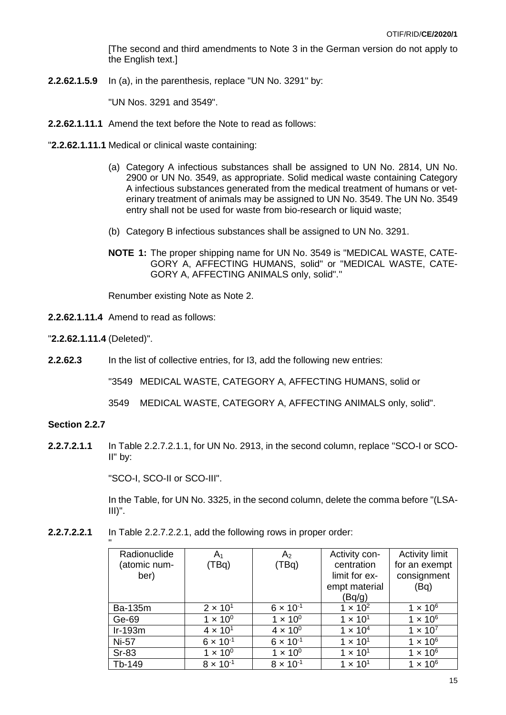[The second and third amendments to Note 3 in the German version do not apply to the English text.]

**2.2.62.1.5.9** In (a), in the parenthesis, replace "UN No. 3291" by:

"UN Nos. 3291 and 3549".

- **2.2.62.1.11.1** Amend the text before the Note to read as follows:
- "**2.2.62.1.11.1** Medical or clinical waste containing:
	- (a) Category A infectious substances shall be assigned to UN No. 2814, UN No. 2900 or UN No. 3549, as appropriate. Solid medical waste containing Category A infectious substances generated from the medical treatment of humans or veterinary treatment of animals may be assigned to UN No. 3549. The UN No. 3549 entry shall not be used for waste from bio-research or liquid waste:
	- (b) Category B infectious substances shall be assigned to UN No. 3291.
	- **NOTE 1:** The proper shipping name for UN No. 3549 is "MEDICAL WASTE, CATE-GORY A, AFFECTING HUMANS, solid" or "MEDICAL WASTE, CATE-GORY A, AFFECTING ANIMALS only, solid"."

Renumber existing Note as Note 2.

**2.2.62.1.11.4** Amend to read as follows:

"**2.2.62.1.11.4** (Deleted)".

**2.2.62.3** In the list of collective entries, for I3, add the following new entries:

"3549 MEDICAL WASTE, CATEGORY A, AFFECTING HUMANS, solid or

3549 MEDICAL WASTE, CATEGORY A, AFFECTING ANIMALS only, solid".

# **Section 2.2.7**

**2.2.7.2.1.1** In Table 2.2.7.2.1.1, for UN No. 2913, in the second column, replace "SCO-I or SCO-II" by:

"SCO-I, SCO-II or SCO-III".

In the Table, for UN No. 3325, in the second column, delete the comma before "(LSA- $III$ <sup>"</sup>.

**2.2.7.2.2.1** In Table 2.2.7.2.2.1, add the following rows in proper order:

| $\mathbf{u}$ |                    |                    |                   |                       |
|--------------|--------------------|--------------------|-------------------|-----------------------|
| Radionuclide | A۱                 | A <sub>2</sub>     | Activity con-     | <b>Activity limit</b> |
| (atomic num- | (TBq)              | (TBq)              | centration        | for an exempt         |
| ber)         |                    |                    | limit for ex-     | consignment           |
|              |                    |                    | empt material     | (Bq)                  |
|              |                    |                    | (Bq/g)            |                       |
| Ba-135m      | $2 \times 10^{1}$  | $6 \times 10^{-1}$ | $1 \times 10^{2}$ | $1 \times 10^6$       |
| Ge-69        | $1 \times 10^{0}$  | $1 \times 10^{0}$  | $1 \times 10^{1}$ | $1 \times 10^6$       |
| $Ir-193m$    | $4 \times 10^{1}$  | $4 \times 10^{0}$  | $1 \times 10^{4}$ | $1 \times 10^{7}$     |
| Ni-57        | $6 \times 10^{-1}$ | $6 \times 10^{-1}$ | $1 \times 10^{1}$ | $1 \times 10^6$       |
| <b>Sr-83</b> | $1 \times 10^{0}$  | $1 \times 10^{0}$  | $1 \times 10^{1}$ | $1 \times 10^6$       |
| Tb-149       | $8 \times 10^{-1}$ | $8 \times 10^{-1}$ | $1 \times 10^{1}$ | $1 \times 10^6$       |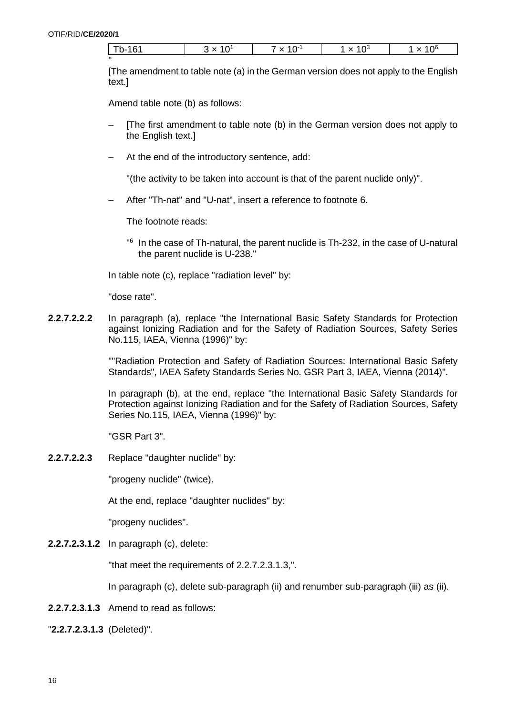"

| Th. 4.Q4<br>۔ د<br>O<br>ັ | -11 | 1 $\cap$<br>$\ddot{\phantom{0}}$ | ن ۱۰ | $\bigcap^6$ |
|---------------------------|-----|----------------------------------|------|-------------|
|---------------------------|-----|----------------------------------|------|-------------|

[The amendment to table note (a) in the German version does not apply to the English text.]

Amend table note (b) as follows:

- [The first amendment to table note (b) in the German version does not apply to the English text.]
- At the end of the introductory sentence, add:

"(the activity to be taken into account is that of the parent nuclide only)".

– After "Th-nat" and "U-nat", insert a reference to footnote 6.

The footnote reads:

" 6 In the case of Th-natural, the parent nuclide is Th-232, in the case of U-natural the parent nuclide is U-238."

In table note (c), replace "radiation level" by:

"dose rate".

**2.2.7.2.2.2** In paragraph (a), replace "the International Basic Safety Standards for Protection against Ionizing Radiation and for the Safety of Radiation Sources, Safety Series No.115, IAEA, Vienna (1996)" by:

> ""Radiation Protection and Safety of Radiation Sources: International Basic Safety Standards", IAEA Safety Standards Series No. GSR Part 3, IAEA, Vienna (2014)".

> In paragraph (b), at the end, replace "the International Basic Safety Standards for Protection against Ionizing Radiation and for the Safety of Radiation Sources, Safety Series No.115, IAEA, Vienna (1996)" by:

"GSR Part 3".

**2.2.7.2.2.3** Replace "daughter nuclide" by:

"progeny nuclide" (twice).

At the end, replace "daughter nuclides" by:

"progeny nuclides".

**2.2.7.2.3.1.2** In paragraph (c), delete:

"that meet the requirements of 2.2.7.2.3.1.3,".

In paragraph (c), delete sub-paragraph (ii) and renumber sub-paragraph (iii) as (ii).

- **2.2.7.2.3.1.3** Amend to read as follows:
- "**2.2.7.2.3.1.3** (Deleted)".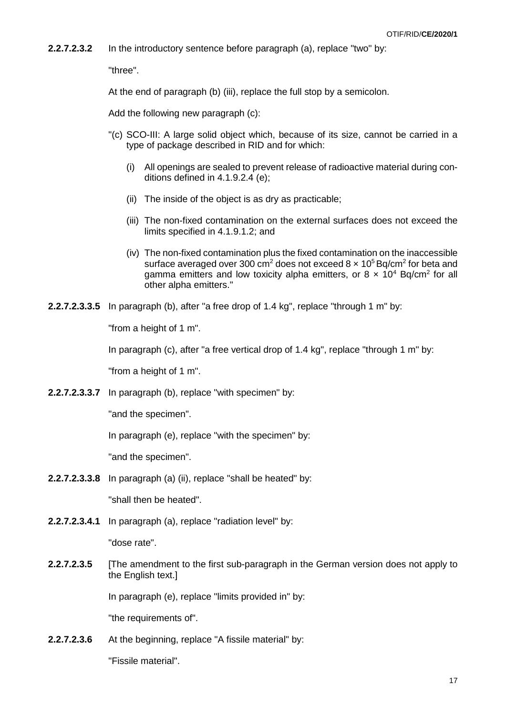**2.2.7.2.3.2** In the introductory sentence before paragraph (a), replace "two" by:

"three".

At the end of paragraph (b) (iii), replace the full stop by a semicolon.

Add the following new paragraph (c):

- "(c) SCO-III: A large solid object which, because of its size, cannot be carried in a type of package described in RID and for which:
	- (i) All openings are sealed to prevent release of radioactive material during conditions defined in 4.1.9.2.4 (e);
	- (ii) The inside of the object is as dry as practicable;
	- (iii) The non-fixed contamination on the external surfaces does not exceed the limits specified in 4.1.9.1.2; and
	- (iv) The non-fixed contamination plus the fixed contamination on the inaccessible surface averaged over 300 cm<sup>2</sup> does not exceed 8  $\times$  10<sup>5</sup> Bq/cm<sup>2</sup> for beta and gamma emitters and low toxicity alpha emitters, or  $8 \times 10^4$  Bq/cm<sup>2</sup> for all other alpha emitters."
- **2.2.7.2.3.3.5** In paragraph (b), after "a free drop of 1.4 kg", replace "through 1 m" by:

"from a height of 1 m".

In paragraph (c), after "a free vertical drop of 1.4 kg", replace "through 1 m" by:

"from a height of 1 m".

**2.2.7.2.3.3.7** In paragraph (b), replace "with specimen" by:

"and the specimen".

In paragraph (e), replace "with the specimen" by:

"and the specimen".

**2.2.7.2.3.3.8** In paragraph (a) (ii), replace "shall be heated" by:

"shall then be heated".

**2.2.7.2.3.4.1** In paragraph (a), replace "radiation level" by:

"dose rate".

**2.2.7.2.3.5** [The amendment to the first sub-paragraph in the German version does not apply to the English text.]

In paragraph (e), replace "limits provided in" by:

"the requirements of".

**2.2.7.2.3.6** At the beginning, replace "A fissile material" by:

"Fissile material".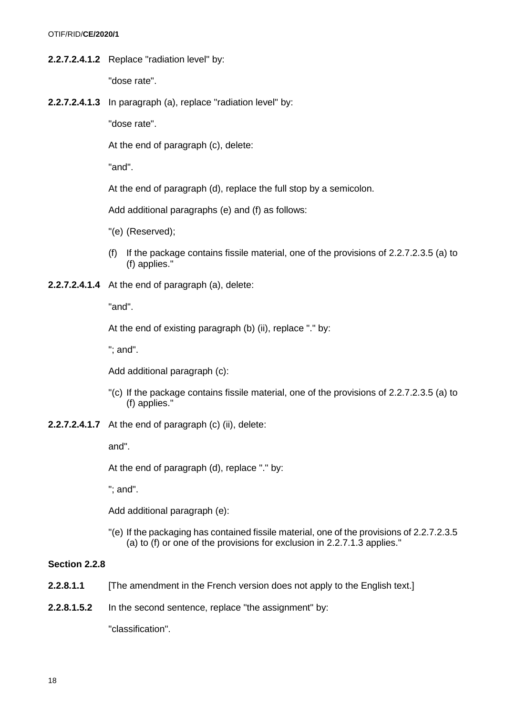**2.2.7.2.4.1.2** Replace "radiation level" by:

"dose rate".

**2.2.7.2.4.1.3** In paragraph (a), replace "radiation level" by:

"dose rate".

At the end of paragraph (c), delete:

"and".

At the end of paragraph (d), replace the full stop by a semicolon.

Add additional paragraphs (e) and (f) as follows:

- "(e) (Reserved);
- (f) If the package contains fissile material, one of the provisions of 2.2.7.2.3.5 (a) to (f) applies."
- **2.2.7.2.4.1.4** At the end of paragraph (a), delete:

"and".

At the end of existing paragraph (b) (ii), replace "." by:

"; and".

Add additional paragraph (c):

- "(c) If the package contains fissile material, one of the provisions of 2.2.7.2.3.5 (a) to (f) applies."
- **2.2.7.2.4.1.7** At the end of paragraph (c) (ii), delete:

and".

At the end of paragraph (d), replace "." by:

"; and".

Add additional paragraph (e):

"(e) If the packaging has contained fissile material, one of the provisions of 2.2.7.2.3.5 (a) to (f) or one of the provisions for exclusion in 2.2.7.1.3 applies."

### **Section 2.2.8**

- **2.2.8.1.1** [The amendment in the French version does not apply to the English text.]
- **2.2.8.1.5.2** In the second sentence, replace "the assignment" by:

"classification".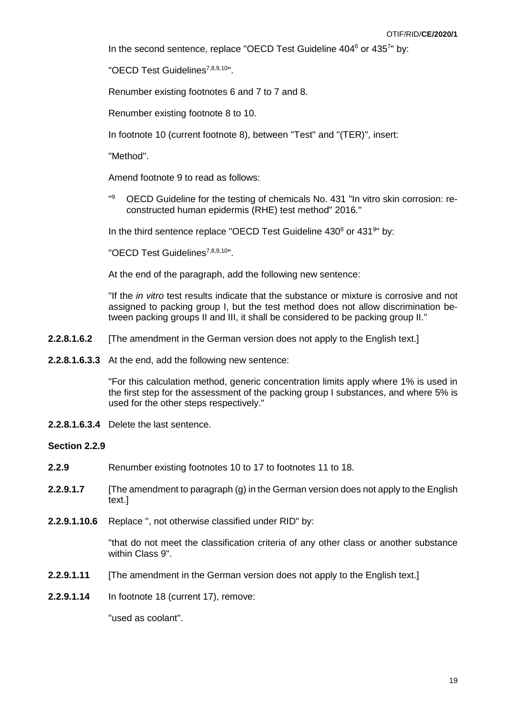In the second sentence, replace "OECD Test Guideline 404<sup>6</sup> or 4357" by:

"OECD Test Guidelines7,8,9,10".

Renumber existing footnotes 6 and 7 to 7 and 8.

Renumber existing footnote 8 to 10.

In footnote 10 (current footnote 8), between "Test" and "(TER)", insert:

"Method".

Amend footnote 9 to read as follows:

"9 <sup>9</sup> OECD Guideline for the testing of chemicals No. 431 "In vitro skin corrosion: reconstructed human epidermis (RHE) test method" 2016."

In the third sentence replace "OECD Test Guideline  $430<sup>8</sup>$  or  $431<sup>9</sup>$ " by:

"OECD Test Guidelines<sup>7,8,9,10</sup>".

At the end of the paragraph, add the following new sentence:

"If the *in vitro* test results indicate that the substance or mixture is corrosive and not assigned to packing group I, but the test method does not allow discrimination between packing groups II and III, it shall be considered to be packing group II."

- **2.2.8.1.6.2** [The amendment in the German version does not apply to the English text.]
- **2.2.8.1.6.3.3** At the end, add the following new sentence:

"For this calculation method, generic concentration limits apply where 1% is used in the first step for the assessment of the packing group I substances, and where 5% is used for the other steps respectively."

**2.2.8.1.6.3.4** Delete the last sentence.

#### **Section 2.2.9**

- **2.2.9** Renumber existing footnotes 10 to 17 to footnotes 11 to 18.
- **2.2.9.1.7** [The amendment to paragraph (g) in the German version does not apply to the English text.]
- **2.2.9.1.10.6** Replace ", not otherwise classified under RID" by:

"that do not meet the classification criteria of any other class or another substance within Class 9".

- **2.2.9.1.11** [The amendment in the German version does not apply to the English text.]
- **2.2.9.1.14** In footnote 18 (current 17), remove:

"used as coolant".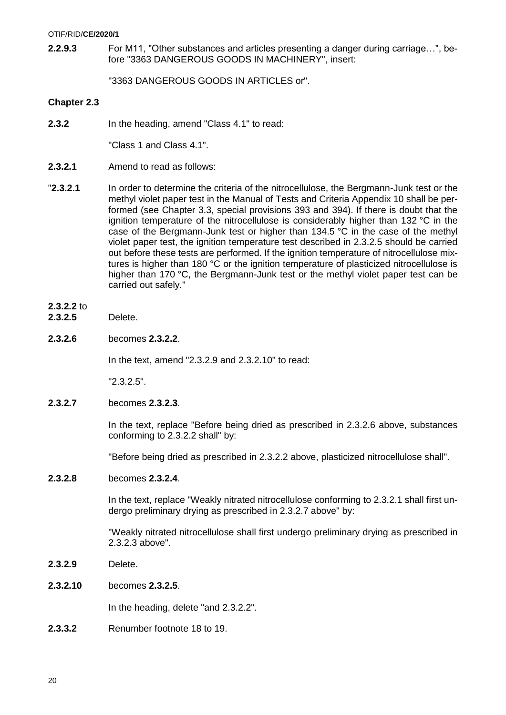#### OTIF/RID/**CE/2020/1**

**2.2.9.3** For M11, "Other substances and articles presenting a danger during carriage…", before "3363 DANGEROUS GOODS IN MACHINERY", insert:

"3363 DANGEROUS GOODS IN ARTICLES or".

### **Chapter 2.3**

**2.3.2** In the heading, amend "Class 4.1" to read:

"Class 1 and Class 4.1".

- **2.3.2.1** Amend to read as follows:
- "**2.3.2.1** In order to determine the criteria of the nitrocellulose, the Bergmann-Junk test or the methyl violet paper test in the Manual of Tests and Criteria Appendix 10 shall be performed (see Chapter 3.3, special provisions 393 and 394). If there is doubt that the ignition temperature of the nitrocellulose is considerably higher than 132 °C in the case of the Bergmann-Junk test or higher than 134.5 °C in the case of the methyl violet paper test, the ignition temperature test described in 2.3.2.5 should be carried out before these tests are performed. If the ignition temperature of nitrocellulose mixtures is higher than 180 °C or the ignition temperature of plasticized nitrocellulose is higher than 170 °C, the Bergmann-Junk test or the methyl violet paper test can be carried out safely."

## **2.3.2.2** to

- **2.3.2.5** Delete.
- **2.3.2.6** becomes **2.3.2.2**.

In the text, amend "2.3.2.9 and 2.3.2.10" to read:

"2.3.2.5".

**2.3.2.7** becomes **2.3.2.3**.

In the text, replace "Before being dried as prescribed in 2.3.2.6 above, substances conforming to 2.3.2.2 shall" by:

"Before being dried as prescribed in 2.3.2.2 above, plasticized nitrocellulose shall".

**2.3.2.8** becomes **2.3.2.4**.

In the text, replace "Weakly nitrated nitrocellulose conforming to 2.3.2.1 shall first undergo preliminary drying as prescribed in 2.3.2.7 above" by:

"Weakly nitrated nitrocellulose shall first undergo preliminary drying as prescribed in 2.3.2.3 above".

- **2.3.2.9** Delete.
- **2.3.2.10** becomes **2.3.2.5**.

In the heading, delete "and 2.3.2.2".

**2.3.3.2** Renumber footnote 18 to 19.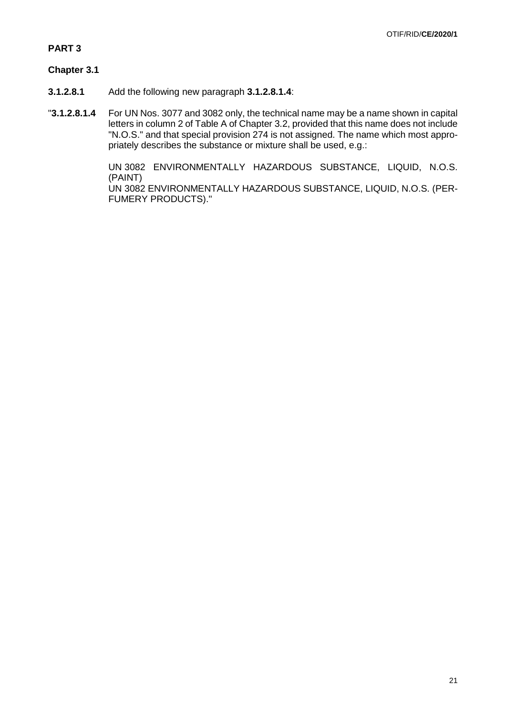### **PART 3**

## **Chapter 3.1**

- **3.1.2.8.1** Add the following new paragraph **3.1.2.8.1.4**:
- "**3.1.2.8.1.4** For UN Nos. 3077 and 3082 only, the technical name may be a name shown in capital letters in column 2 of Table A of Chapter 3.2, provided that this name does not include "N.O.S." and that special provision 274 is not assigned. The name which most appropriately describes the substance or mixture shall be used, e.g.:

UN 3082 ENVIRONMENTALLY HAZARDOUS SUBSTANCE, LIQUID, N.O.S. (PAINT) UN 3082 ENVIRONMENTALLY HAZARDOUS SUBSTANCE, LIQUID, N.O.S. (PER-FUMERY PRODUCTS)."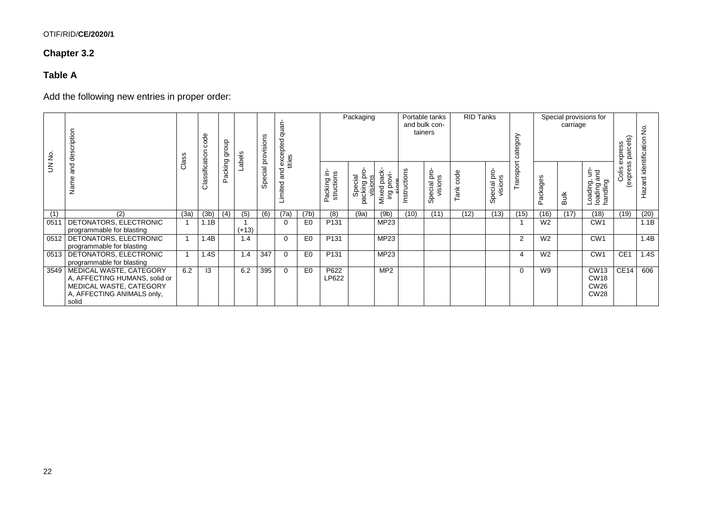# OTIF/RID/**CE/2020/1**

# **Chapter 3.2**

# **Table A**

Add the following new entries in proper order:

| £      | cription<br>des                     | S<br>Ö | ୫<br>8         | diorb   | Labels  | Special provisions | quan-<br>I excepted of<br>tities |                |                           | Packaging                          |                             |              | Portable tanks<br>and bulk con-<br>tainers | <b>RID Tanks</b> |                          | category  |                | carriage    | Special provisions for                        | parcels)<br>express | $\frac{1}{2}$         |
|--------|-------------------------------------|--------|----------------|---------|---------|--------------------|----------------------------------|----------------|---------------------------|------------------------------------|-----------------------------|--------------|--------------------------------------------|------------------|--------------------------|-----------|----------------|-------------|-----------------------------------------------|---------------------|-----------------------|
| $\leq$ | and<br>Nam                          | සී     | Classification | packing |         |                    | Limited and                      |                | Packing in-<br>structions | Special<br>packing pro-<br>visions | Mixed pack<br>provi-<br>Βuι | Instructions | Special pro-<br>visions                    | ank code         | р.<br>visions<br>Special | Transport | ackages<br>௳   | <b>Bulk</b> | i g<br>π<br>Loading,<br>Ioading a<br>handling | (express<br>Colis   | Hazard identification |
| (1)    | (2)                                 | (3a)   | (3b)           | (4)     | (5)     | (6)                | (7a)                             | (7b)           | (8)                       | (9a)                               | (9b)                        | (10)         | (11)                                       | (12)             | (13)                     | (15)      | (16)           | (17)        | (18)                                          | (19)                | (20)                  |
| 0511   | DETONATORS, ELECTRONIC              |        | 1.1B           |         |         |                    | $\Omega$                         | E <sub>0</sub> | P <sub>131</sub>          |                                    | MP23                        |              |                                            |                  |                          |           | W <sub>2</sub> |             | CW <sub>1</sub>                               |                     | 1.1B                  |
|        | programmable for blasting           |        |                |         | $(+13)$ |                    |                                  |                |                           |                                    |                             |              |                                            |                  |                          |           |                |             |                                               |                     |                       |
| 0512   | <b>DETONATORS, ELECTRONIC</b>       |        | 1.4B           |         | 1.4     |                    | $\Omega$                         | E <sub>0</sub> | P <sub>131</sub>          |                                    | <b>MP23</b>                 |              |                                            |                  |                          | 2         | W <sub>2</sub> |             | CW <sub>1</sub>                               |                     | 1.4B                  |
|        | programmable for blasting           |        |                |         |         |                    |                                  |                |                           |                                    |                             |              |                                            |                  |                          |           |                |             |                                               |                     |                       |
| 0513   | DETONATORS, ELECTRONIC              |        | 1.4S           |         | 1.4     | 347                | $\Omega$                         | E <sub>0</sub> | P <sub>131</sub>          |                                    | MP23                        |              |                                            |                  |                          | 4         | W <sub>2</sub> |             | CW <sub>1</sub>                               | CE <sub>1</sub>     | 1.4S                  |
|        | programmable for blasting           |        |                |         |         |                    |                                  |                |                           |                                    |                             |              |                                            |                  |                          |           |                |             |                                               |                     |                       |
| 3549   | MEDICAL WASTE, CATEGORY             | 6.2    | 13             |         | 6.2     | 395                | $\Omega$                         | E <sub>0</sub> | P622                      |                                    | MP2                         |              |                                            |                  |                          | $\Omega$  | W9             |             | CW13                                          | CE14                | 606                   |
|        | A, AFFECTING HUMANS, solid or       |        |                |         |         |                    |                                  |                | LP622                     |                                    |                             |              |                                            |                  |                          |           |                |             | <b>CW18</b>                                   |                     |                       |
|        | MEDICAL WASTE, CATEGORY             |        |                |         |         |                    |                                  |                |                           |                                    |                             |              |                                            |                  |                          |           |                |             | CW26<br><b>CW28</b>                           |                     |                       |
|        | A, AFFECTING ANIMALS only,<br>solid |        |                |         |         |                    |                                  |                |                           |                                    |                             |              |                                            |                  |                          |           |                |             |                                               |                     |                       |
|        |                                     |        |                |         |         |                    |                                  |                |                           |                                    |                             |              |                                            |                  |                          |           |                |             |                                               |                     |                       |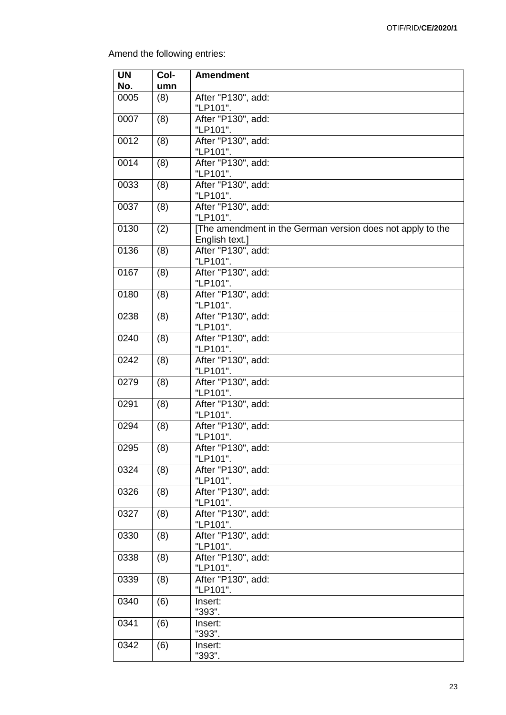Amend the following entries:

| <b>UN</b> | Col- | <b>Amendment</b>                                                             |
|-----------|------|------------------------------------------------------------------------------|
| No.       | umn  |                                                                              |
| 0005      | (8)  | After "P130", add:<br>"LP101".                                               |
| 0007      | (8)  | After "P130", add:<br>"LP101".                                               |
| 0012      | (8)  | After "P130", add:<br>"LP101".                                               |
| 0014      | (8)  | After "P130", add:<br>"LP101".                                               |
| 0033      | (8)  | After "P130", add:<br>"LP101".                                               |
| 0037      | (8)  | After "P130", add:<br>"LP101".                                               |
| 0130      | (2)  | [The amendment in the German version does not apply to the<br>English text.] |
| 0136      | (8)  | After "P130", add:<br>"LP101".                                               |
| 0167      | (8)  | After "P130", add:<br>"LP101".                                               |
| 0180      | (8)  | After "P130", add:<br>"LP101".                                               |
| 0238      | (8)  | After "P130", add:<br>"LP101".                                               |
| 0240      | (8)  | After "P130", add:<br>"LP101".                                               |
| 0242      | (8)  | After "P130", add:<br>"LP101".                                               |
| 0279      | (8)  | After "P130", add:<br>"LP101".                                               |
| 0291      | (8)  | After "P130", add:<br>"LP101".                                               |
| 0294      | (8)  | After "P130", add:<br>"LP101".                                               |
| 0295      | (8)  | After "P130", add:<br>"LP101".                                               |
| 0324      | (8)  | After "P130", add:<br>"LP101".                                               |
| 0326      | (8)  | After "P130", add:<br>"LP101".                                               |
| 0327      | (8)  | After "P130", add:<br>"LP101".                                               |
| 0330      | (8)  | After "P130", add:<br>"LP101".                                               |
| 0338      | (8)  | After "P130", add:<br>"LP101".                                               |
| 0339      | (8)  | After "P130", add:<br>"LP101".                                               |
| 0340      | (6)  | Insert:<br>"393".                                                            |
| 0341      | (6)  | Insert:<br>"393".                                                            |
| 0342      | (6)  | Insert:<br>"393".                                                            |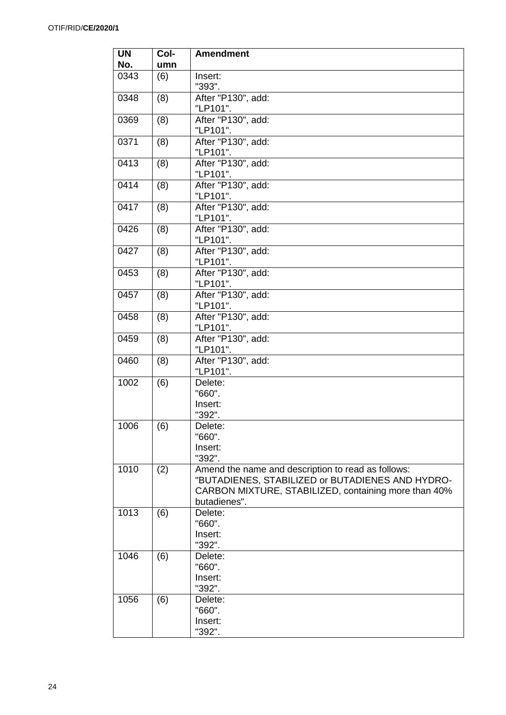| <b>UN</b> | Col- | <b>Amendment</b>                                                                                                                                                               |
|-----------|------|--------------------------------------------------------------------------------------------------------------------------------------------------------------------------------|
| No.       | umn  |                                                                                                                                                                                |
| 0343      | (6)  | Insert:<br>"393".                                                                                                                                                              |
| 0348      | (8)  | After "P130", add:<br>"LP101".                                                                                                                                                 |
| 0369      | (8)  | After "P130", add:<br>"LP101".                                                                                                                                                 |
| 0371      | (8)  | After "P130", add:<br>"LP101".                                                                                                                                                 |
| 0413      | (8)  | After "P130", add:<br>"LP101".                                                                                                                                                 |
| 0414      | (8)  | After "P130", add:<br>"LP101".                                                                                                                                                 |
| 0417      | (8)  | After "P130", add:<br>"LP101".                                                                                                                                                 |
| 0426      | (8)  | After "P130", add:<br>"LP101".                                                                                                                                                 |
| 0427      | (8)  | After "P130", add:<br>"LP101".                                                                                                                                                 |
| 0453      | (8)  | After "P130", add:<br>"LP101".                                                                                                                                                 |
| 0457      | (8)  | After "P130", add:<br>"LP101".                                                                                                                                                 |
| 0458      | (8)  | After "P130", add:<br>"LP101".                                                                                                                                                 |
| 0459      | (8)  | After "P130", add:<br>"LP101".                                                                                                                                                 |
| 0460      | (8)  | After "P130", add:<br>"LP101".                                                                                                                                                 |
| 1002      | (6)  | Delete:<br>"660".                                                                                                                                                              |
|           |      | Insert:<br>"392".                                                                                                                                                              |
| 1006      | (6)  | Delete:<br>"660".                                                                                                                                                              |
|           |      | Insert:<br>"392".                                                                                                                                                              |
| 1010      | (2)  | Amend the name and description to read as follows:<br>"BUTADIENES, STABILIZED or BUTADIENES AND HYDRO-<br>CARBON MIXTURE, STABILIZED, containing more than 40%<br>butadienes". |
| 1013      | (6)  | Delete:<br>"660".                                                                                                                                                              |
|           |      | Insert:<br>"392".                                                                                                                                                              |
| 1046      | (6)  | Delete:<br>"660".                                                                                                                                                              |
|           |      | Insert:<br>"392".                                                                                                                                                              |
| 1056      | (6)  | Delete:<br>"660".                                                                                                                                                              |
|           |      | Insert:<br>"392".                                                                                                                                                              |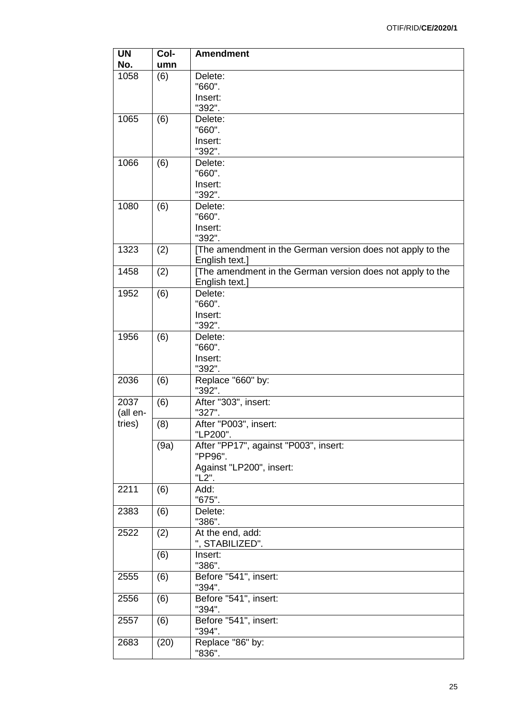| <b>UN</b><br>No. | Col-<br>umn | <b>Amendment</b>                                           |
|------------------|-------------|------------------------------------------------------------|
|                  |             |                                                            |
| 1058             | (6)         | Delete:                                                    |
|                  |             | "660".                                                     |
|                  |             | Insert:                                                    |
|                  |             | "392".                                                     |
| 1065             | (6)         | Delete:                                                    |
|                  |             | "660".                                                     |
|                  |             | Insert:                                                    |
|                  |             | "392".                                                     |
| 1066             | (6)         | Delete:                                                    |
|                  |             | "660".                                                     |
|                  |             | Insert:                                                    |
|                  |             | "392".                                                     |
| 1080             | (6)         | Delete:                                                    |
|                  |             | "660".                                                     |
|                  |             |                                                            |
|                  |             | Insert:                                                    |
|                  |             | "392".                                                     |
| 1323             | (2)         | [The amendment in the German version does not apply to the |
|                  |             | English text.]                                             |
| 1458             | (2)         | [The amendment in the German version does not apply to the |
|                  |             | English text.]                                             |
| 1952             | (6)         | Delete:                                                    |
|                  |             | "660".                                                     |
|                  |             | Insert:                                                    |
|                  |             | "392".                                                     |
| 1956             | (6)         | Delete:                                                    |
|                  |             | "660".                                                     |
|                  |             | Insert:                                                    |
|                  |             | "392".                                                     |
| 2036             |             |                                                            |
|                  | (6)         | Replace "660" by:                                          |
|                  |             | "392".                                                     |
| 2037             | (6)         | After "303", insert:                                       |
| (all en-         |             | "327".                                                     |
| tries)           | (8)         | After "P003", insert:                                      |
|                  |             | "LP200".                                                   |
|                  | (9a)        | After "PP17", against "P003", insert:                      |
|                  |             | "PP96".                                                    |
|                  |             | Against "LP200", insert:                                   |
|                  |             | "L2".                                                      |
| 2211             | (6)         | Add:                                                       |
|                  |             | "675".                                                     |
| 2383             | (6)         | Delete:                                                    |
|                  |             | "386".                                                     |
| 2522             |             | At the end, add:                                           |
|                  | (2)         |                                                            |
|                  |             | ", STABILIZED".                                            |
|                  | (6)         | Insert:                                                    |
|                  |             | "386".                                                     |
| 2555             | (6)         | Before "541", insert:                                      |
|                  |             | "394".                                                     |
| 2556             | (6)         | Before "541", insert:                                      |
|                  |             | "394".                                                     |
| 2557             | (6)         | Before "541", insert:                                      |
|                  |             | "394".                                                     |
| 2683             | (20)        | Replace "86" by:                                           |
|                  |             | "836".                                                     |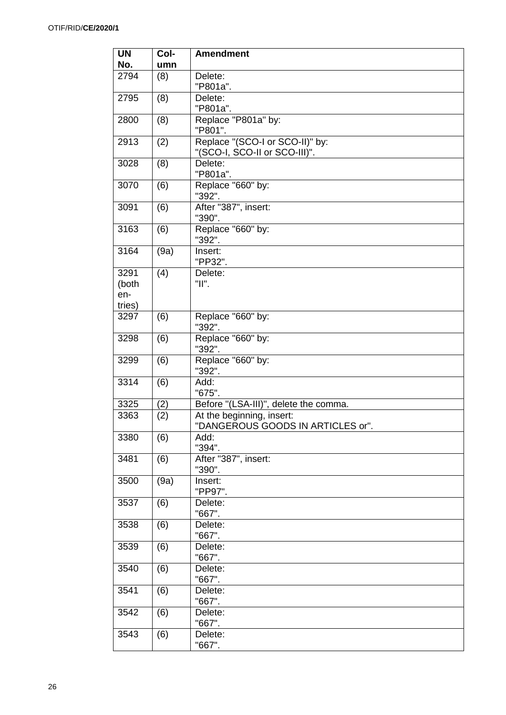| <b>UN</b> | Col- | <b>Amendment</b>                         |
|-----------|------|------------------------------------------|
| No.       | umn  |                                          |
| 2794      | (8)  | Delete:<br>"P801a".                      |
| 2795      | (8)  | Delete:                                  |
|           |      | "P801a".                                 |
| 2800      | (8)  | Replace "P801a" by:                      |
|           |      | "P801".                                  |
| 2913      | (2)  | Replace "(SCO-I or SCO-II)" by:          |
|           |      | "(SCO-I, SCO-II or SCO-III)".            |
| 3028      | (8)  | Delete:<br>"P801a".                      |
| 3070      | (6)  | Replace "660" by:                        |
|           |      | "392".                                   |
| 3091      | (6)  | After "387", insert:                     |
|           |      | "390".                                   |
| 3163      | (6)  | Replace "660" by:<br>"392".              |
| 3164      | (9a) | Insert:                                  |
|           |      | "PP32".                                  |
| 3291      | (4)  | Delete:                                  |
| (both     |      | "II".                                    |
| en-       |      |                                          |
| tries)    |      |                                          |
| 3297      | (6)  | Replace "660" by:<br>"392".              |
| 3298      | (6)  | Replace "660" by:                        |
|           |      | "392".                                   |
| 3299      | (6)  | Replace "660" by:<br>"392".              |
| 3314      | (6)  | Add:<br>"675".                           |
| 3325      | (2)  | Before "(LSA-III)", delete the comma.    |
| 3363      | (2)  | At the beginning, insert:                |
| 3380      | (6)  | "DANGEROUS GOODS IN ARTICLES or"<br>Add: |
|           |      | "394".                                   |
| 3481      | (6)  | After "387", insert:<br>"390".           |
| 3500      | (9a) | Insert:                                  |
|           |      | "PP97".                                  |
| 3537      | (6)  | Delete:                                  |
|           |      | "667".                                   |
| 3538      | (6)  | Delete:<br>"667".                        |
| 3539      | (6)  | Delete:                                  |
|           |      | "667".                                   |
| 3540      | (6)  | Delete:<br>"667".                        |
| 3541      | (6)  | Delete:                                  |
|           |      | "667".                                   |
| 3542      | (6)  | Delete:                                  |
|           |      | "667".                                   |
| 3543      | (6)  | Delete:                                  |
|           |      | "667".                                   |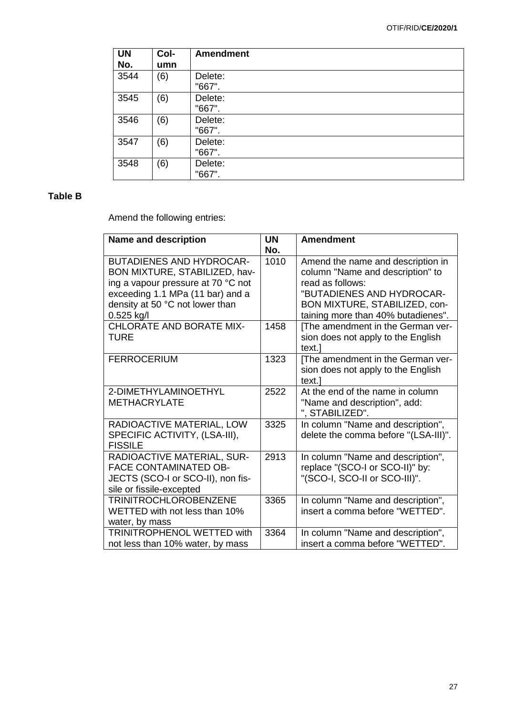| <b>UN</b><br>No. | Col-<br>umn | <b>Amendment</b>  |
|------------------|-------------|-------------------|
| 3544             | (6)         | Delete:<br>"667". |
| 3545             | (6)         | Delete:<br>"667". |
| 3546             | (6)         | Delete:<br>"667". |
| 3547             | (6)         | Delete:<br>"667". |
| 3548             | (6)         | Delete:<br>"667". |

# **Table B**

Amend the following entries:

| <b>Name and description</b>                                                                                                                                                                   | <b>UN</b><br>No. | <b>Amendment</b>                                                                                                                                                                              |
|-----------------------------------------------------------------------------------------------------------------------------------------------------------------------------------------------|------------------|-----------------------------------------------------------------------------------------------------------------------------------------------------------------------------------------------|
| <b>BUTADIENES AND HYDROCAR-</b><br>BON MIXTURE, STABILIZED, hav-<br>ing a vapour pressure at 70 °C not<br>exceeding 1.1 MPa (11 bar) and a<br>density at 50 °C not lower than<br>$0.525$ kg/l | 1010             | Amend the name and description in<br>column "Name and description" to<br>read as follows:<br>"BUTADIENES AND HYDROCAR-<br>BON MIXTURE, STABILIZED, con-<br>taining more than 40% butadienes". |
| <b>CHLORATE AND BORATE MIX-</b><br>TURE                                                                                                                                                       | 1458             | [The amendment in the German ver-<br>sion does not apply to the English<br>text.]                                                                                                             |
| <b>FERROCERIUM</b>                                                                                                                                                                            | 1323             | [The amendment in the German ver-<br>sion does not apply to the English<br>text.]                                                                                                             |
| 2-DIMETHYLAMINOETHYL<br><b>METHACRYLATE</b>                                                                                                                                                   | 2522             | At the end of the name in column<br>"Name and description", add:<br>", STABILIZED".                                                                                                           |
| RADIOACTIVE MATERIAL, LOW<br>SPECIFIC ACTIVITY, (LSA-III),<br><b>FISSILE</b>                                                                                                                  | 3325             | In column "Name and description",<br>delete the comma before "(LSA-III)".                                                                                                                     |
| RADIOACTIVE MATERIAL, SUR-<br><b>FACE CONTAMINATED OB-</b><br>JECTS (SCO-I or SCO-II), non fis-<br>sile or fissile-excepted                                                                   | 2913             | In column "Name and description",<br>replace "(SCO-I or SCO-II)" by:<br>"(SCO-I, SCO-II or SCO-III)".                                                                                         |
| <b>TRINITROCHLOROBENZENE</b><br>WETTED with not less than 10%<br>water, by mass                                                                                                               | 3365             | In column "Name and description",<br>insert a comma before "WETTED".                                                                                                                          |
| <b>TRINITROPHENOL WETTED with</b><br>not less than 10% water, by mass                                                                                                                         | 3364             | In column "Name and description",<br>insert a comma before "WETTED".                                                                                                                          |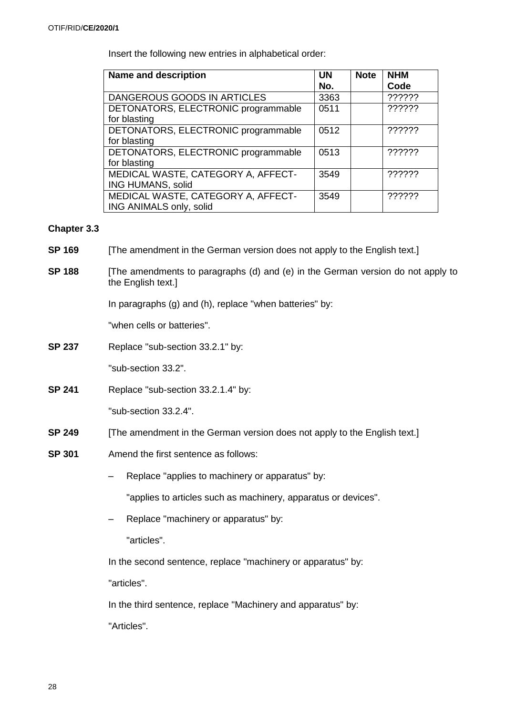Insert the following new entries in alphabetical order:

| <b>Name and description</b>         | <b>UN</b> | <b>Note</b> | <b>NHM</b> |
|-------------------------------------|-----------|-------------|------------|
|                                     | No.       |             | Code       |
| DANGEROUS GOODS IN ARTICLES         | 3363      |             | ??????     |
| DETONATORS, ELECTRONIC programmable | 0511      |             | ??????     |
| for blasting                        |           |             |            |
| DETONATORS, ELECTRONIC programmable | 0512      |             | ??????     |
| for blasting                        |           |             |            |
| DETONATORS, ELECTRONIC programmable | 0513      |             | ??????     |
| for blasting                        |           |             |            |
| MEDICAL WASTE, CATEGORY A, AFFECT-  | 3549      |             | ??????     |
| ING HUMANS, solid                   |           |             |            |
| MEDICAL WASTE, CATEGORY A, AFFECT-  | 3549      |             | ??????     |
| ING ANIMALS only, solid             |           |             |            |

### **Chapter 3.3**

- **SP 169** [The amendment in the German version does not apply to the English text.]
- **SP 188** [The amendments to paragraphs (d) and (e) in the German version do not apply to the English text.]

In paragraphs (g) and (h), replace "when batteries" by:

"when cells or batteries".

**SP 237** Replace "sub-section 33.2.1" by:

"sub-section 33.2".

**SP 241** Replace "sub-section 33.2.1.4" by:

"sub-section 33.2.4".

- **SP 249** [The amendment in the German version does not apply to the English text.]
- **SP 301** Amend the first sentence as follows:
	- Replace "applies to machinery or apparatus" by:

"applies to articles such as machinery, apparatus or devices".

– Replace "machinery or apparatus" by:

"articles".

In the second sentence, replace "machinery or apparatus" by:

"articles".

In the third sentence, replace "Machinery and apparatus" by:

"Articles".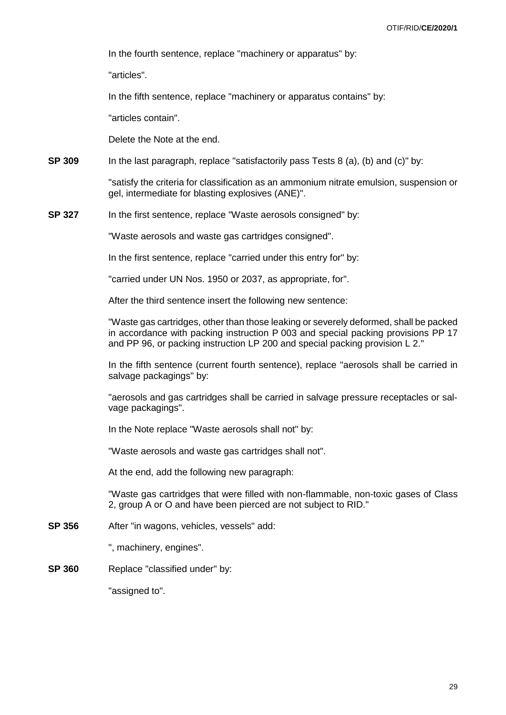In the fourth sentence, replace "machinery or apparatus" by:

"articles".

In the fifth sentence, replace "machinery or apparatus contains" by:

"articles contain".

Delete the Note at the end.

**SP 309** In the last paragraph, replace "satisfactorily pass Tests 8 (a), (b) and (c)" by:

"satisfy the criteria for classification as an ammonium nitrate emulsion, suspension or gel, intermediate for blasting explosives (ANE)".

**SP 327** In the first sentence, replace "Waste aerosols consigned" by:

"Waste aerosols and waste gas cartridges consigned".

In the first sentence, replace "carried under this entry for" by:

"carried under UN Nos. 1950 or 2037, as appropriate, for".

After the third sentence insert the following new sentence:

"Waste gas cartridges, other than those leaking or severely deformed, shall be packed in accordance with packing instruction P 003 and special packing provisions PP 17 and PP 96, or packing instruction LP 200 and special packing provision L 2."

In the fifth sentence (current fourth sentence), replace "aerosols shall be carried in salvage packagings" by:

"aerosols and gas cartridges shall be carried in salvage pressure receptacles or salvage packagings".

In the Note replace "Waste aerosols shall not" by:

"Waste aerosols and waste gas cartridges shall not".

At the end, add the following new paragraph:

"Waste gas cartridges that were filled with non-flammable, non-toxic gases of Class 2, group A or O and have been pierced are not subject to RID."

**SP 356** After "in wagons, vehicles, vessels" add:

", machinery, engines".

**SP 360** Replace "classified under" by:

"assigned to".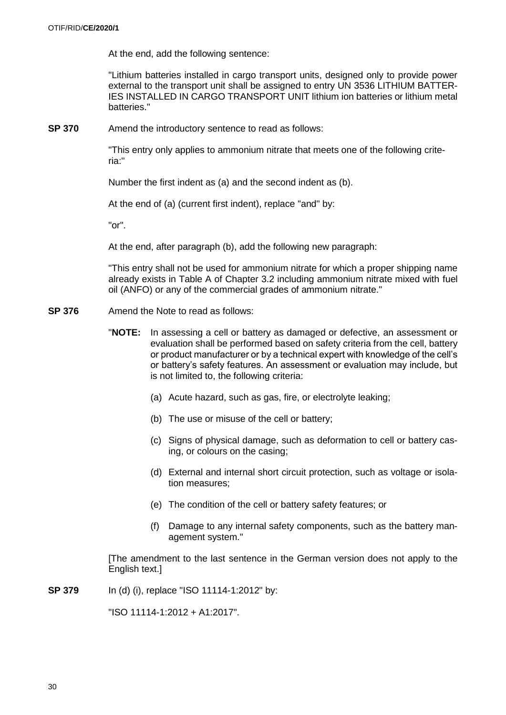At the end, add the following sentence:

"Lithium batteries installed in cargo transport units, designed only to provide power external to the transport unit shall be assigned to entry UN 3536 LITHIUM BATTER-IES INSTALLED IN CARGO TRANSPORT UNIT lithium ion batteries or lithium metal batteries."

**SP 370** Amend the introductory sentence to read as follows:

"This entry only applies to ammonium nitrate that meets one of the following criteria:"

Number the first indent as (a) and the second indent as (b).

At the end of (a) (current first indent), replace "and" by:

"or".

At the end, after paragraph (b), add the following new paragraph:

"This entry shall not be used for ammonium nitrate for which a proper shipping name already exists in Table A of Chapter 3.2 including ammonium nitrate mixed with fuel oil (ANFO) or any of the commercial grades of ammonium nitrate."

- **SP 376** Amend the Note to read as follows:
	- "**NOTE:** In assessing a cell or battery as damaged or defective, an assessment or evaluation shall be performed based on safety criteria from the cell, battery or product manufacturer or by a technical expert with knowledge of the cell's or battery's safety features. An assessment or evaluation may include, but is not limited to, the following criteria:
		- (a) Acute hazard, such as gas, fire, or electrolyte leaking;
		- (b) The use or misuse of the cell or battery;
		- (c) Signs of physical damage, such as deformation to cell or battery casing, or colours on the casing;
		- (d) External and internal short circuit protection, such as voltage or isolation measures;
		- (e) The condition of the cell or battery safety features; or
		- (f) Damage to any internal safety components, such as the battery management system."

[The amendment to the last sentence in the German version does not apply to the English text.]

**SP 379** In (d) (i), replace "ISO 11114-1:2012" by:

"ISO 11114-1:2012 + A1:2017".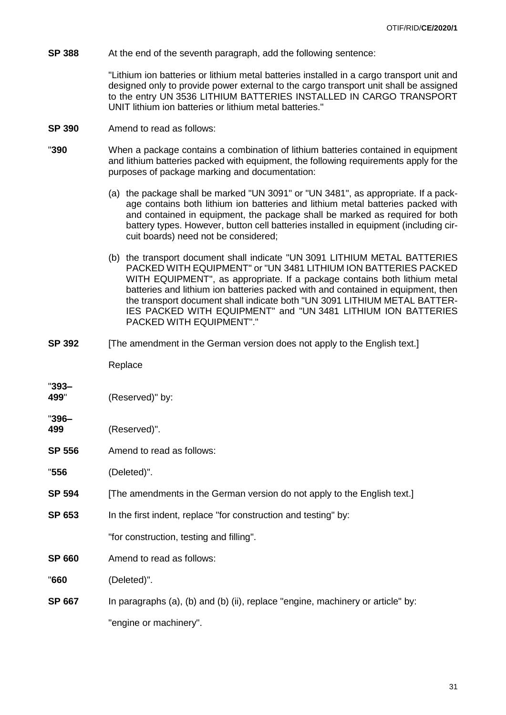**SP** 388 At the end of the seventh paragraph, add the following sentence:

"Lithium ion batteries or lithium metal batteries installed in a cargo transport unit and designed only to provide power external to the cargo transport unit shall be assigned to the entry UN 3536 LITHIUM BATTERIES INSTALLED IN CARGO TRANSPORT UNIT lithium ion batteries or lithium metal batteries."

- **SP 390** Amend to read as follows:
- "**390** When a package contains a combination of lithium batteries contained in equipment and lithium batteries packed with equipment, the following requirements apply for the purposes of package marking and documentation:
	- (a) the package shall be marked "UN 3091" or "UN 3481", as appropriate. If a package contains both lithium ion batteries and lithium metal batteries packed with and contained in equipment, the package shall be marked as required for both battery types. However, button cell batteries installed in equipment (including circuit boards) need not be considered;
	- (b) the transport document shall indicate "UN 3091 LITHIUM METAL BATTERIES PACKED WITH EQUIPMENT" or "UN 3481 LITHIUM ION BATTERIES PACKED WITH EQUIPMENT", as appropriate. If a package contains both lithium metal batteries and lithium ion batteries packed with and contained in equipment, then the transport document shall indicate both "UN 3091 LITHIUM METAL BATTER-IES PACKED WITH EQUIPMENT" and "UN 3481 LITHIUM ION BATTERIES PACKED WITH EQUIPMENT"."
- **SP 392** [The amendment in the German version does not apply to the English text.]

Replace

"**393– 499**" (Reserved)" by:

**499** (Reserved)".

"**396–**

**SP 556** Amend to read as follows:

"**556** (Deleted)".

- **SP 594** [The amendments in the German version do not apply to the English text.]
- **SP 653** In the first indent, replace "for construction and testing" by:

"for construction, testing and filling".

**SP 660** Amend to read as follows:

"**660** (Deleted)".

**SP 667** In paragraphs (a), (b) and (b) (ii), replace "engine, machinery or article" by: "engine or machinery".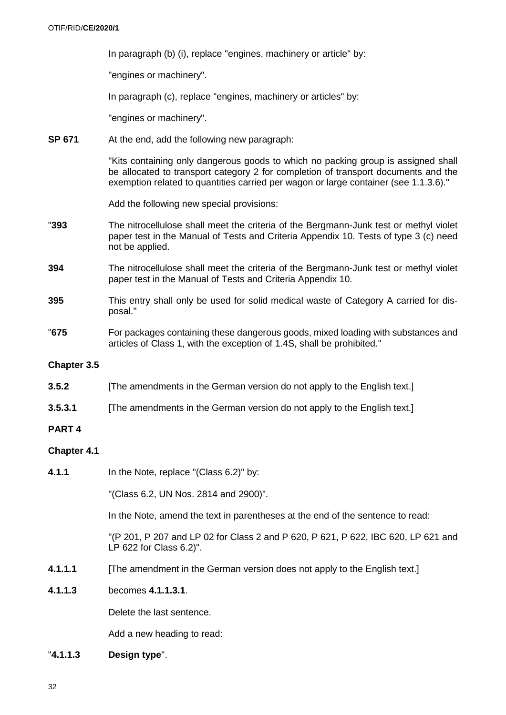In paragraph (b) (i), replace "engines, machinery or article" by:

"engines or machinery".

In paragraph (c), replace "engines, machinery or articles" by:

"engines or machinery".

**SP 671** At the end, add the following new paragraph:

"Kits containing only dangerous goods to which no packing group is assigned shall be allocated to transport category 2 for completion of transport documents and the exemption related to quantities carried per wagon or large container (see 1.1.3.6)."

Add the following new special provisions:

- "**393** The nitrocellulose shall meet the criteria of the Bergmann-Junk test or methyl violet paper test in the Manual of Tests and Criteria Appendix 10. Tests of type 3 (c) need not be applied.
- **394** The nitrocellulose shall meet the criteria of the Bergmann-Junk test or methyl violet paper test in the Manual of Tests and Criteria Appendix 10.
- **395** This entry shall only be used for solid medical waste of Category A carried for disposal."
- "**675** For packages containing these dangerous goods, mixed loading with substances and articles of Class 1, with the exception of 1.4S, shall be prohibited."

# **Chapter 3.5**

- **3.5.2** [The amendments in the German version do not apply to the English text.]
- **3.5.3.1** [The amendments in the German version do not apply to the English text.]

# **PART 4**

# **Chapter 4.1**

**4.1.1** In the Note, replace "(Class 6.2)" by:

"(Class 6.2, UN Nos. 2814 and 2900)".

In the Note, amend the text in parentheses at the end of the sentence to read:

"(P 201, P 207 and LP 02 for Class 2 and P 620, P 621, P 622, IBC 620, LP 621 and LP 622 for Class 6.2)".

- **4.1.1.1** [The amendment in the German version does not apply to the English text.]
- **4.1.1.3** becomes **4.1.1.3.1**.

Delete the last sentence.

Add a new heading to read:

"**4.1.1.3 Design type**".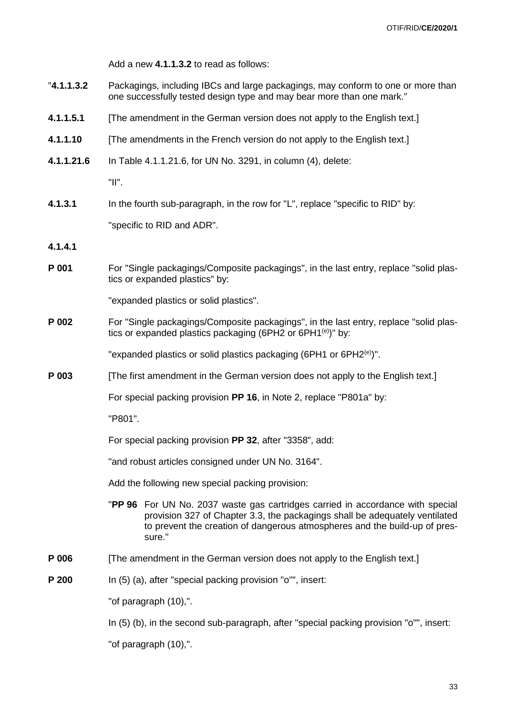Add a new **4.1.1.3.2** to read as follows:

- "**4.1.1.3.2** Packagings, including IBCs and large packagings, may conform to one or more than one successfully tested design type and may bear more than one mark."
- **4.1.1.5.1** [The amendment in the German version does not apply to the English text.]
- **4.1.1.10** [The amendments in the French version do not apply to the English text.]
- **4.1.1.21.6** In Table 4.1.1.21.6, for UN No. 3291, in column (4), delete:

"II".

**4.1.3.1** In the fourth sub-paragraph, in the row for "L", replace "specific to RID" by:

"specific to RID and ADR".

- **4.1.4.1**
- **P 001** For "Single packagings/Composite packagings", in the last entry, replace "solid plastics or expanded plastics" by:

"expanded plastics or solid plastics".

**P 002** For "Single packagings/Composite packagings", in the last entry, replace "solid plastics or expanded plastics packaging (6PH2 or 6PH1 $^{(e)}$ )" by:

"expanded plastics or solid plastics packaging (6PH1 or 6PH2 $^{(e)}$ )".

**P 003** [The first amendment in the German version does not apply to the English text.]

For special packing provision **PP 16**, in Note 2, replace "P801a" by:

"P801".

For special packing provision **PP 32**, after "3358", add:

"and robust articles consigned under UN No. 3164".

Add the following new special packing provision:

- "**PP 96** For UN No. 2037 waste gas cartridges carried in accordance with special provision 327 of Chapter 3.3, the packagings shall be adequately ventilated to prevent the creation of dangerous atmospheres and the build-up of pressure."
- **P 006** [The amendment in the German version does not apply to the English text.]
- **P 200** In (5) (a), after "special packing provision "o"", insert:

"of paragraph (10),".

In (5) (b), in the second sub-paragraph, after "special packing provision "o"", insert:

"of paragraph (10),".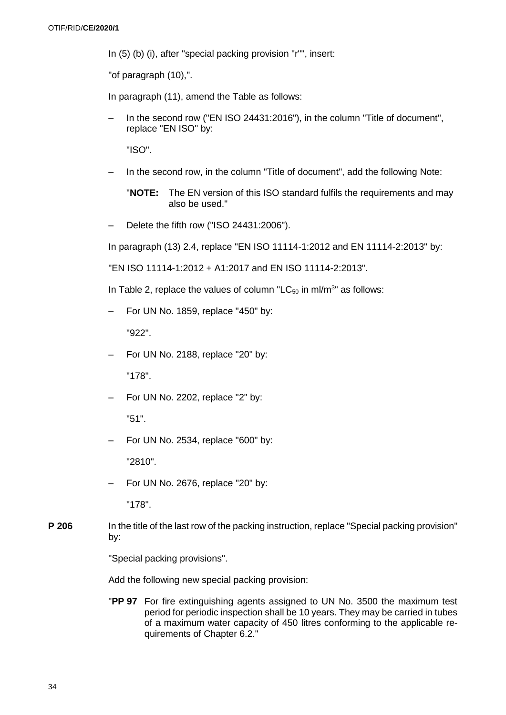In (5) (b) (i), after "special packing provision "r"", insert:

"of paragraph (10),".

In paragraph (11), amend the Table as follows:

In the second row ("EN ISO 24431:2016"), in the column "Title of document", replace "EN ISO" by:

"ISO".

- In the second row, in the column "Title of document", add the following Note:
	- "**NOTE:** The EN version of this ISO standard fulfils the requirements and may also be used."
- Delete the fifth row ("ISO 24431:2006").

In paragraph (13) 2.4, replace "EN ISO 11114-1:2012 and EN 11114-2:2013" by:

"EN ISO 11114-1:2012 + A1:2017 and EN ISO 11114-2:2013".

In Table 2, replace the values of column "LC $_{50}$  in ml/m<sup>3</sup>" as follows:

– For UN No. 1859, replace "450" by:

"922".

– For UN No. 2188, replace "20" by:

"178".

– For UN No. 2202, replace "2" by:

"51".

– For UN No. 2534, replace "600" by:

"2810".

– For UN No. 2676, replace "20" by:

"178".

**P 206** In the title of the last row of the packing instruction, replace "Special packing provision" by:

"Special packing provisions".

Add the following new special packing provision:

"**PP 97** For fire extinguishing agents assigned to UN No. 3500 the maximum test period for periodic inspection shall be 10 years. They may be carried in tubes of a maximum water capacity of 450 litres conforming to the applicable requirements of Chapter 6.2."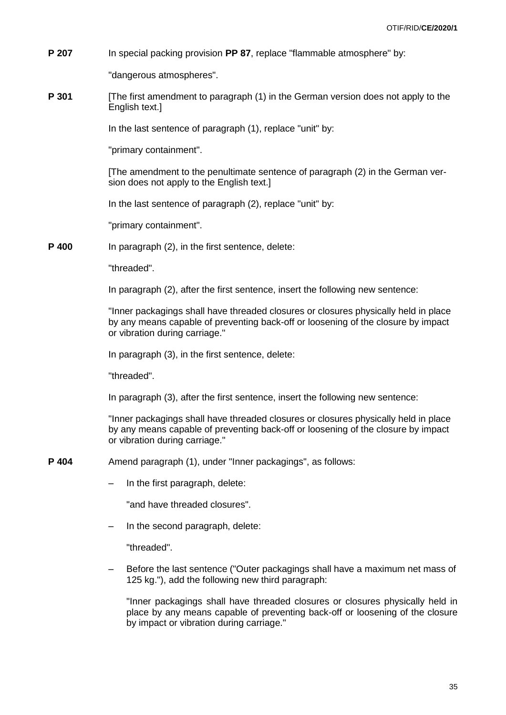**P 207** In special packing provision **PP 87**, replace "flammable atmosphere" by:

"dangerous atmospheres".

**P 301** [The first amendment to paragraph (1) in the German version does not apply to the English text.]

In the last sentence of paragraph (1), replace "unit" by:

"primary containment".

[The amendment to the penultimate sentence of paragraph (2) in the German version does not apply to the English text.]

In the last sentence of paragraph (2), replace "unit" by:

"primary containment".

**P 400** In paragraph (2), in the first sentence, delete:

"threaded".

In paragraph (2), after the first sentence, insert the following new sentence:

"Inner packagings shall have threaded closures or closures physically held in place by any means capable of preventing back-off or loosening of the closure by impact or vibration during carriage."

In paragraph (3), in the first sentence, delete:

"threaded".

In paragraph (3), after the first sentence, insert the following new sentence:

"Inner packagings shall have threaded closures or closures physically held in place by any means capable of preventing back-off or loosening of the closure by impact or vibration during carriage."

**P 404** Amend paragraph (1), under "Inner packagings", as follows:

– In the first paragraph, delete:

"and have threaded closures".

– In the second paragraph, delete:

"threaded".

– Before the last sentence ("Outer packagings shall have a maximum net mass of 125 kg."), add the following new third paragraph:

"Inner packagings shall have threaded closures or closures physically held in place by any means capable of preventing back-off or loosening of the closure by impact or vibration during carriage."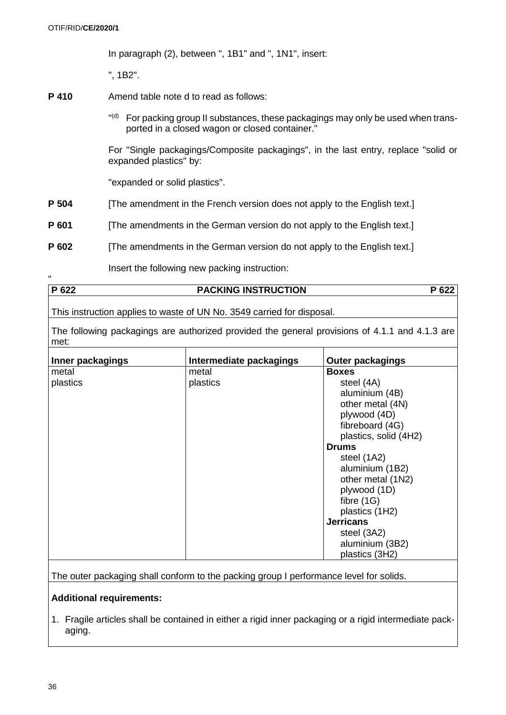In paragraph (2), between ", 1B1" and ", 1N1", insert:

", 1B2".

- **P 410** Amend table note d to read as follows:
	- "<sup>(d)</sup> For packing group II substances, these packagings may only be used when transported in a closed wagon or closed container."

For "Single packagings/Composite packagings", in the last entry, replace "solid or expanded plastics" by:

"expanded or solid plastics".

- **P 504** [The amendment in the French version does not apply to the English text.]
- **P 601** [The amendments in the German version do not apply to the English text.]
- **P 602** [The amendments in the German version do not apply to the English text.]

Insert the following new packing instruction:

| $\mathbf{D}$ 622 | <b>PACKING INSTRUCTION</b> |  |
|------------------|----------------------------|--|
|                  |                            |  |

This instruction applies to waste of UN No. 3549 carried for disposal.

The following packagings are authorized provided the general provisions of 4.1.1 and 4.1.3 are met:

| Inner packagings | Intermediate packagings | <b>Outer packagings</b> |
|------------------|-------------------------|-------------------------|
| metal            | metal                   | <b>Boxes</b>            |
| plastics         | plastics                | steel (4A)              |
|                  |                         | aluminium (4B)          |
|                  |                         | other metal (4N)        |
|                  |                         | plywood (4D)            |
|                  |                         | fibreboard (4G)         |
|                  |                         | plastics, solid (4H2)   |
|                  |                         | <b>Drums</b>            |
|                  |                         | steel (1A2)             |
|                  |                         | aluminium (1B2)         |
|                  |                         | other metal (1N2)       |
|                  |                         | plywood (1D)            |
|                  |                         | fibre $(1G)$            |
|                  |                         | plastics (1H2)          |
|                  |                         | <b>Jerricans</b>        |
|                  |                         | steel (3A2)             |
|                  |                         | aluminium (3B2)         |
|                  |                         | plastics (3H2)          |

The outer packaging shall conform to the packing group I performance level for solids.

# **Additional requirements:**

1. Fragile articles shall be contained in either a rigid inner packaging or a rigid intermediate packaging.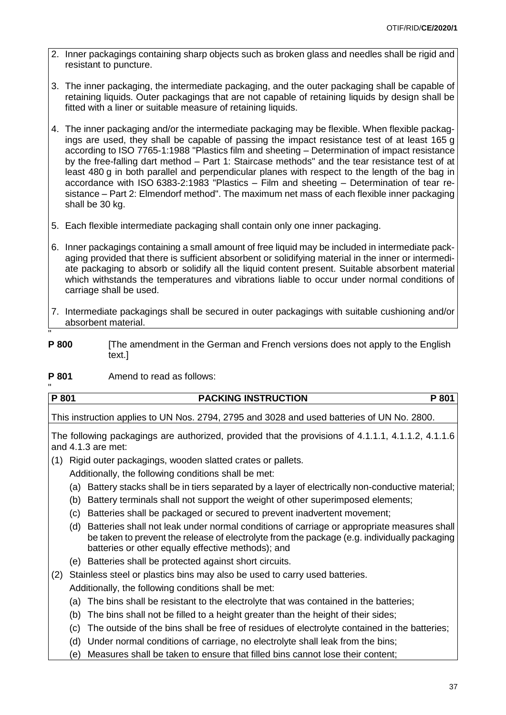- 2. Inner packagings containing sharp objects such as broken glass and needles shall be rigid and resistant to puncture.
- 3. The inner packaging, the intermediate packaging, and the outer packaging shall be capable of retaining liquids. Outer packagings that are not capable of retaining liquids by design shall be fitted with a liner or suitable measure of retaining liquids.
- 4. The inner packaging and/or the intermediate packaging may be flexible. When flexible packagings are used, they shall be capable of passing the impact resistance test of at least 165 g according to ISO 7765-1:1988 "Plastics film and sheeting – Determination of impact resistance by the free-falling dart method – Part 1: Staircase methods" and the tear resistance test of at least 480 g in both parallel and perpendicular planes with respect to the length of the bag in accordance with ISO 6383-2:1983 "Plastics – Film and sheeting – Determination of tear resistance – Part 2: Elmendorf method". The maximum net mass of each flexible inner packaging shall be 30 kg.
- 5. Each flexible intermediate packaging shall contain only one inner packaging.
- 6. Inner packagings containing a small amount of free liquid may be included in intermediate packaging provided that there is sufficient absorbent or solidifying material in the inner or intermediate packaging to absorb or solidify all the liquid content present. Suitable absorbent material which withstands the temperatures and vibrations liable to occur under normal conditions of carriage shall be used.
- 7. Intermediate packagings shall be secured in outer packagings with suitable cushioning and/or absorbent material.
- " **P 800** [The amendment in the German and French versions does not apply to the English text.]
- **P 801** Amend to read as follows:

| P 801 | <b>PACKING INSTRUCTION</b> | 801 |
|-------|----------------------------|-----|
|       |                            |     |

This instruction applies to UN Nos. 2794, 2795 and 3028 and used batteries of UN No. 2800.

The following packagings are authorized, provided that the provisions of 4.1.1.1, 4.1.1.2, 4.1.1.6 and 4.1.3 are met:

- (1) Rigid outer packagings, wooden slatted crates or pallets*.*
	- Additionally, the following conditions shall be met:
	- (a) Battery stacks shall be in tiers separated by a layer of electrically non-conductive material;
	- (b) Battery terminals shall not support the weight of other superimposed elements;
	- (c) Batteries shall be packaged or secured to prevent inadvertent movement;
	- (d) Batteries shall not leak under normal conditions of carriage or appropriate measures shall be taken to prevent the release of electrolyte from the package (e.g. individually packaging batteries or other equally effective methods); and
	- (e) Batteries shall be protected against short circuits.
- (2) Stainless steel or plastics bins may also be used to carry used batteries. Additionally, the following conditions shall be met:
	- (a) The bins shall be resistant to the electrolyte that was contained in the batteries;
	- (b) The bins shall not be filled to a height greater than the height of their sides;
	- (c) The outside of the bins shall be free of residues of electrolyte contained in the batteries;
	- (d) Under normal conditions of carriage, no electrolyte shall leak from the bins;
	- (e) Measures shall be taken to ensure that filled bins cannot lose their content;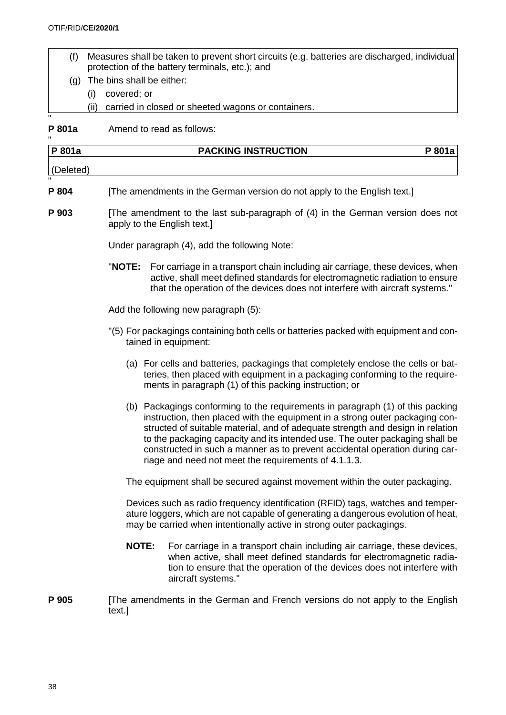- (f) Measures shall be taken to prevent short circuits (e.g. batteries are discharged, individual protection of the battery terminals, etc.); and
- (g) The bins shall be either:
	- (i) covered; or
	- (ii) carried in closed or sheeted wagons or containers.

P 801a Amend to read as follows:

| P 801a    |              | <b>PACKING INSTRUCTION</b>                                                                                                                                                                                                                                                                                                                                                                                                                                              | P 801a |
|-----------|--------------|-------------------------------------------------------------------------------------------------------------------------------------------------------------------------------------------------------------------------------------------------------------------------------------------------------------------------------------------------------------------------------------------------------------------------------------------------------------------------|--------|
| (Deleted) |              |                                                                                                                                                                                                                                                                                                                                                                                                                                                                         |        |
| P 804     |              | [The amendments in the German version do not apply to the English text.]                                                                                                                                                                                                                                                                                                                                                                                                |        |
| P 903     |              | [The amendment to the last sub-paragraph of (4) in the German version does not<br>apply to the English text.]                                                                                                                                                                                                                                                                                                                                                           |        |
|           |              | Under paragraph (4), add the following Note:                                                                                                                                                                                                                                                                                                                                                                                                                            |        |
|           | "NOTE:       | For carriage in a transport chain including air carriage, these devices, when<br>active, shall meet defined standards for electromagnetic radiation to ensure<br>that the operation of the devices does not interfere with aircraft systems."                                                                                                                                                                                                                           |        |
|           |              | Add the following new paragraph (5):                                                                                                                                                                                                                                                                                                                                                                                                                                    |        |
|           |              | "(5) For packagings containing both cells or batteries packed with equipment and con-<br>tained in equipment:                                                                                                                                                                                                                                                                                                                                                           |        |
|           |              | (a) For cells and batteries, packagings that completely enclose the cells or bat-<br>teries, then placed with equipment in a packaging conforming to the require-<br>ments in paragraph (1) of this packing instruction; or                                                                                                                                                                                                                                             |        |
|           |              | (b) Packagings conforming to the requirements in paragraph (1) of this packing<br>instruction, then placed with the equipment in a strong outer packaging con-<br>structed of suitable material, and of adequate strength and design in relation<br>to the packaging capacity and its intended use. The outer packaging shall be<br>constructed in such a manner as to prevent accidental operation during car-<br>riage and need not meet the requirements of 4.1.1.3. |        |
|           |              | The equipment shall be secured against movement within the outer packaging.                                                                                                                                                                                                                                                                                                                                                                                             |        |
|           |              | Devices such as radio frequency identification (RFID) tags, watches and temper-<br>ature loggers, which are not capable of generating a dangerous evolution of heat,<br>may be carried when intentionally active in strong outer packagings.                                                                                                                                                                                                                            |        |
|           | <b>NOTE:</b> | For carriage in a transport chain including air carriage, these devices,<br>when active, shall meet defined standards for electromagnetic radia-<br>tion to ensure that the operation of the devices does not interfere with<br>aircraft systems."                                                                                                                                                                                                                      |        |
| P 905     | text.]       | [The amendments in the German and French versions do not apply to the English                                                                                                                                                                                                                                                                                                                                                                                           |        |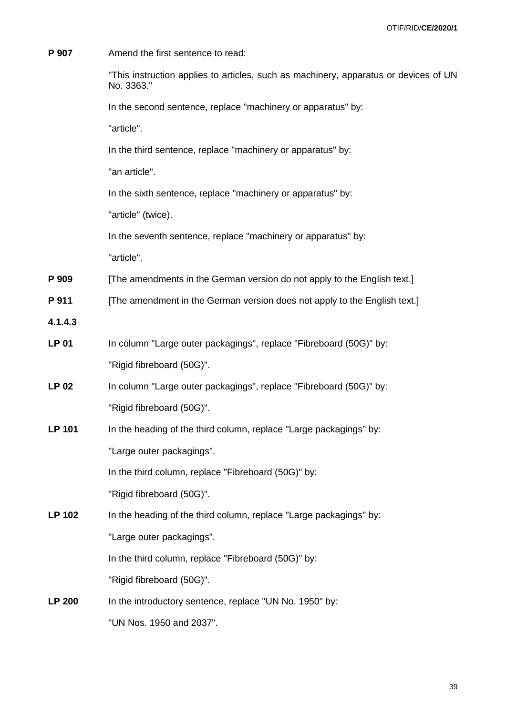| P 907         | Amend the first sentence to read:                                                                  |
|---------------|----------------------------------------------------------------------------------------------------|
|               | "This instruction applies to articles, such as machinery, apparatus or devices of UN<br>No. 3363." |
|               | In the second sentence, replace "machinery or apparatus" by:                                       |
|               | "article".                                                                                         |
|               | In the third sentence, replace "machinery or apparatus" by:                                        |
|               | "an article".                                                                                      |
|               | In the sixth sentence, replace "machinery or apparatus" by:                                        |
|               | "article" (twice).                                                                                 |
|               | In the seventh sentence, replace "machinery or apparatus" by:                                      |
|               | "article".                                                                                         |
| P 909         | [The amendments in the German version do not apply to the English text.]                           |
| P 911         | [The amendment in the German version does not apply to the English text.]                          |
| 4.1.4.3       |                                                                                                    |
| <b>LP 01</b>  | In column "Large outer packagings", replace "Fibreboard (50G)" by:                                 |
|               | "Rigid fibreboard (50G)".                                                                          |
| <b>LP 02</b>  | In column "Large outer packagings", replace "Fibreboard (50G)" by:                                 |
|               | "Rigid fibreboard (50G)".                                                                          |
| <b>LP 101</b> | In the heading of the third column, replace "Large packagings" by:                                 |
|               | "Large outer packagings".                                                                          |
|               | In the third column, replace "Fibreboard (50G)" by:                                                |
|               | "Rigid fibreboard (50G)".                                                                          |
| <b>LP 102</b> | In the heading of the third column, replace "Large packagings" by:                                 |
|               | "Large outer packagings".                                                                          |
|               | In the third column, replace "Fibreboard (50G)" by:                                                |
|               | "Rigid fibreboard (50G)".                                                                          |
| <b>LP 200</b> | In the introductory sentence, replace "UN No. 1950" by:                                            |
|               | "UN Nos. 1950 and 2037".                                                                           |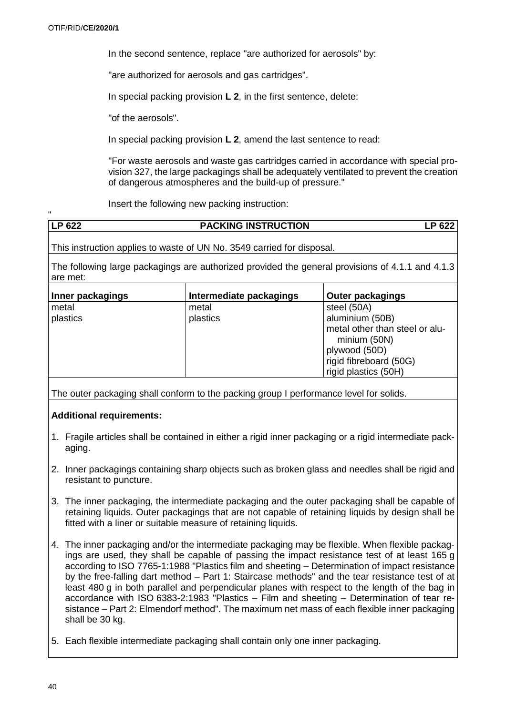"

In the second sentence, replace "are authorized for aerosols" by:

"are authorized for aerosols and gas cartridges".

In special packing provision **L 2**, in the first sentence, delete:

"of the aerosols".

In special packing provision **L 2**, amend the last sentence to read:

"For waste aerosols and waste gas cartridges carried in accordance with special provision 327, the large packagings shall be adequately ventilated to prevent the creation of dangerous atmospheres and the build-up of pressure."

Insert the following new packing instruction:

| <b>LP 622</b> | <b>PACKING INSTRUCTION</b> | P 622. |
|---------------|----------------------------|--------|

This instruction applies to waste of UN No. 3549 carried for disposal.

The following large packagings are authorized provided the general provisions of 4.1.1 and 4.1.3 are met:

| Inner packagings | Intermediate packagings | Outer packagings                                                                                                  |
|------------------|-------------------------|-------------------------------------------------------------------------------------------------------------------|
| metal            | metal                   | steel (50A)                                                                                                       |
| plastics         | plastics                | aluminium (50B)                                                                                                   |
|                  |                         | metal other than steel or alu-<br>minium (50N)<br>plywood (50D)<br>rigid fibreboard (50G)<br>rigid plastics (50H) |

The outer packaging shall conform to the packing group I performance level for solids.

# **Additional requirements:**

- 1. Fragile articles shall be contained in either a rigid inner packaging or a rigid intermediate packaging.
- 2. Inner packagings containing sharp objects such as broken glass and needles shall be rigid and resistant to puncture.
- 3. The inner packaging, the intermediate packaging and the outer packaging shall be capable of retaining liquids. Outer packagings that are not capable of retaining liquids by design shall be fitted with a liner or suitable measure of retaining liquids.
- 4. The inner packaging and/or the intermediate packaging may be flexible. When flexible packagings are used, they shall be capable of passing the impact resistance test of at least 165 g according to ISO 7765-1:1988 "Plastics film and sheeting – Determination of impact resistance by the free-falling dart method – Part 1: Staircase methods" and the tear resistance test of at least 480 g in both parallel and perpendicular planes with respect to the length of the bag in accordance with ISO 6383-2:1983 "Plastics – Film and sheeting – Determination of tear resistance – Part 2: Elmendorf method". The maximum net mass of each flexible inner packaging shall be 30 kg.
- 5. Each flexible intermediate packaging shall contain only one inner packaging.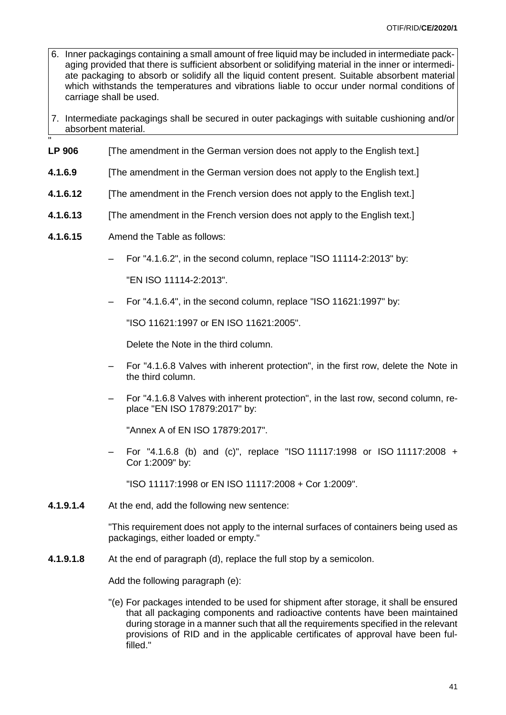- 6. Inner packagings containing a small amount of free liquid may be included in intermediate packaging provided that there is sufficient absorbent or solidifying material in the inner or intermediate packaging to absorb or solidify all the liquid content present. Suitable absorbent material which withstands the temperatures and vibrations liable to occur under normal conditions of carriage shall be used.
- 7. Intermediate packagings shall be secured in outer packagings with suitable cushioning and/or absorbent material.
- " **LP 906** [The amendment in the German version does not apply to the English text.]
- **4.1.6.9** [The amendment in the German version does not apply to the English text.]
- **4.1.6.12** [The amendment in the French version does not apply to the English text.]
- **4.1.6.13** [The amendment in the French version does not apply to the English text.]
- **4.1.6.15** Amend the Table as follows:
	- For "4.1.6.2", in the second column, replace "ISO 11114-2:2013" by:

"EN ISO 11114-2:2013".

– For "4.1.6.4", in the second column, replace "ISO 11621:1997" by:

"ISO 11621:1997 or EN ISO 11621:2005".

Delete the Note in the third column.

- For "4.1.6.8 Valves with inherent protection", in the first row, delete the Note in the third column.
- For "4.1.6.8 Valves with inherent protection", in the last row, second column, replace "EN ISO 17879:2017" by:

"Annex A of EN ISO 17879:2017".

– For "4.1.6.8 (b) and (c)", replace "ISO 11117:1998 or ISO 11117:2008 + Cor 1:2009" by:

"ISO 11117:1998 or EN ISO 11117:2008 + Cor 1:2009".

**4.1.9.1.4** At the end, add the following new sentence:

"This requirement does not apply to the internal surfaces of containers being used as packagings, either loaded or empty."

**4.1.9.1.8** At the end of paragraph (d), replace the full stop by a semicolon.

Add the following paragraph (e):

"(e) For packages intended to be used for shipment after storage, it shall be ensured that all packaging components and radioactive contents have been maintained during storage in a manner such that all the requirements specified in the relevant provisions of RID and in the applicable certificates of approval have been fulfilled."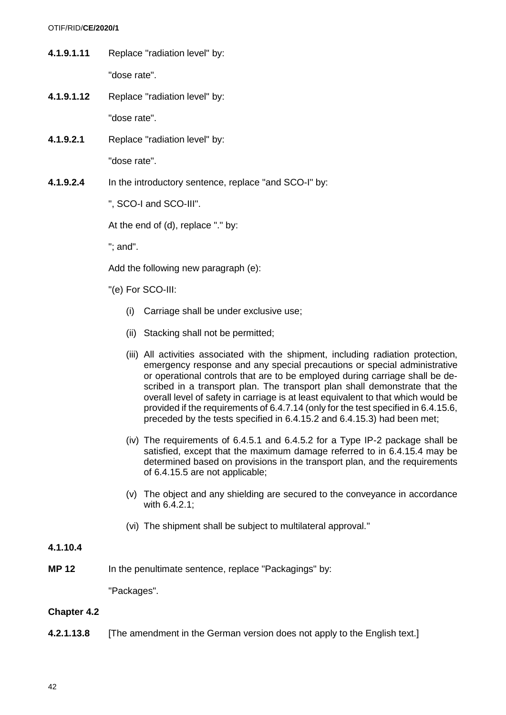**4.1.9.1.11** Replace "radiation level" by:

"dose rate".

**4.1.9.1.12** Replace "radiation level" by:

"dose rate".

**4.1.9.2.1** Replace "radiation level" by:

"dose rate".

**4.1.9.2.4** In the introductory sentence, replace "and SCO-I" by:

", SCO-I and SCO-III".

At the end of (d), replace "." by:

"; and".

Add the following new paragraph (e):

- "(e) For SCO-III:
	- (i) Carriage shall be under exclusive use;
	- (ii) Stacking shall not be permitted;
	- (iii) All activities associated with the shipment, including radiation protection, emergency response and any special precautions or special administrative or operational controls that are to be employed during carriage shall be described in a transport plan. The transport plan shall demonstrate that the overall level of safety in carriage is at least equivalent to that which would be provided if the requirements of 6.4.7.14 (only for the test specified in 6.4.15.6, preceded by the tests specified in 6.4.15.2 and 6.4.15.3) had been met;
	- (iv) The requirements of 6.4.5.1 and 6.4.5.2 for a Type IP-2 package shall be satisfied, except that the maximum damage referred to in 6.4.15.4 may be determined based on provisions in the transport plan, and the requirements of 6.4.15.5 are not applicable;
	- (v) The object and any shielding are secured to the conveyance in accordance with 6.4.2.1;
	- (vi) The shipment shall be subject to multilateral approval."

# **4.1.10.4**

**MP** 12 In the penultimate sentence, replace "Packagings" by:

"Packages".

# **Chapter 4.2**

**4.2.1.13.8** [The amendment in the German version does not apply to the English text.]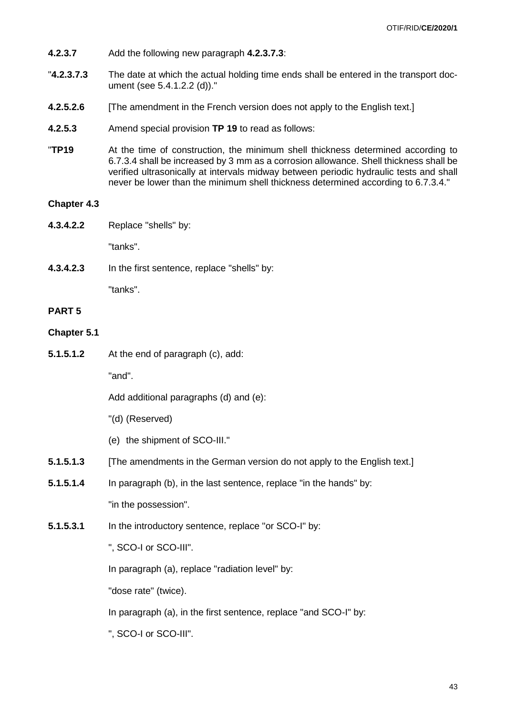- **4.2.3.7** Add the following new paragraph **4.2.3.7.3**:
- "**4.2.3.7.3** The date at which the actual holding time ends shall be entered in the transport document (see 5.4.1.2.2 (d))."
- **4.2.5.2.6** [The amendment in the French version does not apply to the English text.]
- **4.2.5.3** Amend special provision **TP 19** to read as follows:
- "**TP19** At the time of construction, the minimum shell thickness determined according to 6.7.3.4 shall be increased by 3 mm as a corrosion allowance. Shell thickness shall be verified ultrasonically at intervals midway between periodic hydraulic tests and shall never be lower than the minimum shell thickness determined according to 6.7.3.4."

#### **Chapter 4.3**

**4.3.4.2.2** Replace "shells" by:

"tanks".

**4.3.4.2.3** In the first sentence, replace "shells" by:

"tanks".

### **PART 5**

### **Chapter 5.1**

**5.1.5.1.2** At the end of paragraph (c), add:

"and".

Add additional paragraphs (d) and (e):

- "(d) (Reserved)
- (e) the shipment of SCO-III."
- **5.1.5.1.3** [The amendments in the German version do not apply to the English text.]
- **5.1.5.1.4** In paragraph (b), in the last sentence, replace "in the hands" by:

"in the possession".

**5.1.5.3.1** In the introductory sentence, replace "or SCO-I" by:

", SCO-I or SCO-III".

In paragraph (a), replace "radiation level" by:

"dose rate" (twice).

In paragraph (a), in the first sentence, replace "and SCO-I" by:

", SCO-I or SCO-III".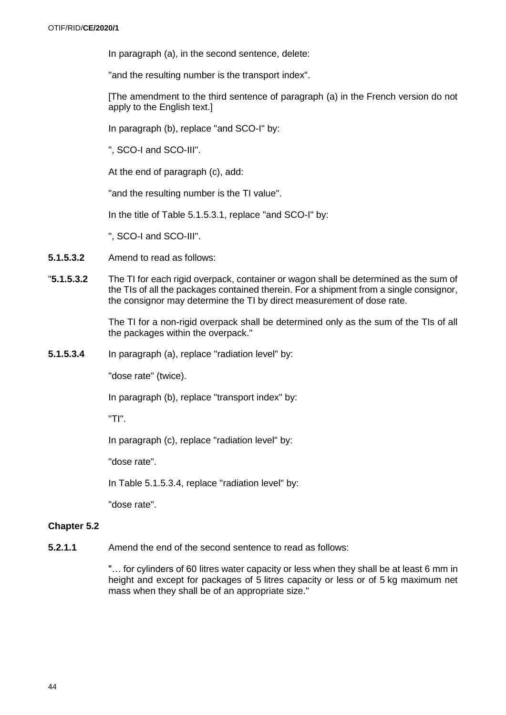In paragraph (a), in the second sentence, delete:

"and the resulting number is the transport index".

[The amendment to the third sentence of paragraph (a) in the French version do not apply to the English text.]

In paragraph (b), replace "and SCO-I" by:

", SCO-I and SCO-III".

At the end of paragraph (c), add:

"and the resulting number is the TI value".

In the title of Table 5.1.5.3.1, replace "and SCO-I" by:

", SCO-I and SCO-III".

- **5.1.5.3.2** Amend to read as follows:
- "**5.1.5.3.2** The TI for each rigid overpack, container or wagon shall be determined as the sum of the TIs of all the packages contained therein. For a shipment from a single consignor, the consignor may determine the TI by direct measurement of dose rate.

The TI for a non-rigid overpack shall be determined only as the sum of the TIs of all the packages within the overpack."

**5.1.5.3.4** In paragraph (a), replace "radiation level" by:

"dose rate" (twice).

In paragraph (b), replace "transport index" by:

"TI".

In paragraph (c), replace "radiation level" by:

"dose rate".

In Table 5.1.5.3.4, replace "radiation level" by:

"dose rate".

#### **Chapter 5.2**

**5.2.1.1** Amend the end of the second sentence to read as follows:

"… for cylinders of 60 litres water capacity or less when they shall be at least 6 mm in height and except for packages of 5 litres capacity or less or of 5 kg maximum net mass when they shall be of an appropriate size."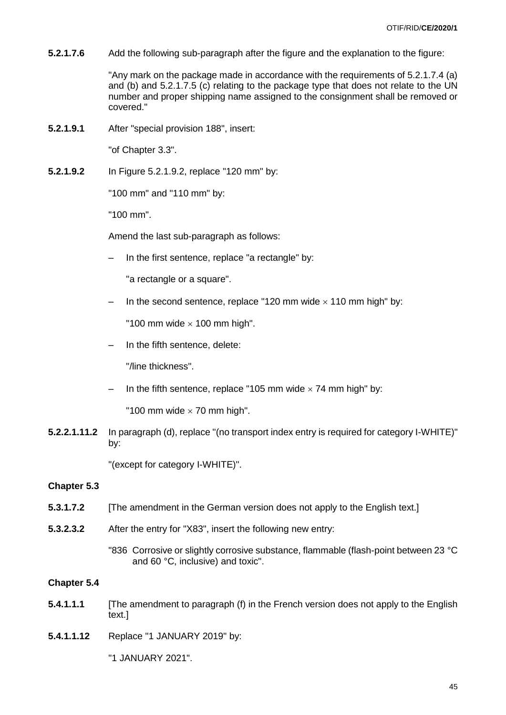**5.2.1.7.6** Add the following sub-paragraph after the figure and the explanation to the figure:

"Any mark on the package made in accordance with the requirements of 5.2.1.7.4 (a) and (b) and 5.2.1.7.5 (c) relating to the package type that does not relate to the UN number and proper shipping name assigned to the consignment shall be removed or covered."

**5.2.1.9.1** After "special provision 188", insert:

"of Chapter 3.3".

**5.2.1.9.2** In Figure 5.2.1.9.2, replace "120 mm" by:

"100 mm" and "110 mm" by:

"100 mm".

Amend the last sub-paragraph as follows:

In the first sentence, replace "a rectangle" by:

"a rectangle or a square".

- In the second sentence, replace "120 mm wide  $\times$  110 mm high" by:

"100 mm wide  $\times$  100 mm high".

– In the fifth sentence, delete:

"/line thickness".

- In the fifth sentence, replace "105 mm wide  $\times$  74 mm high" by:

"100 mm wide  $\times$  70 mm high".

**5.2.2.1.11.2** In paragraph (d), replace "(no transport index entry is required for category I-WHITE)" by:

"(except for category I-WHITE)".

#### **Chapter 5.3**

- **5.3.1.7.2** [The amendment in the German version does not apply to the English text.]
- **5.3.2.3.2** After the entry for "X83", insert the following new entry:

"836 Corrosive or slightly corrosive substance, flammable (flash-point between 23 °C and 60 °C, inclusive) and toxic".

#### **Chapter 5.4**

- **5.4.1.1.1** [The amendment to paragraph (f) in the French version does not apply to the English text.]
- **5.4.1.1.12** Replace "1 JANUARY 2019" by:

"1 JANUARY 2021".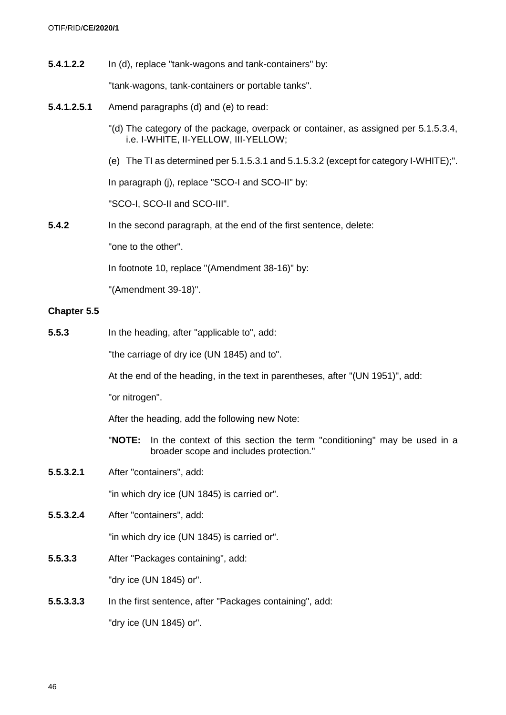**5.4.1.2.2** In (d), replace "tank-wagons and tank-containers" by:

"tank-wagons, tank-containers or portable tanks".

- **5.4.1.2.5.1** Amend paragraphs (d) and (e) to read:
	- "(d) The category of the package, overpack or container, as assigned per 5.1.5.3.4, i.e. I-WHITE, II-YELLOW, III-YELLOW;
	- (e) The TI as determined per 5.1.5.3.1 and 5.1.5.3.2 (except for category I-WHITE);".

In paragraph (j), replace "SCO-I and SCO-II" by:

"SCO-I, SCO-II and SCO-III".

**5.4.2** In the second paragraph, at the end of the first sentence, delete:

"one to the other".

In footnote 10, replace "(Amendment 38-16)" by:

"(Amendment 39-18)".

# **Chapter 5.5**

**5.5.3** In the heading, after "applicable to", add:

"the carriage of dry ice (UN 1845) and to".

At the end of the heading, in the text in parentheses, after "(UN 1951)", add:

"or nitrogen".

After the heading, add the following new Note:

- "**NOTE:** In the context of this section the term "conditioning" may be used in a broader scope and includes protection."
- **5.5.3.2.1** After "containers", add:

"in which dry ice (UN 1845) is carried or".

**5.5.3.2.4** After "containers", add:

"in which dry ice (UN 1845) is carried or".

**5.5.3.3** After "Packages containing", add:

"dry ice (UN 1845) or".

**5.5.3.3.3** In the first sentence, after "Packages containing", add:

"dry ice (UN 1845) or".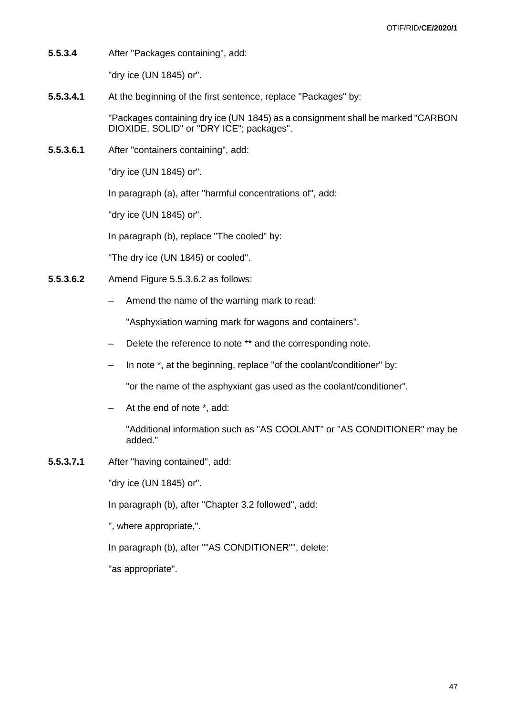**5.5.3.4** After "Packages containing", add:

"dry ice (UN 1845) or".

**5.5.3.4.1** At the beginning of the first sentence, replace "Packages" by:

"Packages containing dry ice (UN 1845) as a consignment shall be marked "CARBON DIOXIDE, SOLID" or "DRY ICE"; packages".

**5.5.3.6.1** After "containers containing", add:

"dry ice (UN 1845) or".

In paragraph (a), after "harmful concentrations of", add:

"dry ice (UN 1845) or".

In paragraph (b), replace "The cooled" by:

"The dry ice (UN 1845) or cooled".

- **5.5.3.6.2** Amend Figure 5.5.3.6.2 as follows:
	- Amend the name of the warning mark to read:

"Asphyxiation warning mark for wagons and containers".

- Delete the reference to note \*\* and the corresponding note.
- In note \*, at the beginning, replace "of the coolant/conditioner" by:

"or the name of the asphyxiant gas used as the coolant/conditioner".

– At the end of note \*, add:

"Additional information such as "AS COOLANT" or "AS CONDITIONER" may be added."

**5.5.3.7.1** After "having contained", add:

"dry ice (UN 1845) or".

In paragraph (b), after "Chapter 3.2 followed", add:

", where appropriate,".

In paragraph (b), after ""AS CONDITIONER"", delete:

"as appropriate".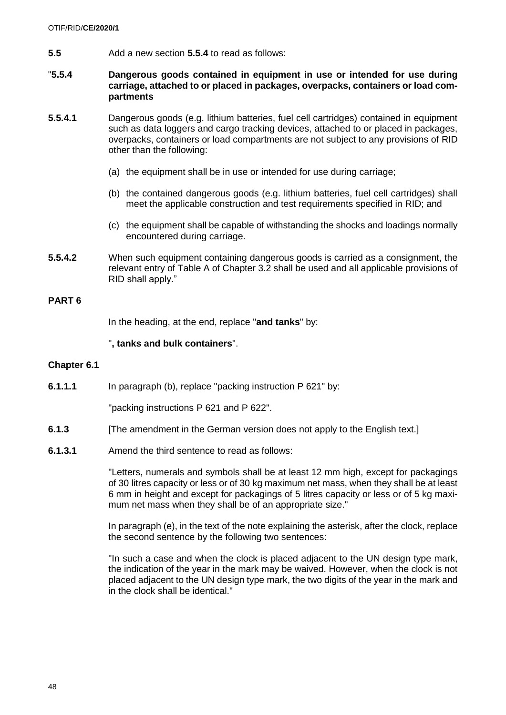**5.5** Add a new section **5.5.4** to read as follows:

### "**5.5.4 Dangerous goods contained in equipment in use or intended for use during carriage, attached to or placed in packages, overpacks, containers or load compartments**

- **5.5.4.1** Dangerous goods (e.g. lithium batteries, fuel cell cartridges) contained in equipment such as data loggers and cargo tracking devices, attached to or placed in packages, overpacks, containers or load compartments are not subject to any provisions of RID other than the following:
	- (a) the equipment shall be in use or intended for use during carriage;
	- (b) the contained dangerous goods (e.g. lithium batteries, fuel cell cartridges) shall meet the applicable construction and test requirements specified in RID; and
	- (c) the equipment shall be capable of withstanding the shocks and loadings normally encountered during carriage.
- **5.5.4.2** When such equipment containing dangerous goods is carried as a consignment, the relevant entry of Table A of Chapter 3.2 shall be used and all applicable provisions of RID shall apply."

### **PART 6**

In the heading, at the end, replace "**and tanks**" by:

### "**, tanks and bulk containers**".

#### **Chapter 6.1**

**6.1.1.1** In paragraph (b), replace "packing instruction P 621" by:

"packing instructions P 621 and P 622".

- **6.1.3** [The amendment in the German version does not apply to the English text.]
- **6.1.3.1** Amend the third sentence to read as follows:

"Letters, numerals and symbols shall be at least 12 mm high, except for packagings of 30 litres capacity or less or of 30 kg maximum net mass, when they shall be at least 6 mm in height and except for packagings of 5 litres capacity or less or of 5 kg maximum net mass when they shall be of an appropriate size."

In paragraph (e), in the text of the note explaining the asterisk, after the clock, replace the second sentence by the following two sentences:

"In such a case and when the clock is placed adjacent to the UN design type mark, the indication of the year in the mark may be waived. However, when the clock is not placed adjacent to the UN design type mark, the two digits of the year in the mark and in the clock shall be identical."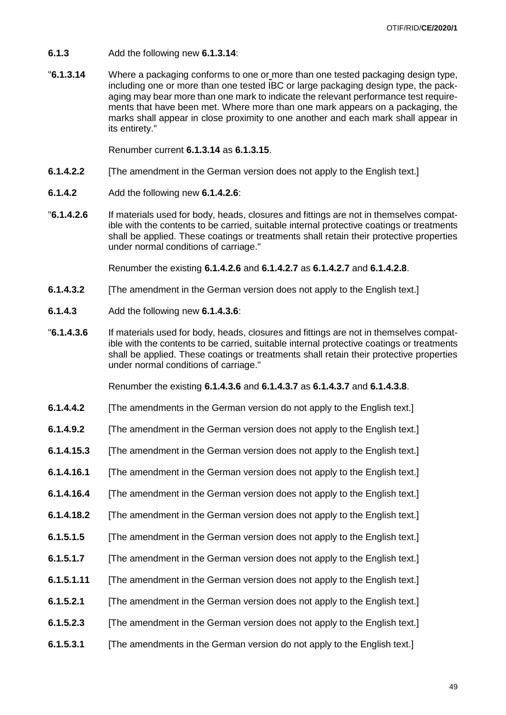- **6.1.3** Add the following new **6.1.3.14**:
- "**6.1.3.14** Where a packaging conforms to one or more than one tested packaging design type, including one or more than one tested IBC or large packaging design type, the packaging may bear more than one mark to indicate the relevant performance test requirements that have been met. Where more than one mark appears on a packaging, the marks shall appear in close proximity to one another and each mark shall appear in its entirety."

Renumber current **6.1.3.14** as **6.1.3.15**.

- **6.1.4.2.2** [The amendment in the German version does not apply to the English text.]
- **6.1.4.2** Add the following new **6.1.4.2.6**:
- "**6.1.4.2.6** If materials used for body, heads, closures and fittings are not in themselves compatible with the contents to be carried, suitable internal protective coatings or treatments shall be applied. These coatings or treatments shall retain their protective properties under normal conditions of carriage."

Renumber the existing **6.1.4.2.6** and **6.1.4.2.7** as **6.1.4.2.7** and **6.1.4.2.8**.

- **6.1.4.3.2** [The amendment in the German version does not apply to the English text.]
- **6.1.4.3** Add the following new **6.1.4.3.6**:
- "**6.1.4.3.6** If materials used for body, heads, closures and fittings are not in themselves compatible with the contents to be carried, suitable internal protective coatings or treatments shall be applied. These coatings or treatments shall retain their protective properties under normal conditions of carriage."

Renumber the existing **6.1.4.3.6** and **6.1.4.3.7** as **6.1.4.3.7** and **6.1.4.3.8**.

- **6.1.4.4.2** [The amendments in the German version do not apply to the English text.]
- **6.1.4.9.2** [The amendment in the German version does not apply to the English text.]
- **6.1.4.15.3** [The amendment in the German version does not apply to the English text.]
- **6.1.4.16.1** [The amendment in the German version does not apply to the English text.]
- **6.1.4.16.4** [The amendment in the German version does not apply to the English text.]
- **6.1.4.18.2** [The amendment in the German version does not apply to the English text.]
- **6.1.5.1.5** [The amendment in the German version does not apply to the English text.]
- **6.1.5.1.7** [The amendment in the German version does not apply to the English text.]
- **6.1.5.1.11** [The amendment in the German version does not apply to the English text.]
- **6.1.5.2.1** [The amendment in the German version does not apply to the English text.]
- **6.1.5.2.3** [The amendment in the German version does not apply to the English text.]
- **6.1.5.3.1** [The amendments in the German version do not apply to the English text.]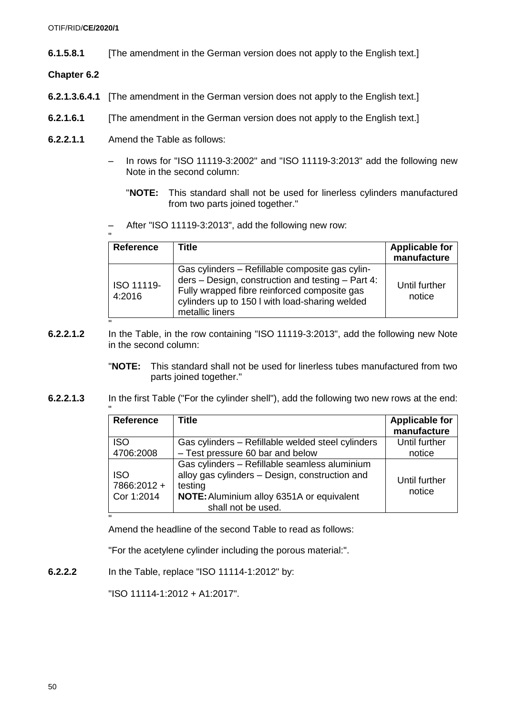- **6.1.5.8.1** [The amendment in the German version does not apply to the English text.]
- **Chapter 6.2**
- **6.2.1.3.6.4.1** [The amendment in the German version does not apply to the English text.]
- **6.2.1.6.1** [The amendment in the German version does not apply to the English text.]
- **6.2.2.1.1** Amend the Table as follows:
	- In rows for "ISO 11119-3:2002" and "ISO 11119-3:2013" add the following new Note in the second column:
		- "**NOTE:** This standard shall not be used for linerless cylinders manufactured from two parts joined together."
	- After "ISO 11119-3:2013", add the following new row:

| <b>Reference</b>     | Title                                                                                                                                                                                                                     | <b>Applicable for</b><br>manufacture |
|----------------------|---------------------------------------------------------------------------------------------------------------------------------------------------------------------------------------------------------------------------|--------------------------------------|
| ISO 11119-<br>4:2016 | Gas cylinders – Refillable composite gas cylin-<br>ders - Design, construction and testing - Part 4:<br>Fully wrapped fibre reinforced composite gas<br>cylinders up to 150 I with load-sharing welded<br>metallic liners | Until further<br>notice              |

- **6.2.2.1.2** In the Table, in the row containing "ISO 11119-3:2013", add the following new Note in the second column:
	- "**NOTE:** This standard shall not be used for linerless tubes manufactured from two parts joined together."
- **6.2.2.1.3** In the first Table ("For the cylinder shell"), add the following two new rows at the end:

| <b>Reference</b>                | <b>Title</b>                                                                                                                                                                         | <b>Applicable for</b><br>manufacture |
|---------------------------------|--------------------------------------------------------------------------------------------------------------------------------------------------------------------------------------|--------------------------------------|
| <b>ISO</b>                      | Gas cylinders - Refillable welded steel cylinders                                                                                                                                    | Until further                        |
| 4706:2008                       | - Test pressure 60 bar and below                                                                                                                                                     | notice                               |
| ISO<br>7866:2012+<br>Cor 1:2014 | Gas cylinders - Refillable seamless aluminium<br>alloy gas cylinders - Design, construction and<br>testing<br><b>NOTE:</b> Aluminium alloy 6351A or equivalent<br>shall not be used. | Until further<br>notice              |

" Amend the headline of the second Table to read as follows:

"For the acetylene cylinder including the porous material:".

**6.2.2.2** In the Table, replace "ISO 11114-1:2012" by:

"ISO 11114-1:2012 + A1:2017".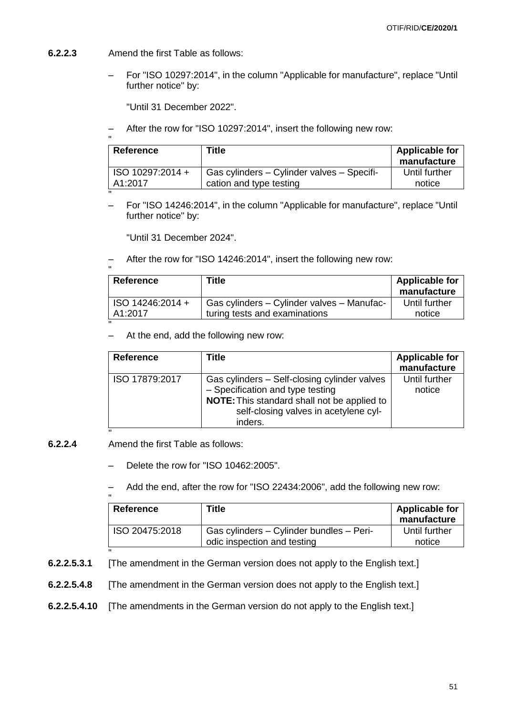- **6.2.2.3** Amend the first Table as follows:
	- For "ISO 10297:2014", in the column "Applicable for manufacture", replace "Until further notice" by:

"Until 31 December 2022".

– After the row for "ISO 10297:2014", insert the following new row:

| Reference        | Title                                      | <b>Applicable for</b> |
|------------------|--------------------------------------------|-----------------------|
|                  |                                            | manufacture           |
| ISO 10297:2014 + | Gas cylinders – Cylinder valves – Specifi- | Until further         |
| A1:2017          | cation and type testing                    | notice                |

" – For "ISO 14246:2014", in the column "Applicable for manufacture", replace "Until further notice" by:

"Until 31 December 2024".

– After the row for "ISO 14246:2014", insert the following new row:

| Reference        | Title                                      | <b>Applicable for</b><br>manufacture |
|------------------|--------------------------------------------|--------------------------------------|
| ISO 14246:2014 + | Gas cylinders - Cylinder valves - Manufac- | Until further                        |
| A1:2017          | turing tests and examinations              | notice                               |

– At the end, add the following new row:

| <b>Reference</b> | Title                                                                                                                                                                               | <b>Applicable for</b><br>manufacture |
|------------------|-------------------------------------------------------------------------------------------------------------------------------------------------------------------------------------|--------------------------------------|
| ISO 17879:2017   | Gas cylinders - Self-closing cylinder valves<br>- Specification and type testing<br>NOTE: This standard shall not be applied to<br>self-closing valves in acetylene cyl-<br>inders. | Until further<br>notice              |

**6.2.2.4** Amend the first Table as follows:

"

- Delete the row for "ISO 10462:2005".
- Add the end, after the row for "ISO 22434:2006", add the following new row:

| <b>Reference</b> | Title                                    | <b>Applicable for</b> |
|------------------|------------------------------------------|-----------------------|
|                  |                                          | manufacture           |
| ISO 20475:2018   | Gas cylinders - Cylinder bundles - Peri- | Until further         |
|                  | odic inspection and testing              | notice                |

- **6.2.2.5.3.1** [The amendment in the German version does not apply to the English text.]
- **6.2.2.5.4.8** [The amendment in the German version does not apply to the English text.]
- **6.2.2.5.4.10** [The amendments in the German version do not apply to the English text.]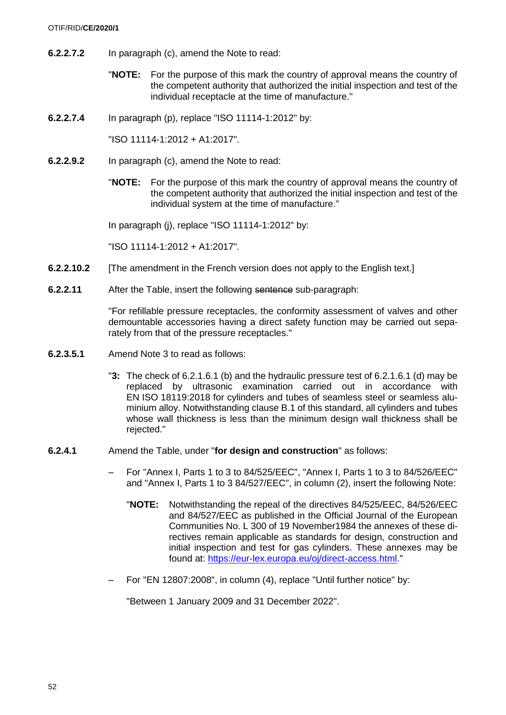#### OTIF/RID/**CE/2020/1**

- **6.2.2.7.2** In paragraph (c), amend the Note to read:
	- "**NOTE:** For the purpose of this mark the country of approval means the country of the competent authority that authorized the initial inspection and test of the individual receptacle at the time of manufacture."
- **6.2.2.7.4** In paragraph (p), replace "ISO 11114-1:2012" by:

"ISO 11114-1:2012 + A1:2017".

- **6.2.2.9.2** In paragraph (c), amend the Note to read:
	- "**NOTE:** For the purpose of this mark the country of approval means the country of the competent authority that authorized the initial inspection and test of the individual system at the time of manufacture."

In paragraph (j), replace "ISO 11114-1:2012" by:

"ISO 11114-1:2012 + A1:2017".

- **6.2.2.10.2** [The amendment in the French version does not apply to the English text.]
- **6.2.2.11** After the Table, insert the following sentence sub-paragraph:

"For refillable pressure receptacles, the conformity assessment of valves and other demountable accessories having a direct safety function may be carried out separately from that of the pressure receptacles."

- **6.2.3.5.1** Amend Note 3 to read as follows:
	- "**3:** The check of 6.2.1.6.1 (b) and the hydraulic pressure test of 6.2.1.6.1 (d) may be replaced by ultrasonic examination carried out in accordance with EN ISO 18119:2018 for cylinders and tubes of seamless steel or seamless aluminium alloy. Notwithstanding clause B.1 of this standard, all cylinders and tubes whose wall thickness is less than the minimum design wall thickness shall be rejected."
- **6.2.4.1** Amend the Table, under "**for design and construction**" as follows:
	- For "Annex I, Parts 1 to 3 to 84/525/EEC", "Annex I, Parts 1 to 3 to 84/526/EEC" and "Annex I, Parts 1 to 3 84/527/EEC", in column (2), insert the following Note:
		- "**NOTE:** Notwithstanding the repeal of the directives 84/525/EEC, 84/526/EEC and 84/527/EEC as published in the Official Journal of the European Communities No. L 300 of 19 November1984 the annexes of these directives remain applicable as standards for design, construction and initial inspection and test for gas cylinders. These annexes may be found at: [https://eur-lex.europa.eu/oj/direct-access.html.](https://eur-lex.europa.eu/oj/direct-access.html)"
	- For "EN 12807:2008", in column (4), replace "Until further notice" by:

"Between 1 January 2009 and 31 December 2022".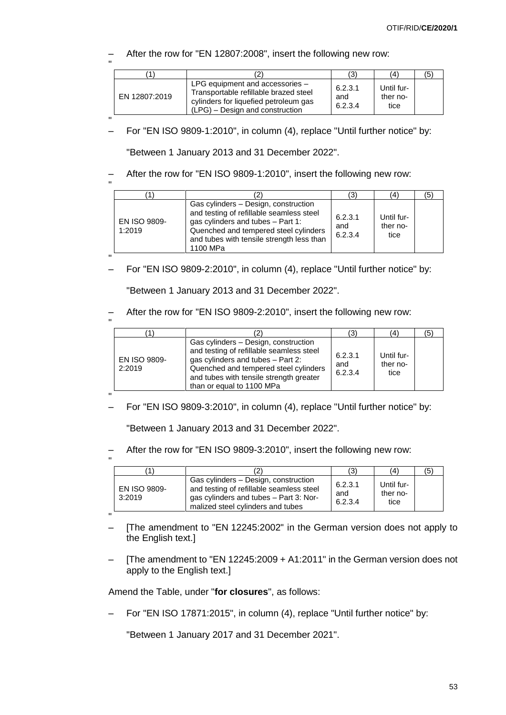– After the row for "EN 12807:2008", insert the following new row:

|               |                                                                                                                                                        | (3)                       | (4)                            | (5) |
|---------------|--------------------------------------------------------------------------------------------------------------------------------------------------------|---------------------------|--------------------------------|-----|
| EN 12807:2019 | LPG equipment and accessories $-$<br>Transportable refillable brazed steel<br>cylinders for liquefied petroleum gas<br>(LPG) – Design and construction | 6.2.3.1<br>and<br>6.2.3.4 | Until fur-<br>ther no-<br>tice |     |

" – For "EN ISO 9809-1:2010", in column (4), replace "Until further notice" by:

"Between 1 January 2013 and 31 December 2022".

– After the row for "EN ISO 9809-1:2010", insert the following new row:

|                               |                                                                                                                                                                                                                         | (3                        | (4)                            | '5) |
|-------------------------------|-------------------------------------------------------------------------------------------------------------------------------------------------------------------------------------------------------------------------|---------------------------|--------------------------------|-----|
| <b>EN ISO 9809-</b><br>1:2019 | Gas cylinders - Design, construction<br>and testing of refillable seamless steel<br>gas cylinders and tubes - Part 1:<br>Quenched and tempered steel cylinders<br>and tubes with tensile strength less than<br>1100 MPa | 6.2.3.1<br>and<br>6.2.3.4 | Until fur-<br>ther no-<br>tice |     |
|                               |                                                                                                                                                                                                                         |                           |                                |     |

– For "EN ISO 9809-2:2010", in column (4), replace "Until further notice" by:

"Between 1 January 2013 and 31 December 2022".

– After the row for "EN ISO 9809-2:2010", insert the following new row:

|                        |                                                                                                                                                                                                                                        | (3)                       | 4                              | (5) |
|------------------------|----------------------------------------------------------------------------------------------------------------------------------------------------------------------------------------------------------------------------------------|---------------------------|--------------------------------|-----|
| EN ISO 9809-<br>2:2019 | Gas cylinders – Design, construction<br>and testing of refillable seamless steel<br>gas cylinders and tubes - Part 2:<br>Quenched and tempered steel cylinders<br>and tubes with tensile strength greater<br>than or equal to 1100 MPa | 6.2.3.1<br>and<br>6.2.3.4 | Until fur-<br>ther no-<br>tice |     |

" – For "EN ISO 9809-3:2010", in column (4), replace "Until further notice" by:

"Between 1 January 2013 and 31 December 2022".

– After the row for "EN ISO 9809-3:2010", insert the following new row:

"

| '1'                           |                                                                                                                                                                 | (3)                       | (4)                            | (5) |
|-------------------------------|-----------------------------------------------------------------------------------------------------------------------------------------------------------------|---------------------------|--------------------------------|-----|
| <b>EN ISO 9809-</b><br>3:2019 | Gas cylinders - Design, construction<br>and testing of refillable seamless steel<br>gas cylinders and tubes - Part 3: Nor-<br>malized steel cylinders and tubes | 6.2.3.1<br>and<br>6.2.3.4 | Until fur-<br>ther no-<br>tice |     |

"

- [The amendment to "EN 12245:2002" in the German version does not apply to the English text.]
- [The amendment to "EN 12245:2009 + A1:2011" in the German version does not apply to the English text.]

Amend the Table, under "**for closures**", as follows:

– For "EN ISO 17871:2015", in column (4), replace "Until further notice" by:

"Between 1 January 2017 and 31 December 2021".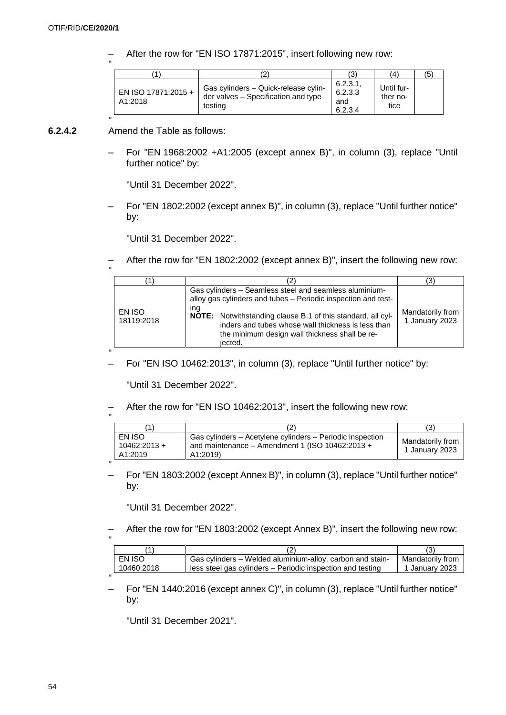"

– After the row for "EN ISO 17871:2015", insert following new row:

|                                |                                                                                        | (3)                                  | (4)                            | (5) |
|--------------------------------|----------------------------------------------------------------------------------------|--------------------------------------|--------------------------------|-----|
| EN ISO 17871:2015 +<br>A1:2018 | Gas cylinders - Quick-release cylin-<br>der valves - Specification and type<br>testing | 6.2.3.1<br>6.2.3.3<br>and<br>6.2.3.4 | Until fur-<br>ther no-<br>tice |     |

#### " **6.2.4.2** Amend the Table as follows:

– For "EN 1968:2002 +A1:2005 (except annex B)", in column (3), replace "Until further notice" by:

"Until 31 December 2022".

– For "EN 1802:2002 (except annex B)", in column (3), replace "Until further notice" by:

"Until 31 December 2022".

– After the row for "EN 1802:2002 (except annex B)", insert the following new row:

| $\mathbf{u}$ |                      |                                                                                                                                                                                                                                                                                                                  |                                    |
|--------------|----------------------|------------------------------------------------------------------------------------------------------------------------------------------------------------------------------------------------------------------------------------------------------------------------------------------------------------------|------------------------------------|
|              |                      |                                                                                                                                                                                                                                                                                                                  | 3)                                 |
|              | EN ISO<br>18119:2018 | Gas cylinders – Seamless steel and seamless aluminium-<br>alloy gas cylinders and tubes - Periodic inspection and test-<br>ina<br>NOTE: Notwithstanding clause B.1 of this standard, all cyl-<br>inders and tubes whose wall thickness is less than<br>the minimum design wall thickness shall be re-<br>iected. | Mandatorily from<br>1 January 2023 |
| $\mathbf{H}$ |                      |                                                                                                                                                                                                                                                                                                                  |                                    |

– For "EN ISO 10462:2013", in column (3), replace "Until further notice" by:

"Until 31 December 2022".

– After the row for "EN ISO 10462:2013", insert the following new row:

|                                     |                                                                                                                         | (3)                                |
|-------------------------------------|-------------------------------------------------------------------------------------------------------------------------|------------------------------------|
| EN ISO<br>$10462:2013 +$<br>A1:2019 | Gas cylinders - Acetylene cylinders - Periodic inspection<br>and maintenance - Amendment 1 (ISO 10462:2013 +<br>A1:2019 | Mandatorily from<br>1 January 2023 |
|                                     |                                                                                                                         |                                    |

– For "EN 1803:2002 (except Annex B)", in column (3), replace "Until further notice" by:

"Until 31 December 2022".

– After the row for "EN 1803:2002 (except Annex B)", insert the following new row: .,

|            | 2                                                          |                  |
|------------|------------------------------------------------------------|------------------|
| EN ISO     | Gas cylinders – Welded aluminium-alloy, carbon and stain-  | Mandatorily from |
| 10460:2018 | less steel gas cylinders – Periodic inspection and testing | 1 January 2023   |
|            |                                                            |                  |

– For "EN 1440:2016 (except annex C)", in column (3), replace "Until further notice" by:

"Until 31 December 2021".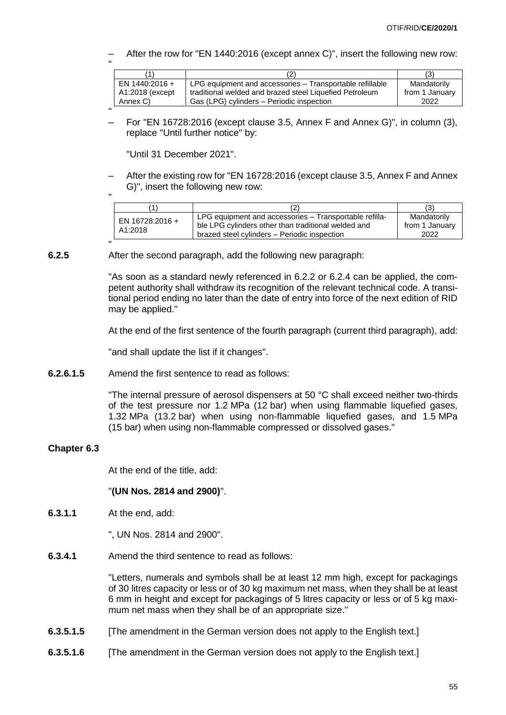– After the row for "EN 1440:2016 (except annex C)", insert the following new row:

|                 |                                                          | (3)            |
|-----------------|----------------------------------------------------------|----------------|
| EN 1440:2016 +  | LPG equipment and accessories – Transportable refillable | Mandatorily    |
| A1:2018 (except | traditional welded and brazed steel Liquefied Petroleum  | from 1 January |
| Annex C)        | Gas (LPG) cylinders - Periodic inspection                | 2022           |

" – For "EN 16728:2016 (except clause 3.5, Annex F and Annex G)", in column (3), replace "Until further notice" by:

"Until 31 December 2021".

– After the existing row for "EN 16728:2016 (except clause 3.5, Annex F and Annex G)", insert the following new row:

|                            |                                                                                                                                                               | ί3'                                   |
|----------------------------|---------------------------------------------------------------------------------------------------------------------------------------------------------------|---------------------------------------|
| EN 16728:2016 +<br>A1:2018 | LPG equipment and accessories – Transportable refilla-<br>ble LPG cylinders other than traditional welded and<br>brazed steel cylinders - Periodic inspection | Mandatorily<br>from 1 January<br>2022 |

" **6.2.5** After the second paragraph, add the following new paragraph:

> "As soon as a standard newly referenced in 6.2.2 or 6.2.4 can be applied, the competent authority shall withdraw its recognition of the relevant technical code. A transitional period ending no later than the date of entry into force of the next edition of RID may be applied."

> At the end of the first sentence of the fourth paragraph (current third paragraph), add:

"and shall update the list if it changes".

**6.2.6.1.5** Amend the first sentence to read as follows:

"The internal pressure of aerosol dispensers at 50 °C shall exceed neither two-thirds of the test pressure nor 1.2 MPa (12 bar) when using flammable liquefied gases, 1.32 MPa (13.2 bar) when using non-flammable liquefied gases, and 1.5 MPa (15 bar) when using non-flammable compressed or dissolved gases."

#### **Chapter 6.3**

At the end of the title, add:

#### "**(UN Nos. 2814 and 2900)**".

**6.3.1.1** At the end, add:

", UN Nos. 2814 and 2900".

**6.3.4.1** Amend the third sentence to read as follows:

"Letters, numerals and symbols shall be at least 12 mm high, except for packagings of 30 litres capacity or less or of 30 kg maximum net mass, when they shall be at least 6 mm in height and except for packagings of 5 litres capacity or less or of 5 kg maximum net mass when they shall be of an appropriate size."

- **6.3.5.1.5** [The amendment in the German version does not apply to the English text.]
- **6.3.5.1.6** [The amendment in the German version does not apply to the English text.]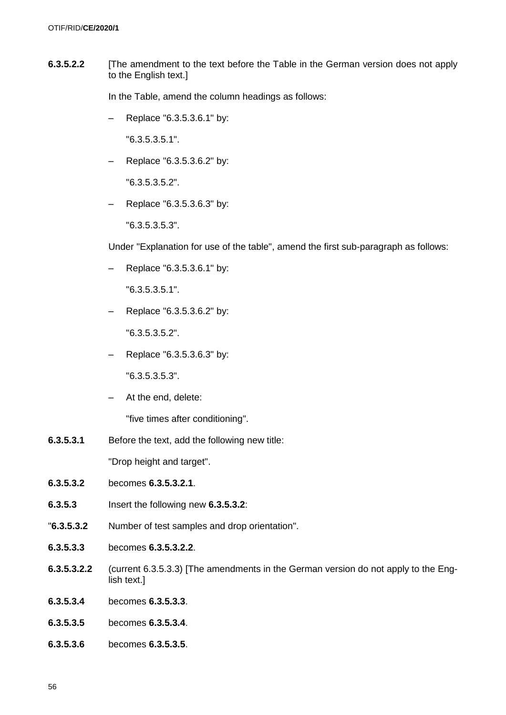**6.3.5.2.2** [The amendment to the text before the Table in the German version does not apply to the English text.]

In the Table, amend the column headings as follows:

– Replace "6.3.5.3.6.1" by:

"6.3.5.3.5.1".

– Replace "6.3.5.3.6.2" by:

"6.3.5.3.5.2".

– Replace "6.3.5.3.6.3" by:

"6.3.5.3.5.3".

Under "Explanation for use of the table", amend the first sub-paragraph as follows:

– Replace "6.3.5.3.6.1" by:

"6.3.5.3.5.1".

– Replace "6.3.5.3.6.2" by:

"6.3.5.3.5.2".

– Replace "6.3.5.3.6.3" by:

"6.3.5.3.5.3".

– At the end, delete:

"five times after conditioning".

**6.3.5.3.1** Before the text, add the following new title:

"Drop height and target".

- **6.3.5.3.2** becomes **6.3.5.3.2.1**.
- **6.3.5.3** Insert the following new **6.3.5.3.2**:
- "**6.3.5.3.2** Number of test samples and drop orientation".
- **6.3.5.3.3** becomes **6.3.5.3.2.2**.
- **6.3.5.3.2.2** (current 6.3.5.3.3) [The amendments in the German version do not apply to the English text.]
- **6.3.5.3.4** becomes **6.3.5.3.3**.
- **6.3.5.3.5** becomes **6.3.5.3.4**.
- **6.3.5.3.6** becomes **6.3.5.3.5**.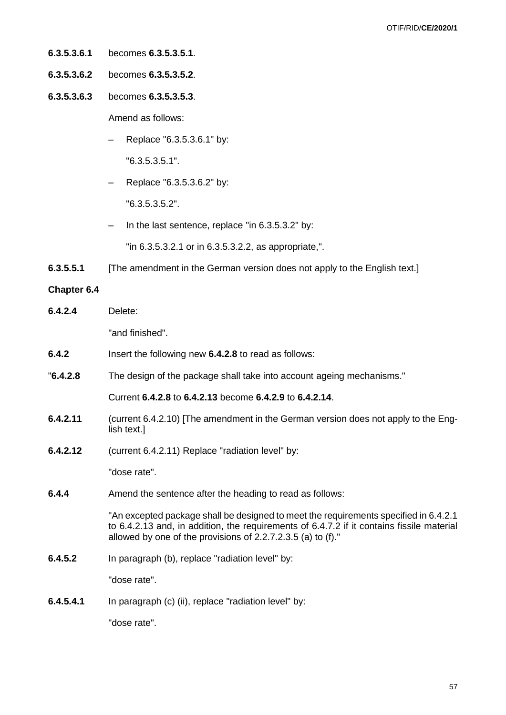- **6.3.5.3.6.1** becomes **6.3.5.3.5.1**.
- **6.3.5.3.6.2** becomes **6.3.5.3.5.2**.
- **6.3.5.3.6.3** becomes **6.3.5.3.5.3**.

Amend as follows:

– Replace "6.3.5.3.6.1" by:

"6.3.5.3.5.1".

– Replace "6.3.5.3.6.2" by:

"6.3.5.3.5.2".

– In the last sentence, replace "in 6.3.5.3.2" by:

"in 6.3.5.3.2.1 or in 6.3.5.3.2.2, as appropriate,".

**6.3.5.5.1** [The amendment in the German version does not apply to the English text.]

#### **Chapter 6.4**

**6.4.2.4** Delete:

"and finished".

- **6.4.2** Insert the following new **6.4.2.8** to read as follows:
- "**6.4.2.8** The design of the package shall take into account ageing mechanisms."

Current **6.4.2.8** to **6.4.2.13** become **6.4.2.9** to **6.4.2.14**.

- **6.4.2.11** (current 6.4.2.10) [The amendment in the German version does not apply to the English text.]
- **6.4.2.12** (current 6.4.2.11) Replace "radiation level" by:

"dose rate".

**6.4.4** Amend the sentence after the heading to read as follows:

"An excepted package shall be designed to meet the requirements specified in 6.4.2.1 to 6.4.2.13 and, in addition, the requirements of 6.4.7.2 if it contains fissile material allowed by one of the provisions of 2.2.7.2.3.5 (a) to (f)."

**6.4.5.2** In paragraph (b), replace "radiation level" by:

"dose rate".

**6.4.5.4.1** In paragraph (c) (ii), replace "radiation level" by:

"dose rate".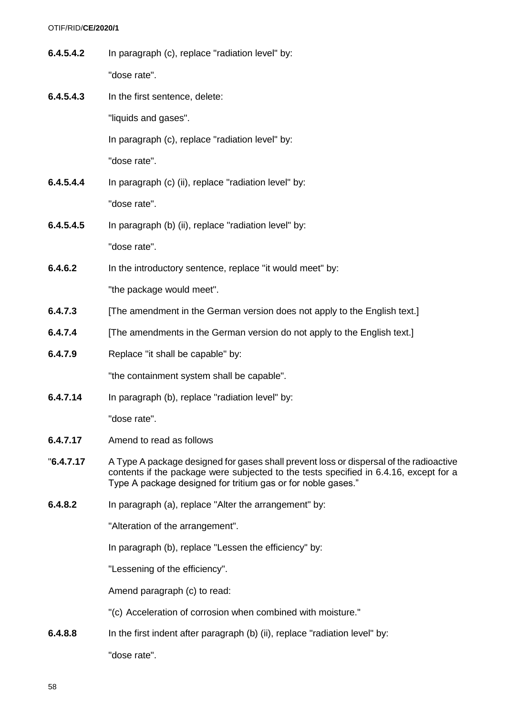| 6.4.5.4.2  | In paragraph (c), replace "radiation level" by:                                                                                                                                                                                                 |
|------------|-------------------------------------------------------------------------------------------------------------------------------------------------------------------------------------------------------------------------------------------------|
|            | "dose rate".                                                                                                                                                                                                                                    |
| 6.4.5.4.3  | In the first sentence, delete:                                                                                                                                                                                                                  |
|            | "liquids and gases".                                                                                                                                                                                                                            |
|            | In paragraph (c), replace "radiation level" by:                                                                                                                                                                                                 |
|            | "dose rate".                                                                                                                                                                                                                                    |
| 6.4.5.4.4  | In paragraph (c) (ii), replace "radiation level" by:                                                                                                                                                                                            |
|            | "dose rate".                                                                                                                                                                                                                                    |
| 6.4.5.4.5  | In paragraph (b) (ii), replace "radiation level" by:                                                                                                                                                                                            |
|            | "dose rate".                                                                                                                                                                                                                                    |
| 6.4.6.2    | In the introductory sentence, replace "it would meet" by:                                                                                                                                                                                       |
|            | "the package would meet".                                                                                                                                                                                                                       |
| 6.4.7.3    | [The amendment in the German version does not apply to the English text.]                                                                                                                                                                       |
| 6.4.7.4    | [The amendments in the German version do not apply to the English text.]                                                                                                                                                                        |
| 6.4.7.9    | Replace "it shall be capable" by:                                                                                                                                                                                                               |
|            | "the containment system shall be capable".                                                                                                                                                                                                      |
| 6.4.7.14   | In paragraph (b), replace "radiation level" by:                                                                                                                                                                                                 |
|            | "dose rate".                                                                                                                                                                                                                                    |
| 6.4.7.17   | Amend to read as follows                                                                                                                                                                                                                        |
| "6.4.7.17" | A Type A package designed for gases shall prevent loss or dispersal of the radioactive<br>contents if the package were subjected to the tests specified in 6.4.16, except for a<br>Type A package designed for tritium gas or for noble gases." |
| 6.4.8.2    | In paragraph (a), replace "Alter the arrangement" by:                                                                                                                                                                                           |
|            | "Alteration of the arrangement".                                                                                                                                                                                                                |
|            | In paragraph (b), replace "Lessen the efficiency" by:                                                                                                                                                                                           |
|            | "Lessening of the efficiency".                                                                                                                                                                                                                  |
|            | Amend paragraph (c) to read:                                                                                                                                                                                                                    |
|            | "(c) Acceleration of corrosion when combined with moisture."                                                                                                                                                                                    |
| 6.4.8.8    | In the first indent after paragraph (b) (ii), replace "radiation level" by:                                                                                                                                                                     |
|            | "dose rate".                                                                                                                                                                                                                                    |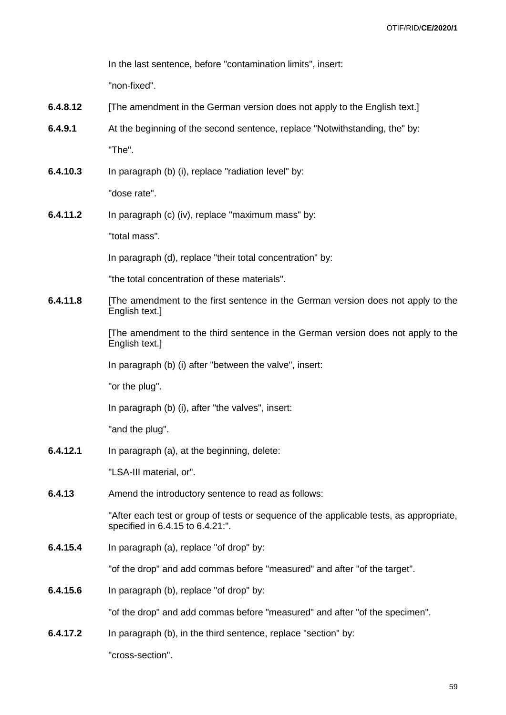In the last sentence, before "contamination limits", insert:

"non-fixed".

- **6.4.8.12** [The amendment in the German version does not apply to the English text.]
- **6.4.9.1** At the beginning of the second sentence, replace "Notwithstanding, the" by: "The".
- **6.4.10.3** In paragraph (b) (i), replace "radiation level" by:

"dose rate".

**6.4.11.2** In paragraph (c) (iv), replace "maximum mass" by:

"total mass".

In paragraph (d), replace "their total concentration" by:

"the total concentration of these materials".

**6.4.11.8** [The amendment to the first sentence in the German version does not apply to the English text.]

> [The amendment to the third sentence in the German version does not apply to the English text.]

In paragraph (b) (i) after "between the valve", insert:

"or the plug".

In paragraph (b) (i), after "the valves", insert:

"and the plug".

**6.4.12.1** In paragraph (a), at the beginning, delete:

"LSA-III material, or".

**6.4.13** Amend the introductory sentence to read as follows:

"After each test or group of tests or sequence of the applicable tests, as appropriate, specified in 6.4.15 to 6.4.21:".

**6.4.15.4** In paragraph (a), replace "of drop" by:

"of the drop" and add commas before "measured" and after "of the target".

**6.4.15.6** In paragraph (b), replace "of drop" by:

"of the drop" and add commas before "measured" and after "of the specimen".

**6.4.17.2** In paragraph (b), in the third sentence, replace "section" by:

"cross-section".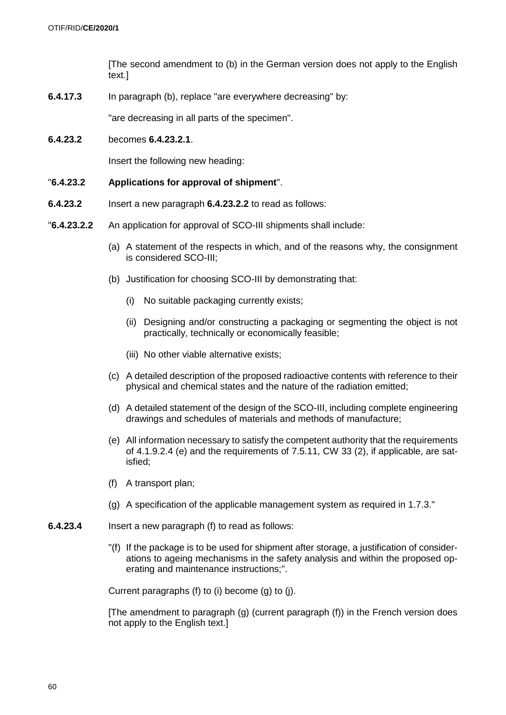[The second amendment to (b) in the German version does not apply to the English text.]

**6.4.17.3** In paragraph (b), replace "are everywhere decreasing" by:

"are decreasing in all parts of the specimen".

**6.4.23.2** becomes **6.4.23.2.1**.

Insert the following new heading:

- "**6.4.23.2 Applications for approval of shipment**".
- **6.4.23.2** Insert a new paragraph **6.4.23.2.2** to read as follows:
- "**6.4.23.2.2** An application for approval of SCO-III shipments shall include:
	- (a) A statement of the respects in which, and of the reasons why, the consignment is considered SCO-III;
	- (b) Justification for choosing SCO-III by demonstrating that:
		- (i) No suitable packaging currently exists;
		- (ii) Designing and/or constructing a packaging or segmenting the object is not practically, technically or economically feasible;
		- (iii) No other viable alternative exists;
	- (c) A detailed description of the proposed radioactive contents with reference to their physical and chemical states and the nature of the radiation emitted;
	- (d) A detailed statement of the design of the SCO-III, including complete engineering drawings and schedules of materials and methods of manufacture;
	- (e) All information necessary to satisfy the competent authority that the requirements of 4.1.9.2.4 (e) and the requirements of 7.5.11, CW 33 (2), if applicable, are satisfied;
	- (f) A transport plan;
	- (g) A specification of the applicable management system as required in 1.7.3."
- **6.4.23.4** Insert a new paragraph (f) to read as follows:
	- "(f) If the package is to be used for shipment after storage, a justification of considerations to ageing mechanisms in the safety analysis and within the proposed operating and maintenance instructions;".

Current paragraphs (f) to (i) become (g) to (j).

[The amendment to paragraph (g) (current paragraph (f)) in the French version does not apply to the English text.]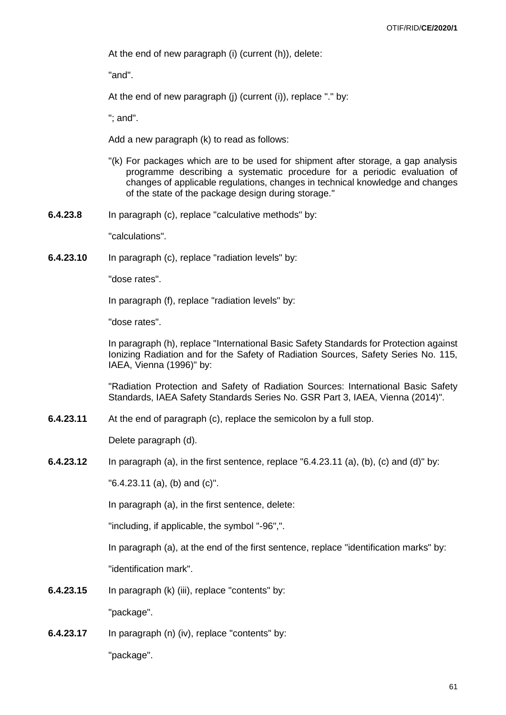At the end of new paragraph (i) (current (h)), delete:

"and".

At the end of new paragraph (j) (current (i)), replace "." by:

"; and".

Add a new paragraph (k) to read as follows:

- "(k) For packages which are to be used for shipment after storage, a gap analysis programme describing a systematic procedure for a periodic evaluation of changes of applicable regulations, changes in technical knowledge and changes of the state of the package design during storage."
- **6.4.23.8** In paragraph (c), replace "calculative methods" by:

"calculations".

**6.4.23.10** In paragraph (c), replace "radiation levels" by:

"dose rates".

In paragraph (f), replace "radiation levels" by:

"dose rates".

In paragraph (h), replace "International Basic Safety Standards for Protection against Ionizing Radiation and for the Safety of Radiation Sources, Safety Series No. 115, IAEA, Vienna (1996)" by:

"Radiation Protection and Safety of Radiation Sources: International Basic Safety Standards, IAEA Safety Standards Series No. GSR Part 3, IAEA, Vienna (2014)".

**6.4.23.11** At the end of paragraph (c), replace the semicolon by a full stop.

Delete paragraph (d).

**6.4.23.12** In paragraph (a), in the first sentence, replace "6.4.23.11 (a), (b), (c) and (d)" by:

"6.4.23.11 (a), (b) and (c)".

In paragraph (a), in the first sentence, delete:

"including, if applicable, the symbol "-96",".

In paragraph (a), at the end of the first sentence, replace "identification marks" by:

"identification mark".

**6.4.23.15** In paragraph (k) (iii), replace "contents" by:

"package".

**6.4.23.17** In paragraph (n) (iv), replace "contents" by:

"package".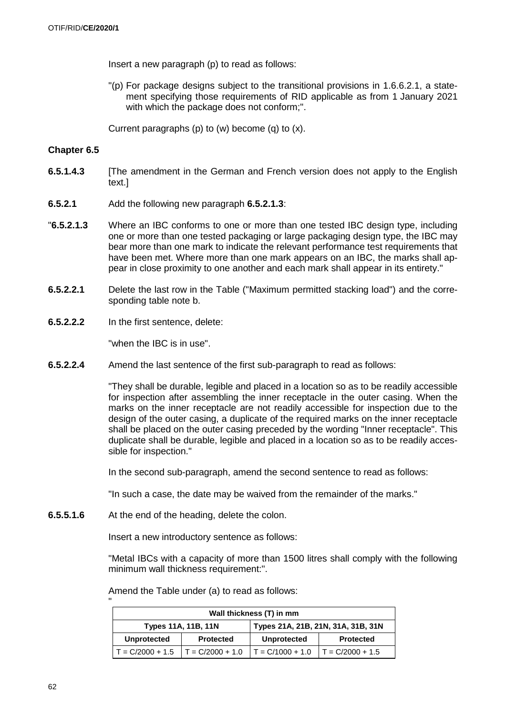Insert a new paragraph (p) to read as follows:

"(p) For package designs subject to the transitional provisions in 1.6.6.2.1, a statement specifying those requirements of RID applicable as from 1 January 2021 with which the package does not conform;".

Current paragraphs (p) to (w) become (q) to (x).

#### **Chapter 6.5**

- **6.5.1.4.3** [The amendment in the German and French version does not apply to the English text.]
- **6.5.2.1** Add the following new paragraph **6.5.2.1.3**:
- "**6.5.2.1.3** Where an IBC conforms to one or more than one tested IBC design type, including one or more than one tested packaging or large packaging design type, the IBC may bear more than one mark to indicate the relevant performance test requirements that have been met. Where more than one mark appears on an IBC, the marks shall appear in close proximity to one another and each mark shall appear in its entirety."
- **6.5.2.2.1** Delete the last row in the Table ("Maximum permitted stacking load") and the corresponding table note b.
- **6.5.2.2.2** In the first sentence, delete:

"when the IBC is in use".

**6.5.2.2.4** Amend the last sentence of the first sub-paragraph to read as follows:

"They shall be durable, legible and placed in a location so as to be readily accessible for inspection after assembling the inner receptacle in the outer casing. When the marks on the inner receptacle are not readily accessible for inspection due to the design of the outer casing, a duplicate of the required marks on the inner receptacle shall be placed on the outer casing preceded by the wording "Inner receptacle". This duplicate shall be durable, legible and placed in a location so as to be readily accessible for inspection."

In the second sub-paragraph, amend the second sentence to read as follows:

"In such a case, the date may be waived from the remainder of the marks."

**6.5.5.1.6** At the end of the heading, delete the colon.

Insert a new introductory sentence as follows:

"Metal IBCs with a capacity of more than 1500 litres shall comply with the following minimum wall thickness requirement:".

Amend the Table under (a) to read as follows:

| Wall thickness (T) in mm |                     |                                    |                    |  |
|--------------------------|---------------------|------------------------------------|--------------------|--|
|                          | Types 11A, 11B, 11N | Types 21A, 21B, 21N, 31A, 31B, 31N |                    |  |
| <b>Unprotected</b>       | <b>Protected</b>    | <b>Unprotected</b>                 | <b>Protected</b>   |  |
| $T = C/2000 + 1.5$       | $T = C/2000 + 1.0$  | $T = C/1000 + 1.0$                 | $T = C/2000 + 1.5$ |  |

"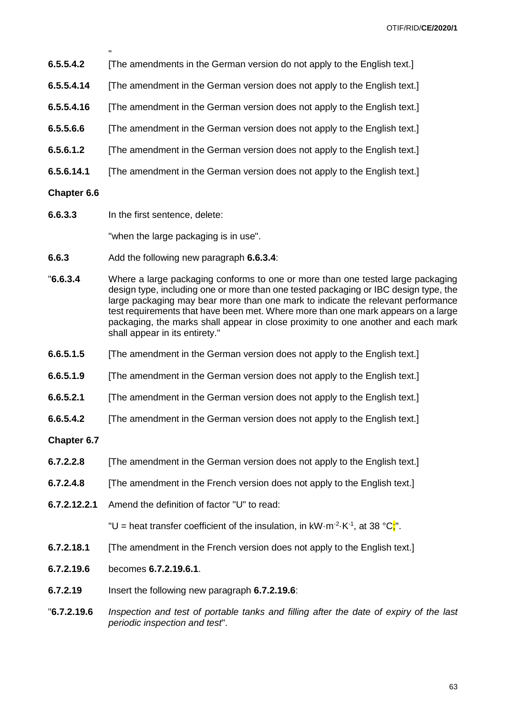- " **6.5.5.4.2** [The amendments in the German version do not apply to the English text.]
- **6.5.5.4.14** [The amendment in the German version does not apply to the English text.]
- **6.5.5.4.16** [The amendment in the German version does not apply to the English text.]
- **6.5.5.6.6** [The amendment in the German version does not apply to the English text.]
- **6.5.6.1.2** [The amendment in the German version does not apply to the English text.]
- **6.5.6.14.1** [The amendment in the German version does not apply to the English text.]
- **Chapter 6.6**
- **6.6.3.3** In the first sentence, delete:

"when the large packaging is in use".

- **6.6.3** Add the following new paragraph **6.6.3.4**:
- "**6.6.3.4** Where a large packaging conforms to one or more than one tested large packaging design type, including one or more than one tested packaging or IBC design type, the large packaging may bear more than one mark to indicate the relevant performance test requirements that have been met. Where more than one mark appears on a large packaging, the marks shall appear in close proximity to one another and each mark shall appear in its entirety."
- **6.6.5.1.5** [The amendment in the German version does not apply to the English text.]
- **6.6.5.1.9** [The amendment in the German version does not apply to the English text.]
- **6.6.5.2.1** [The amendment in the German version does not apply to the English text.]
- **6.6.5.4.2** [The amendment in the German version does not apply to the English text.]

#### **Chapter 6.7**

- **6.7.2.2.8** [The amendment in the German version does not apply to the English text.]
- **6.7.2.4.8** [The amendment in the French version does not apply to the English text.]
- **6.7.2.12.2.1** Amend the definition of factor "U" to read:

"U = heat transfer coefficient of the insulation, in  $kW \cdot m^{-2} \cdot K^{-1}$ , at 38  ${}^{\circ}C_{\mathbf{s}}^{\mathbf{r}}$ .

- **6.7.2.18.1** [The amendment in the French version does not apply to the English text.]
- **6.7.2.19.6** becomes **6.7.2.19.6.1**.
- **6.7.2.19** Insert the following new paragraph **6.7.2.19.6**:
- "**6.7.2.19.6** *Inspection and test of portable tanks and filling after the date of expiry of the last periodic inspection and test*".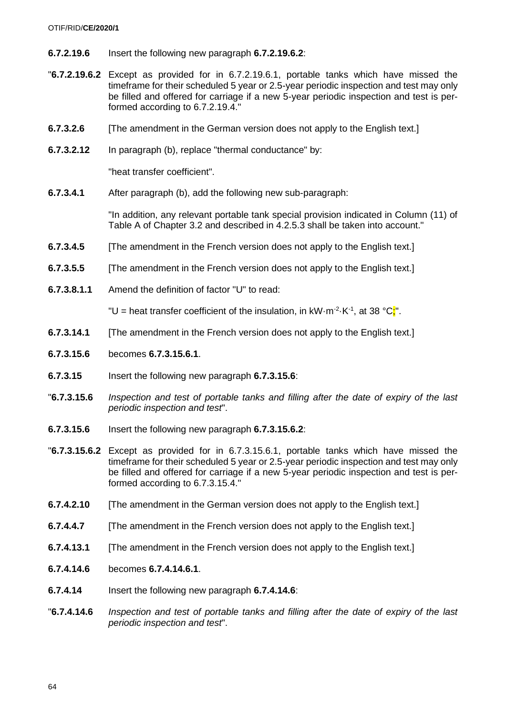#### OTIF/RID/**CE/2020/1**

- **6.7.2.19.6** Insert the following new paragraph **6.7.2.19.6.2**:
- "**6.7.2.19.6.2** Except as provided for in 6.7.2.19.6.1, portable tanks which have missed the timeframe for their scheduled 5 year or 2.5-year periodic inspection and test may only be filled and offered for carriage if a new 5-year periodic inspection and test is performed according to 6.7.2.19.4."
- **6.7.3.2.6** [The amendment in the German version does not apply to the English text.]
- **6.7.3.2.12** In paragraph (b), replace "thermal conductance" by:

"heat transfer coefficient".

**6.7.3.4.1** After paragraph (b), add the following new sub-paragraph:

"In addition, any relevant portable tank special provision indicated in Column (11) of Table A of Chapter 3.2 and described in 4.2.5.3 shall be taken into account."

- **6.7.3.4.5** [The amendment in the French version does not apply to the English text.]
- **6.7.3.5.5** [The amendment in the French version does not apply to the English text.]
- **6.7.3.8.1.1** Amend the definition of factor "U" to read:

"U = heat transfer coefficient of the insulation, in  $kW \cdot m^{-2} \cdot K^{-1}$ , at 38  ${}^{\circ}C_{\cdot}^{*}$ ".

- **6.7.3.14.1** [The amendment in the French version does not apply to the English text.]
- **6.7.3.15.6** becomes **6.7.3.15.6.1**.
- **6.7.3.15** Insert the following new paragraph **6.7.3.15.6**:
- "**6.7.3.15.6** *Inspection and test of portable tanks and filling after the date of expiry of the last periodic inspection and test*".
- **6.7.3.15.6** Insert the following new paragraph **6.7.3.15.6.2**:
- "**6.7.3.15.6.2** Except as provided for in 6.7.3.15.6.1, portable tanks which have missed the timeframe for their scheduled 5 year or 2.5-year periodic inspection and test may only be filled and offered for carriage if a new 5-year periodic inspection and test is performed according to 6.7.3.15.4."
- **6.7.4.2.10** [The amendment in the German version does not apply to the English text.]
- **6.7.4.4.7** [The amendment in the French version does not apply to the English text.]
- **6.7.4.13.1** [The amendment in the French version does not apply to the English text.]
- **6.7.4.14.6** becomes **6.7.4.14.6.1**.
- **6.7.4.14** Insert the following new paragraph **6.7.4.14.6**:
- "**6.7.4.14.6** *Inspection and test of portable tanks and filling after the date of expiry of the last periodic inspection and test*".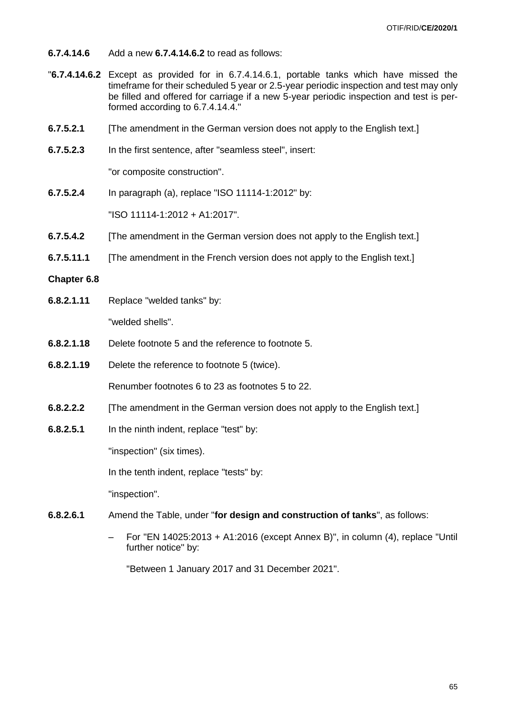- **6.7.4.14.6** Add a new **6.7.4.14.6.2** to read as follows:
- "**6.7.4.14.6.2** Except as provided for in 6.7.4.14.6.1, portable tanks which have missed the timeframe for their scheduled 5 year or 2.5-year periodic inspection and test may only be filled and offered for carriage if a new 5-year periodic inspection and test is performed according to 6.7.4.14.4."
- **6.7.5.2.1** [The amendment in the German version does not apply to the English text.]
- **6.7.5.2.3** In the first sentence, after "seamless steel", insert:

"or composite construction".

- **6.7.5.2.4** In paragraph (a), replace "ISO 11114-1:2012" by: "ISO 11114-1:2012 + A1:2017".
- **6.7.5.4.2** [The amendment in the German version does not apply to the English text.]
- **6.7.5.11.1** [The amendment in the French version does not apply to the English text.]

#### **Chapter 6.8**

- **6.8.2.1.11** Replace "welded tanks" by: "welded shells".
- **6.8.2.1.18** Delete footnote 5 and the reference to footnote 5.
- **6.8.2.1.19** Delete the reference to footnote 5 (twice).

Renumber footnotes 6 to 23 as footnotes 5 to 22.

- **6.8.2.2.2** [The amendment in the German version does not apply to the English text.]
- **6.8.2.5.1** In the ninth indent, replace "test" by:

"inspection" (six times).

In the tenth indent, replace "tests" by:

"inspection".

- **6.8.2.6.1** Amend the Table, under "**for design and construction of tanks**", as follows:
	- For "EN 14025:2013 + A1:2016 (except Annex B)", in column (4), replace "Until further notice" by:

"Between 1 January 2017 and 31 December 2021".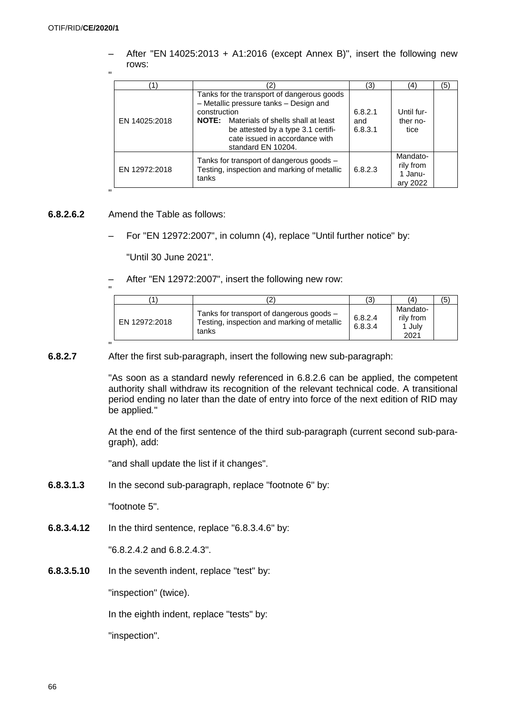After "EN 14025:2013 + A1:2016 (except Annex B)", insert the following new rows:

"

"

"

|               |                                                                                                                                                                                                                                                       | '3'                       | (4)                                          | (5) |
|---------------|-------------------------------------------------------------------------------------------------------------------------------------------------------------------------------------------------------------------------------------------------------|---------------------------|----------------------------------------------|-----|
| EN 14025:2018 | Tanks for the transport of dangerous goods<br>- Metallic pressure tanks - Design and<br>construction<br><b>NOTE:</b> Materials of shells shall at least<br>be attested by a type 3.1 certifi-<br>cate issued in accordance with<br>standard EN 10204. | 6.8.2.1<br>and<br>6.8.3.1 | Until fur-<br>ther no-<br>tice               |     |
| EN 12972:2018 | Tanks for transport of dangerous goods -<br>Testing, inspection and marking of metallic<br>tanks                                                                                                                                                      | 6.8.2.3                   | Mandato-<br>rily from<br>1 Janu-<br>ary 2022 |     |

### **6.8.2.6.2** Amend the Table as follows:

– For "EN 12972:2007", in column (4), replace "Until further notice" by:

"Until 30 June 2021".

– After "EN 12972:2007", insert the following new row:

| ้1            | $\mathbf{2}^{\prime}$                                                                            | (3)                | (4                                      | (5) |
|---------------|--------------------------------------------------------------------------------------------------|--------------------|-----------------------------------------|-----|
| EN 12972:2018 | Tanks for transport of dangerous goods -<br>Testing, inspection and marking of metallic<br>tanks | 6.8.2.4<br>6.8.3.4 | Mandato-<br>rily from<br>1 July<br>2021 |     |

#### " **6.8.2.7** After the first sub-paragraph, insert the following new sub-paragraph:

"As soon as a standard newly referenced in 6.8.2.6 can be applied, the competent authority shall withdraw its recognition of the relevant technical code. A transitional period ending no later than the date of entry into force of the next edition of RID may be applied*.*"

At the end of the first sentence of the third sub-paragraph (current second sub-paragraph), add:

"and shall update the list if it changes".

**6.8.3.1.3** In the second sub-paragraph, replace "footnote 6" by:

"footnote 5".

**6.8.3.4.12** In the third sentence, replace "6.8.3.4.6" by:

"6.8.2.4.2 and 6.8.2.4.3".

**6.8.3.5.10** In the seventh indent, replace "test" by:

"inspection" (twice).

In the eighth indent, replace "tests" by:

"inspection".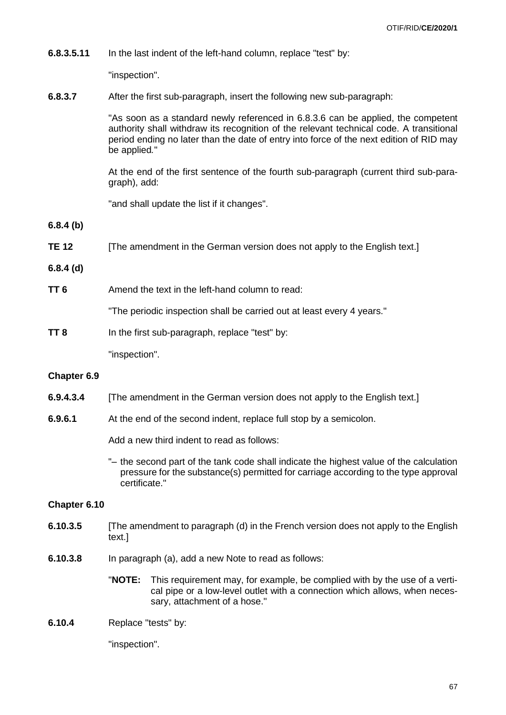**6.8.3.5.11** In the last indent of the left-hand column, replace "test" by:

"inspection".

**6.8.3.7** After the first sub-paragraph, insert the following new sub-paragraph:

"As soon as a standard newly referenced in 6.8.3.6 can be applied, the competent authority shall withdraw its recognition of the relevant technical code. A transitional period ending no later than the date of entry into force of the next edition of RID may be applied*.*"

At the end of the first sentence of the fourth sub-paragraph (current third sub-paragraph), add:

"and shall update the list if it changes".

**6.8.4 (b)**

**TE 12** [The amendment in the German version does not apply to the English text.]

#### **6.8.4 (d)**

**TT 6** Amend the text in the left-hand column to read:

"The periodic inspection shall be carried out at least every 4 years."

**TT 8** In the first sub-paragraph, replace "test" by:

"inspection".

#### **Chapter 6.9**

- **6.9.4.3.4** [The amendment in the German version does not apply to the English text.]
- **6.9.6.1** At the end of the second indent, replace full stop by a semicolon.

Add a new third indent to read as follows:

"– the second part of the tank code shall indicate the highest value of the calculation pressure for the substance(s) permitted for carriage according to the type approval certificate."

#### **Chapter 6.10**

- **6.10.3.5** [The amendment to paragraph (d) in the French version does not apply to the English text.]
- **6.10.3.8** In paragraph (a), add a new Note to read as follows:

"**NOTE:** This requirement may, for example, be complied with by the use of a vertical pipe or a low-level outlet with a connection which allows, when necessary, attachment of a hose."

**6.10.4** Replace "tests" by:

"inspection".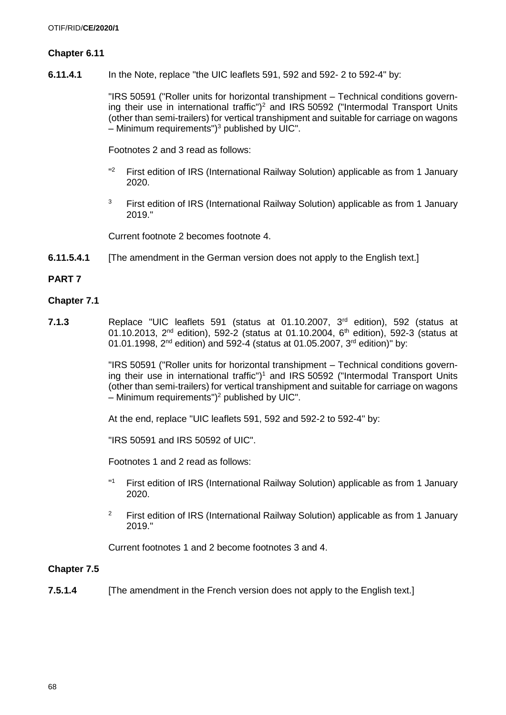# **Chapter 6.11**

**6.11.4.1** In the Note, replace "the UIC leaflets 591, 592 and 592- 2 to 592-4" by:

"IRS 50591 ("Roller units for horizontal transhipment – Technical conditions governing their use in international traffic")<sup>2</sup> and IRS 50592 ("Intermodal Transport Units (other than semi-trailers) for vertical transhipment and suitable for carriage on wagons  $-$  Minimum requirements")<sup>3</sup> published by UIC".

Footnotes 2 and 3 read as follows:

- "2 <sup>2</sup> First edition of IRS (International Railway Solution) applicable as from 1 January 2020.
- $3$  First edition of IRS (International Railway Solution) applicable as from 1 January 2019."

Current footnote 2 becomes footnote 4.

**6.11.5.4.1** [The amendment in the German version does not apply to the English text.]

# **PART 7**

### **Chapter 7.1**

**7.1.3** Replace "UIC leaflets 591 (status at 01.10.2007, 3rd edition), 592 (status at 01.10.2013,  $2^{nd}$  edition), 592-2 (status at 01.10.2004,  $6^{th}$  edition), 592-3 (status at 01.01.1998,  $2^{nd}$  edition) and 592-4 (status at 01.05.2007,  $3^{rd}$  edition)" by:

> "IRS 50591 ("Roller units for horizontal transhipment – Technical conditions governing their use in international traffic") <sup>1</sup> and IRS 50592 ("Intermodal Transport Units (other than semi-trailers) for vertical transhipment and suitable for carriage on wagons – Minimum requirements") <sup>2</sup> published by UIC".

At the end, replace "UIC leaflets 591, 592 and 592-2 to 592-4" by:

"IRS 50591 and IRS 50592 of UIC".

Footnotes 1 and 2 read as follows:

- $"$ <sup>1</sup> First edition of IRS (International Railway Solution) applicable as from 1 January 2020.
- <sup>2</sup> First edition of IRS (International Railway Solution) applicable as from 1 January 2019."

Current footnotes 1 and 2 become footnotes 3 and 4.

#### **Chapter 7.5**

**7.5.1.4** [The amendment in the French version does not apply to the English text.]